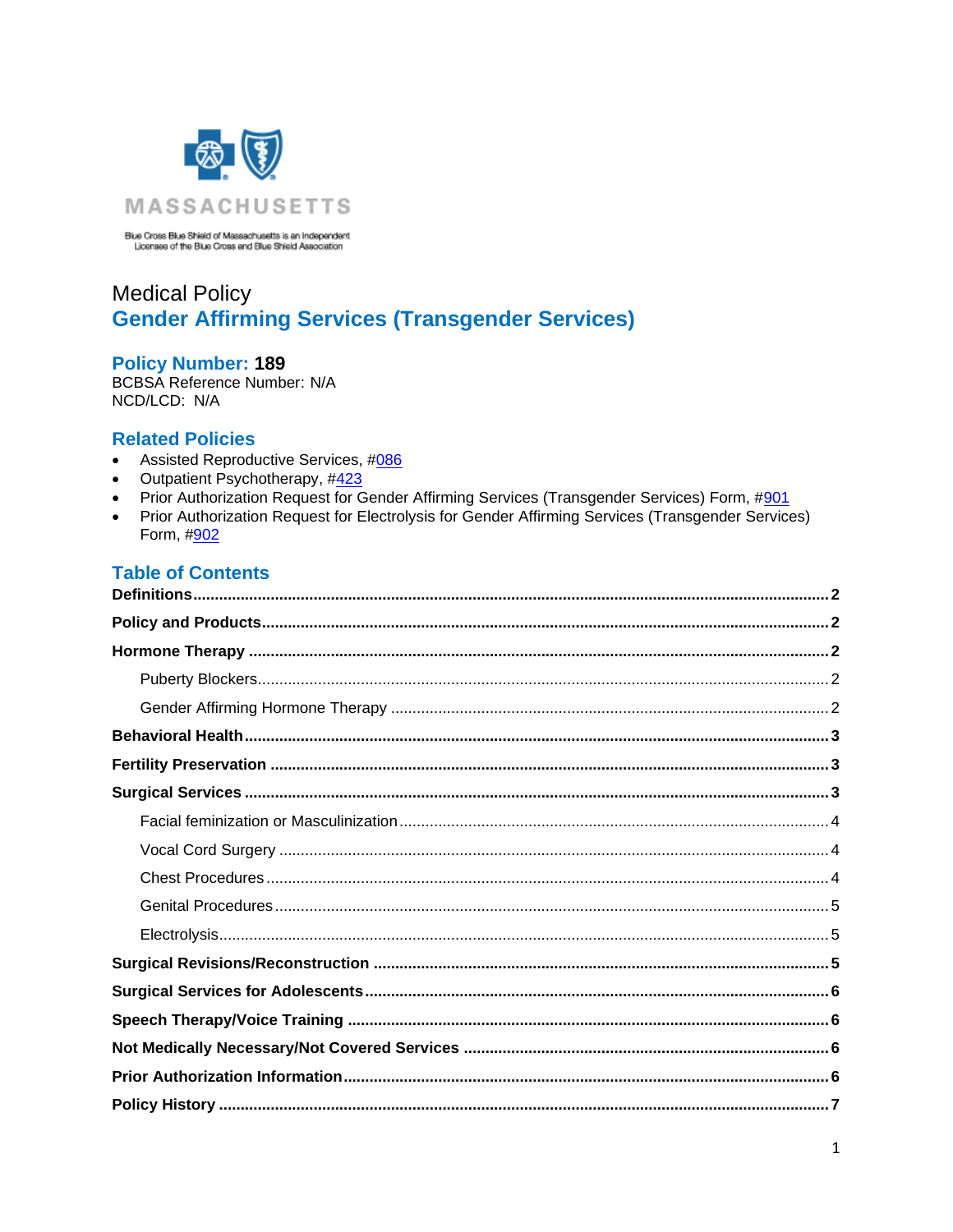

Blue Cross Blue Shield of Massachusetts is an Independent<br>Licensee of the Blue Cross and Blue Shield Association

# **Medical Policy Gender Affirming Services (Transgender Services)**

### **Policy Number: 189**

BCBSA Reference Number: N/A NCD/LCD: N/A

### <span id="page-0-0"></span>**Related Policies**

- $\bullet$ Assisted Reproductive Services, #086
- Outpatient Psychotherapy, #423  $\bullet$
- Prior Authorization Request for Gender Affirming Services (Transgender Services) Form, #901  $\bullet$
- Prior Authorization Request for Electrolysis for Gender Affirming Services (Transgender Services)  $\bullet$ Form, #902

## **Table of Contents**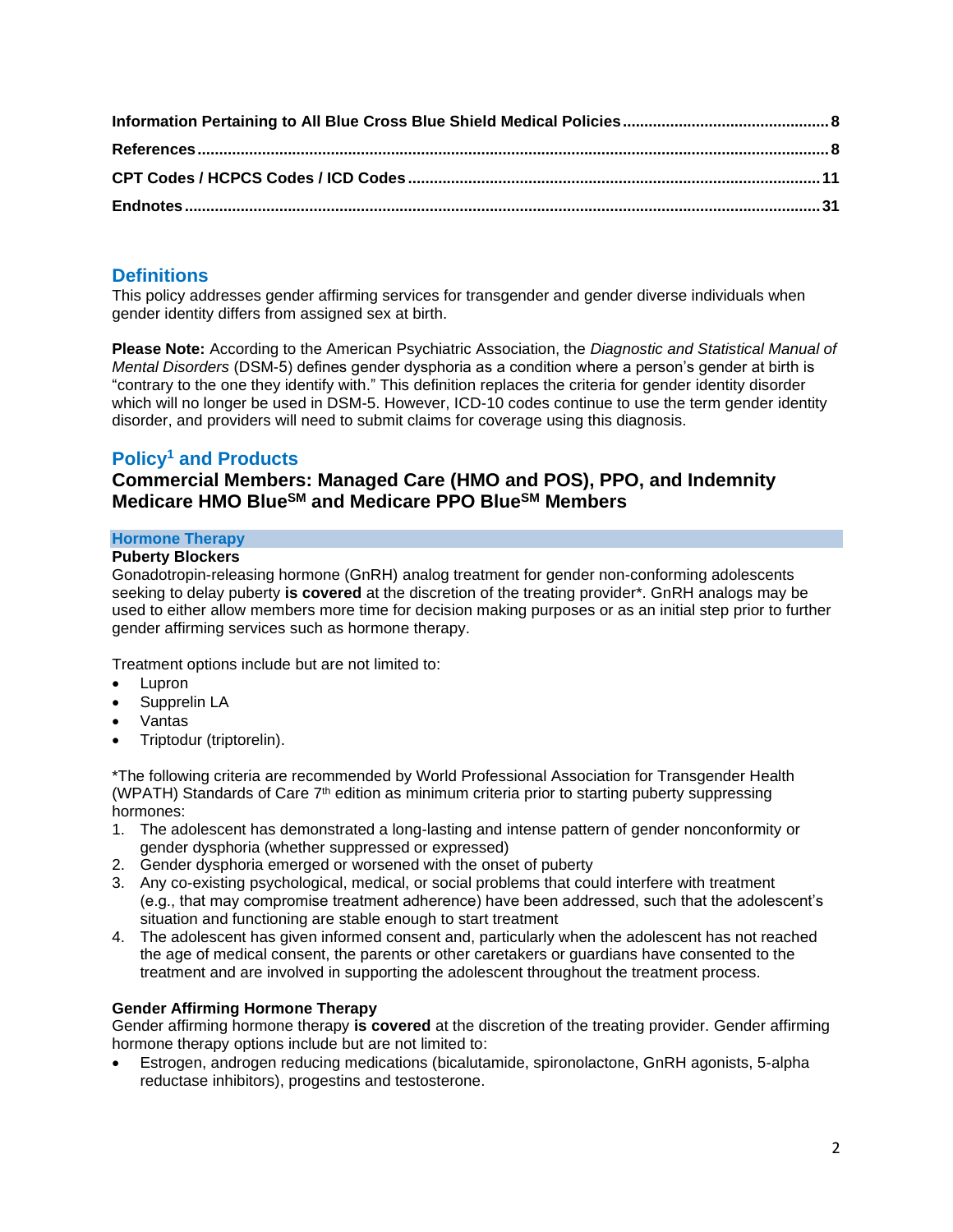## <span id="page-1-0"></span>**Definitions**

This policy addresses gender affirming services for transgender and gender diverse individuals when gender identity differs from assigned sex at birth.

**Please Note:** According to the American Psychiatric Association, the *Diagnostic and Statistical Manual of Mental Disorders* (DSM-5) defines gender dysphoria as a condition where a person's gender at birth is "contrary to the one they identify with." This definition replaces the criteria for gender identity disorder which will no longer be used in DSM-5. However, ICD-10 codes continue to use the term gender identity disorder, and providers will need to submit claims for coverage using this diagnosis.

## <span id="page-1-1"></span>**Policy<sup>1</sup> and Products**

### **Commercial Members: Managed Care (HMO and POS), PPO, and Indemnity Medicare HMO BlueSM and Medicare PPO BlueSM Members**

### <span id="page-1-2"></span>**Hormone Therapy**

### <span id="page-1-3"></span>**Puberty Blockers**

Gonadotropin-releasing hormone (GnRH) analog treatment for gender non-conforming adolescents seeking to delay puberty **is covered** at the discretion of the treating provider\*. GnRH analogs may be used to either allow members more time for decision making purposes or as an initial step prior to further gender affirming services such as hormone therapy.

Treatment options include but are not limited to:

- Lupron
- Supprelin LA
- Vantas
- Triptodur (triptorelin).

\*The following criteria are recommended by World Professional Association for Transgender Health (WPATH) Standards of Care  $7<sup>th</sup>$  edition as minimum criteria prior to starting puberty suppressing hormones:

- 1. The adolescent has demonstrated a long-lasting and intense pattern of gender nonconformity or gender dysphoria (whether suppressed or expressed)
- 2. Gender dysphoria emerged or worsened with the onset of puberty
- 3. Any co-existing psychological, medical, or social problems that could interfere with treatment (e.g., that may compromise treatment adherence) have been addressed, such that the adolescent's situation and functioning are stable enough to start treatment
- 4. The adolescent has given informed consent and, particularly when the adolescent has not reached the age of medical consent, the parents or other caretakers or guardians have consented to the treatment and are involved in supporting the adolescent throughout the treatment process.

### <span id="page-1-4"></span>**Gender Affirming Hormone Therapy**

Gender affirming hormone therapy **is covered** at the discretion of the treating provider. Gender affirming hormone therapy options include but are not limited to:

• Estrogen, androgen reducing medications (bicalutamide, spironolactone, GnRH agonists, 5-alpha reductase inhibitors), progestins and testosterone.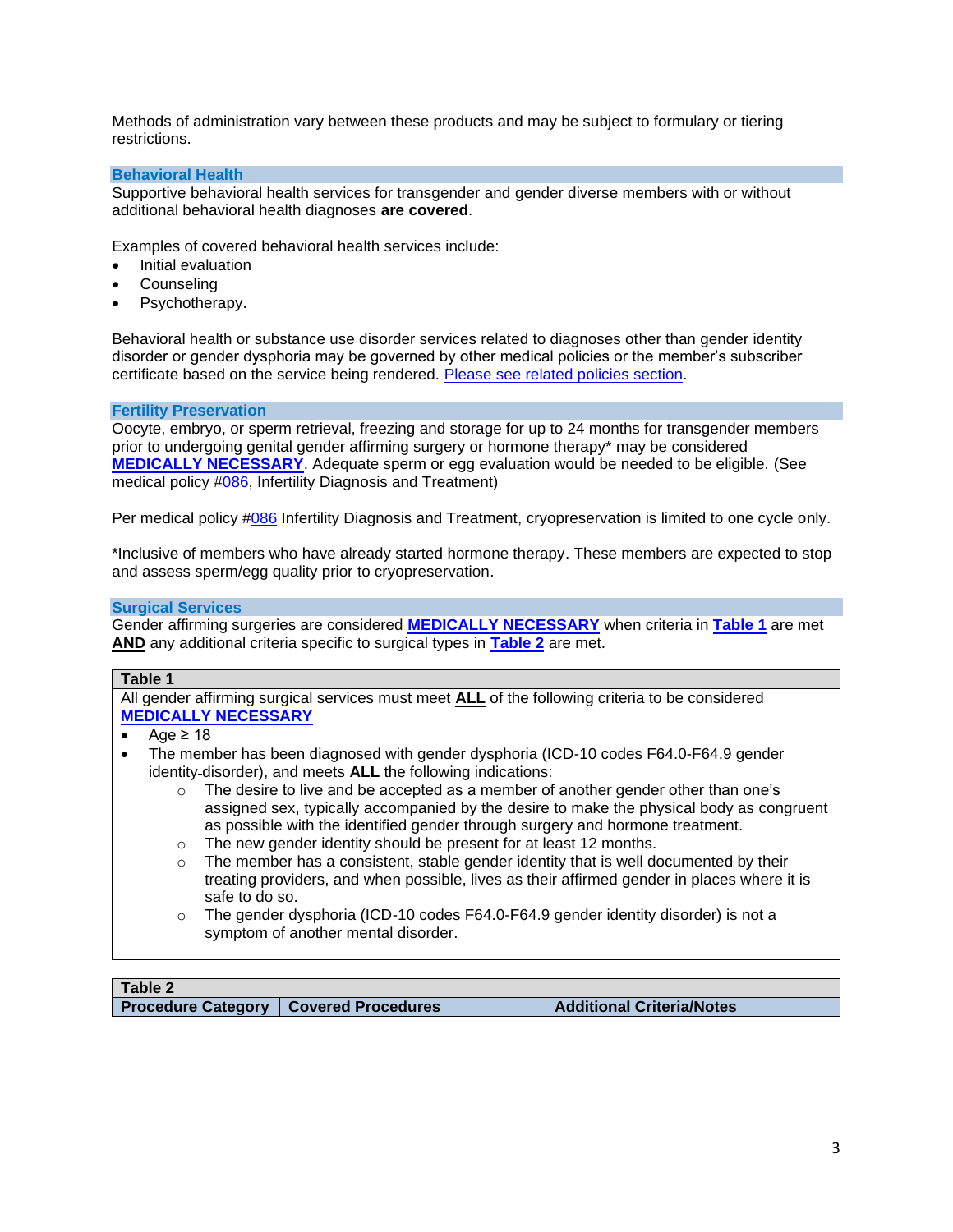Methods of administration vary between these products and may be subject to formulary or tiering restrictions.

#### <span id="page-2-0"></span>**Behavioral Health**

Supportive behavioral health services for transgender and gender diverse members with or without additional behavioral health diagnoses **are covered**.

Examples of covered behavioral health services include:

- Initial evaluation
- Counseling
- Psychotherapy.

Behavioral health or substance use disorder services related to diagnoses other than gender identity disorder or gender dysphoria may be governed by other medical policies or the member's subscriber certificate based on the service being rendered. [Please see related policies section.](#page-0-0)

#### <span id="page-2-1"></span>**Fertility Preservation**

Oocyte, embryo, or sperm retrieval, freezing and storage for up to 24 months for transgender members prior to undergoing genital gender affirming surgery or hormone therapy\* may be considered **[MEDICALLY NECESSARY](https://www.bluecrossma.org/medical-policies/sites/g/files/csphws2091/files/acquiadam-assets/Definition%20of%20Med%20Nec%20Inv%20Not%20Med%20Nec%20prn.pdf#page=1)**. Adequate sperm or egg evaluation would be needed to be eligible. (See medical policy [#086,](http://www.bluecrossma.org/medical-policies/sites/g/files/csphws2091/files/acquiadam-assets/086%20Assisted%20Reproductive%20Services%20Infertility%20Services%20prn.pdf) Infertility Diagnosis and Treatment)

Per medical policy [#086](http://www.bluecrossma.org/medical-policies/sites/g/files/csphws2091/files/acquiadam-assets/086%20Assisted%20Reproductive%20Services%20Infertility%20Services%20prn.pdf) Infertility Diagnosis and Treatment, cryopreservation is limited to one cycle only.

\*Inclusive of members who have already started hormone therapy. These members are expected to stop and assess sperm/egg quality prior to cryopreservation.

#### <span id="page-2-2"></span>**Surgical Services**

Gender affirming surgeries are considered **[MEDICALLY NECESSARY](https://www.bluecrossma.org/medical-policies/sites/g/files/csphws2091/files/acquiadam-assets/Definition%20of%20Med%20Nec%20Inv%20Not%20Med%20Nec%20prn.pdf#page=1)** when criteria in **[Table 1](#page-2-3)** are met **AND** any additional criteria specific to surgical types in **[Table 2](#page-2-4)** are met.

#### <span id="page-2-3"></span>**Table 1**

All gender affirming surgical services must meet **ALL** of the following criteria to be considered **[MEDICALLY NECESSARY](https://www.bluecrossma.org/medical-policies/sites/g/files/csphws2091/files/acquiadam-assets/Definition%20of%20Med%20Nec%20Inv%20Not%20Med%20Nec%20prn.pdf#page=1)**

- Age  $\geq 18$
- The member has been diagnosed with gender dysphoria (ICD-10 codes F64.0-F64.9 gender identity-disorder), and meets **ALL** the following indications:
	- $\circ$  The desire to live and be accepted as a member of another gender other than one's assigned sex, typically accompanied by the desire to make the physical body as congruent as possible with the identified gender through surgery and hormone treatment.
	- o The new gender identity should be present for at least 12 months.
	- The member has a consistent, stable gender identity that is well documented by their treating providers, and when possible, lives as their affirmed gender in places where it is safe to do so.
	- The gender dysphoria (ICD-10 codes F64.0-F64.9 gender identity disorder) is not a symptom of another mental disorder.

<span id="page-2-4"></span>

| Table 2                                 |  |
|-----------------------------------------|--|
| Procedure Category   Covered Procedures |  |

**Procedure Category Covered Procedures Additional Criteria/Notes**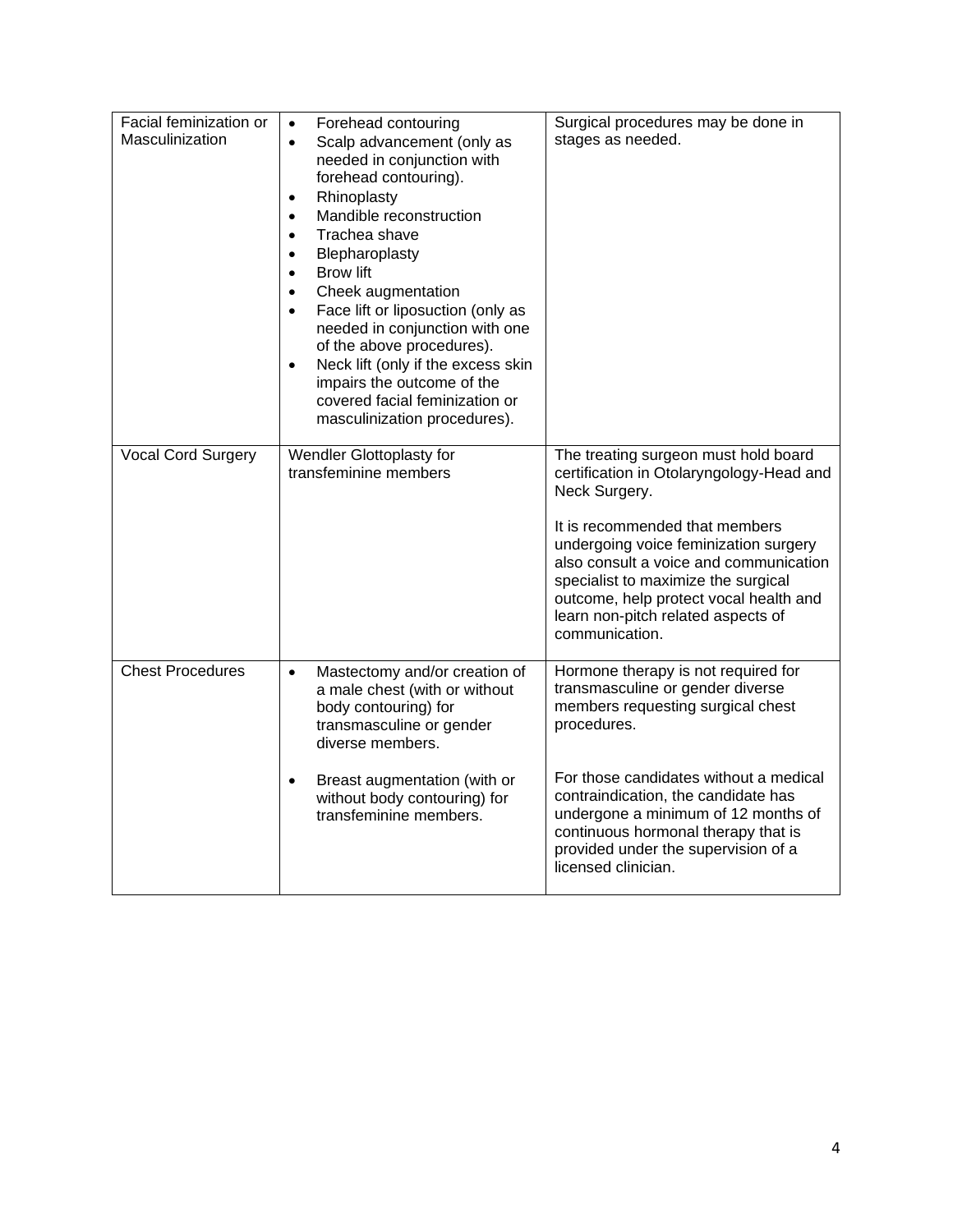<span id="page-3-2"></span><span id="page-3-1"></span><span id="page-3-0"></span>

| Facial feminization or<br>Masculinization | Forehead contouring<br>$\bullet$<br>Scalp advancement (only as<br>$\bullet$<br>needed in conjunction with<br>forehead contouring).<br>Rhinoplasty<br>$\bullet$<br>Mandible reconstruction<br>$\bullet$<br>Trachea shave<br>$\bullet$<br>Blepharoplasty<br>$\bullet$<br><b>Brow lift</b><br>$\bullet$<br>Cheek augmentation<br>$\bullet$<br>Face lift or liposuction (only as<br>$\bullet$<br>needed in conjunction with one<br>of the above procedures).<br>Neck lift (only if the excess skin<br>$\bullet$<br>impairs the outcome of the<br>covered facial feminization or<br>masculinization procedures). | Surgical procedures may be done in<br>stages as needed.                                                                                                                                                                                                                                                                                                         |
|-------------------------------------------|-------------------------------------------------------------------------------------------------------------------------------------------------------------------------------------------------------------------------------------------------------------------------------------------------------------------------------------------------------------------------------------------------------------------------------------------------------------------------------------------------------------------------------------------------------------------------------------------------------------|-----------------------------------------------------------------------------------------------------------------------------------------------------------------------------------------------------------------------------------------------------------------------------------------------------------------------------------------------------------------|
| Vocal Cord Surgery                        | Wendler Glottoplasty for<br>transfeminine members                                                                                                                                                                                                                                                                                                                                                                                                                                                                                                                                                           | The treating surgeon must hold board<br>certification in Otolaryngology-Head and<br>Neck Surgery.<br>It is recommended that members<br>undergoing voice feminization surgery<br>also consult a voice and communication<br>specialist to maximize the surgical<br>outcome, help protect vocal health and<br>learn non-pitch related aspects of<br>communication. |
| <b>Chest Procedures</b>                   | Mastectomy and/or creation of<br>$\bullet$<br>a male chest (with or without<br>body contouring) for<br>transmasculine or gender<br>diverse members.<br>Breast augmentation (with or<br>$\bullet$<br>without body contouring) for<br>transfeminine members.                                                                                                                                                                                                                                                                                                                                                  | Hormone therapy is not required for<br>transmasculine or gender diverse<br>members requesting surgical chest<br>procedures.<br>For those candidates without a medical<br>contraindication, the candidate has<br>undergone a minimum of 12 months of<br>continuous hormonal therapy that is<br>provided under the supervision of a<br>licensed clinician.        |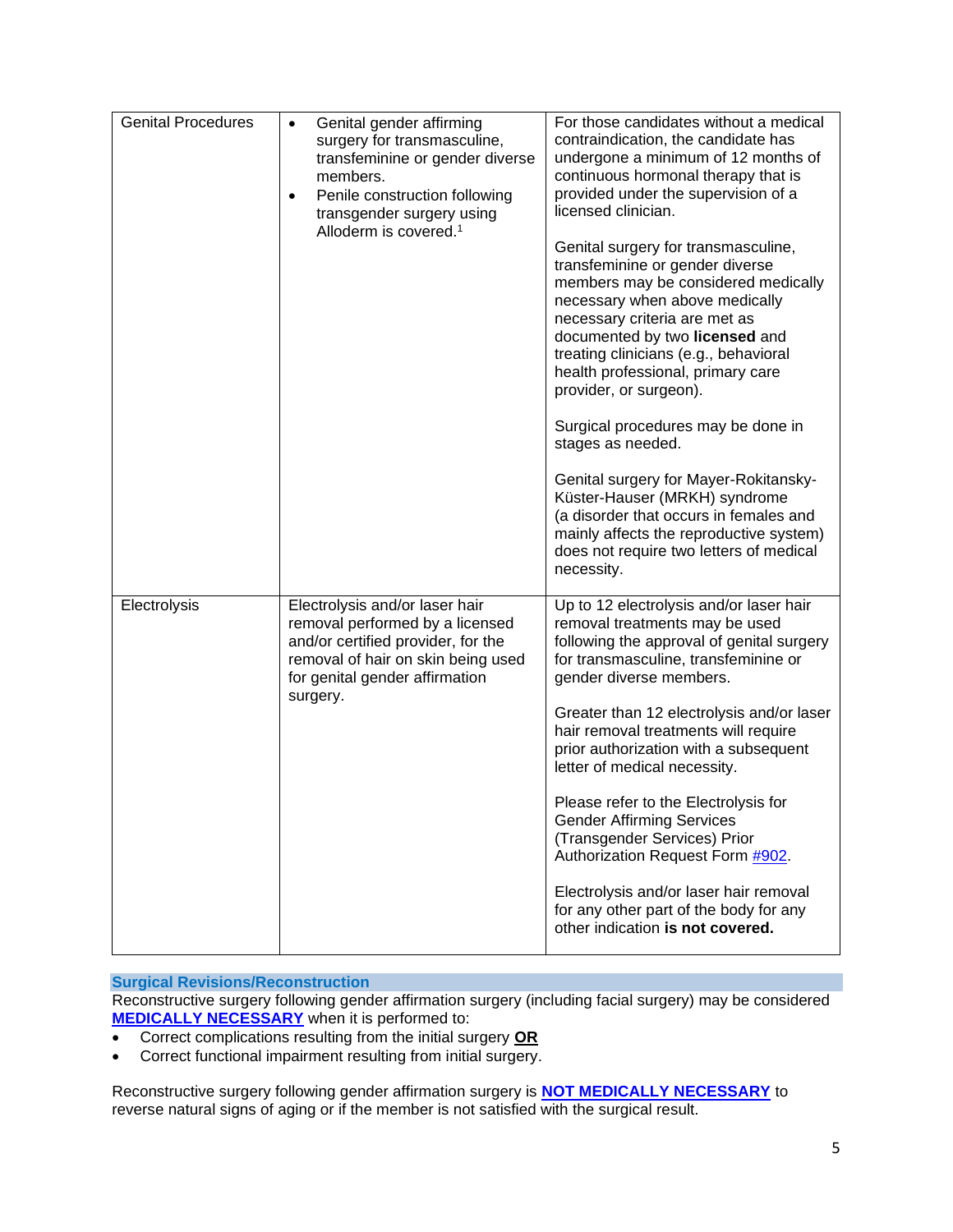<span id="page-4-0"></span>

| <b>Genital Procedures</b> | Genital gender affirming<br>$\bullet$<br>surgery for transmasculine,<br>transfeminine or gender diverse<br>members.<br>Penile construction following<br>$\bullet$<br>transgender surgery using<br>Alloderm is covered. <sup>1</sup> | For those candidates without a medical<br>contraindication, the candidate has<br>undergone a minimum of 12 months of<br>continuous hormonal therapy that is<br>provided under the supervision of a<br>licensed clinician.<br>Genital surgery for transmasculine,<br>transfeminine or gender diverse<br>members may be considered medically<br>necessary when above medically<br>necessary criteria are met as<br>documented by two licensed and<br>treating clinicians (e.g., behavioral<br>health professional, primary care<br>provider, or surgeon).<br>Surgical procedures may be done in<br>stages as needed.<br>Genital surgery for Mayer-Rokitansky-<br>Küster-Hauser (MRKH) syndrome<br>(a disorder that occurs in females and<br>mainly affects the reproductive system)<br>does not require two letters of medical |
|---------------------------|-------------------------------------------------------------------------------------------------------------------------------------------------------------------------------------------------------------------------------------|------------------------------------------------------------------------------------------------------------------------------------------------------------------------------------------------------------------------------------------------------------------------------------------------------------------------------------------------------------------------------------------------------------------------------------------------------------------------------------------------------------------------------------------------------------------------------------------------------------------------------------------------------------------------------------------------------------------------------------------------------------------------------------------------------------------------------|
| Electrolysis              | Electrolysis and/or laser hair<br>removal performed by a licensed<br>and/or certified provider, for the<br>removal of hair on skin being used<br>for genital gender affirmation<br>surgery.                                         | necessity.<br>Up to 12 electrolysis and/or laser hair<br>removal treatments may be used<br>following the approval of genital surgery<br>for transmasculine, transfeminine or<br>gender diverse members.<br>Greater than 12 electrolysis and/or laser<br>hair removal treatments will require<br>prior authorization with a subsequent<br>letter of medical necessity.<br>Please refer to the Electrolysis for<br><b>Gender Affirming Services</b><br>(Transgender Services) Prior<br>Authorization Request Form #902.<br>Electrolysis and/or laser hair removal<br>for any other part of the body for any<br>other indication is not covered.                                                                                                                                                                                |

<span id="page-4-2"></span><span id="page-4-1"></span>**Surgical Revisions/Reconstruction**

Reconstructive surgery following gender affirmation surgery (including facial surgery) may be considered **MEDICALLY NECESSARY** when it is performed to:

- Correct complications resulting from the initial surgery **OR**
- Correct functional impairment resulting from initial surgery.

Reconstructive surgery following gender affirmation surgery is **[NOT MEDICALLY NECESSARY](https://www.bluecrossma.org/medical-policies/sites/g/files/csphws2091/files/acquiadam-assets/Definition%20of%20Med%20Nec%20Inv%20Not%20Med%20Nec%20prn.pdf#page=1)** to reverse natural signs of aging or if the member is not satisfied with the surgical result.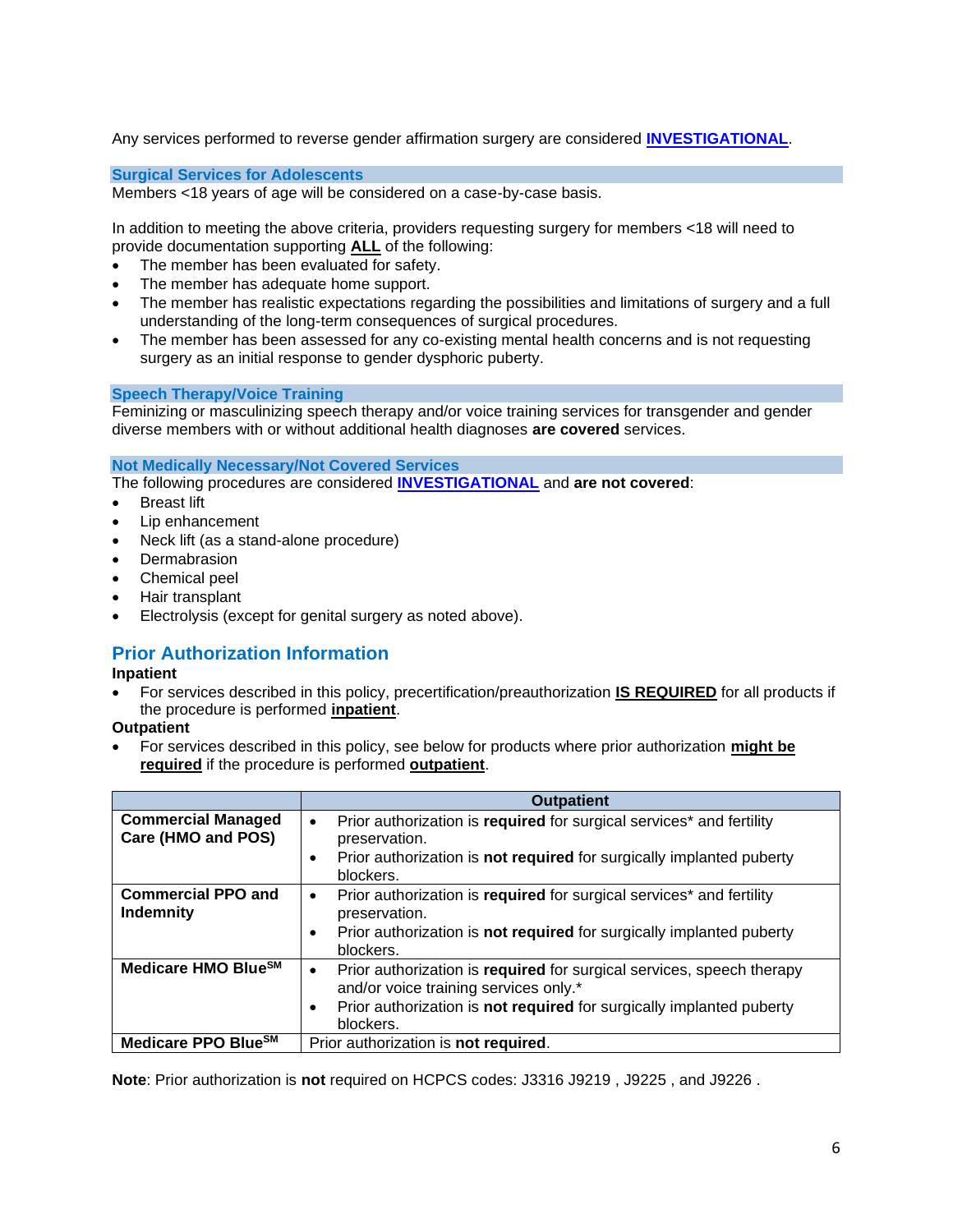Any services performed to reverse gender affirmation surgery are considered **INVESTIGATIONAL**.

<span id="page-5-0"></span>**Surgical Services for Adolescents**

Members <18 years of age will be considered on a case-by-case basis.

In addition to meeting the above criteria, providers requesting surgery for members <18 will need to provide documentation supporting **ALL** of the following:

- The member has been evaluated for safety.
- The member has adequate home support.
- The member has realistic expectations regarding the possibilities and limitations of surgery and a full understanding of the long-term consequences of surgical procedures.
- The member has been assessed for any co-existing mental health concerns and is not requesting surgery as an initial response to gender dysphoric puberty.

#### <span id="page-5-1"></span>**Speech Therapy/Voice Training**

Feminizing or masculinizing speech therapy and/or voice training services for transgender and gender diverse members with or without additional health diagnoses **are covered** services.

#### <span id="page-5-2"></span>**Not Medically Necessary/Not Covered Services**

The following procedures are considered **[INVESTIGATIONAL](https://www.bluecrossma.org/medical-policies/sites/g/files/csphws2091/files/acquiadam-assets/Definition%20of%20Med%20Nec%20Inv%20Not%20Med%20Nec%20prn.pdf#page=1)** and **are not covered**:

- Breast lift
- Lip enhancement
- Neck lift (as a stand-alone procedure)
- **Dermabrasion**
- Chemical peel
- Hair transplant
- Electrolysis (except for genital surgery as noted above).

## <span id="page-5-3"></span>**Prior Authorization Information**

#### **Inpatient**

• For services described in this policy, precertification/preauthorization **IS REQUIRED** for all products if the procedure is performed **inpatient**.

### **Outpatient**

• For services described in this policy, see below for products where prior authorization **might be required** if the procedure is performed **outpatient**.

|                                                 | <b>Outpatient</b>                                                                                                                                                                                                     |
|-------------------------------------------------|-----------------------------------------------------------------------------------------------------------------------------------------------------------------------------------------------------------------------|
| <b>Commercial Managed</b><br>Care (HMO and POS) | Prior authorization is required for surgical services* and fertility<br>$\bullet$<br>preservation.<br>Prior authorization is not required for surgically implanted puberty<br>٠<br>blockers.                          |
| <b>Commercial PPO and</b><br><b>Indemnity</b>   | Prior authorization is required for surgical services* and fertility<br>$\bullet$<br>preservation.<br>Prior authorization is not required for surgically implanted puberty<br>$\bullet$<br>blockers.                  |
| Medicare HMO Blue <sup>SM</sup>                 | Prior authorization is required for surgical services, speech therapy<br>$\bullet$<br>and/or voice training services only.*<br>Prior authorization is not required for surgically implanted puberty<br>٠<br>blockers. |
| Medicare PPO Blue <sup>SM</sup>                 | Prior authorization is not required.                                                                                                                                                                                  |

**Note**: Prior authorization is **not** required on HCPCS codes: J3316 J9219 , J9225 , and J9226 .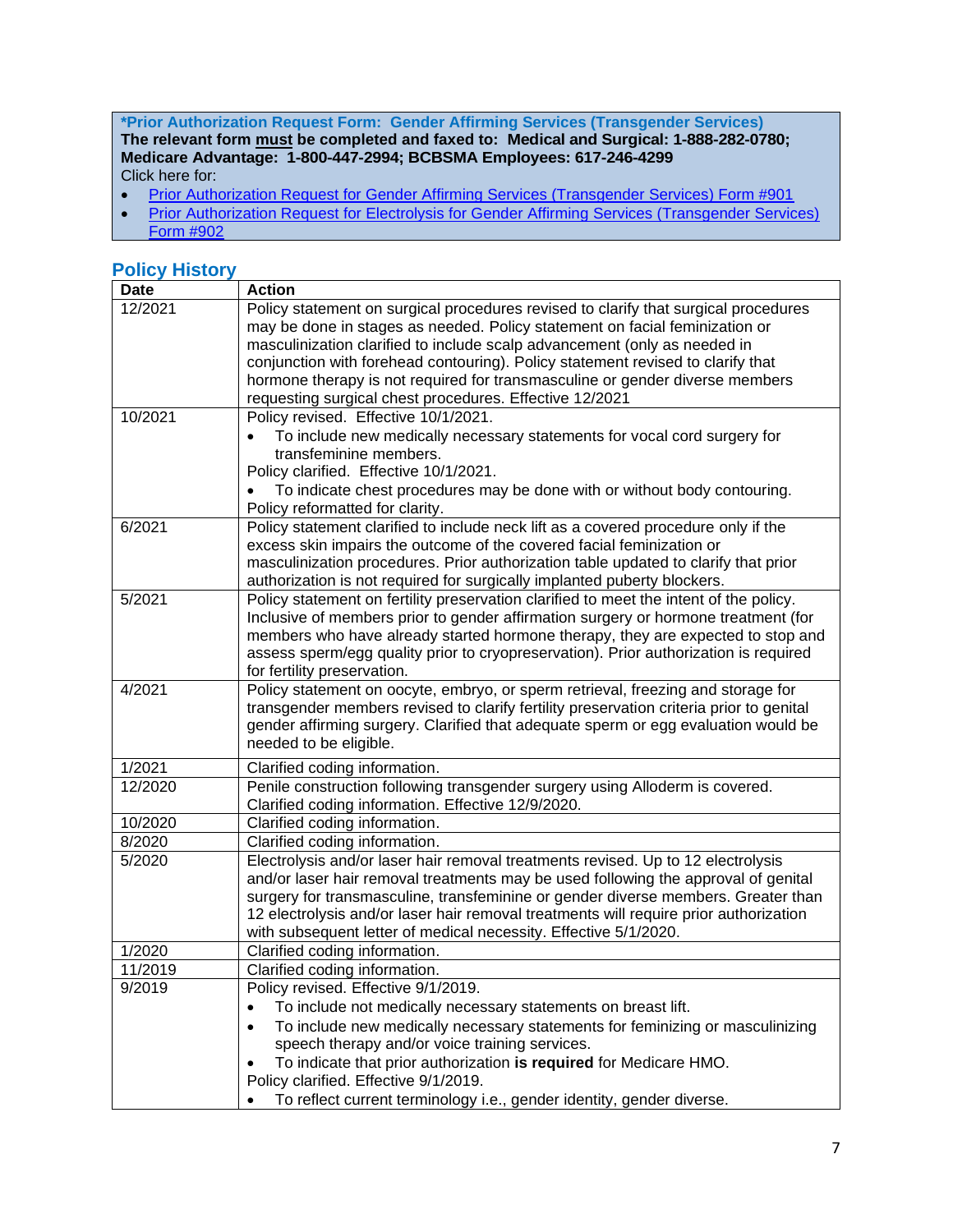**\*Prior Authorization Request Form: Gender Affirming Services (Transgender Services) The relevant form must be completed and faxed to: Medical and Surgical: 1-888-282-0780; Medicare Advantage: 1-800-447-2994; BCBSMA Employees: 617-246-4299** Click here for:

- [Prior Authorization Request for Gender Affirming Services \(Transgender Services\) Form #901](https://www.bluecrossma.org/medical-policies/sites/g/files/csphws2091/files/acquiadam-assets/901%20Prior%20Authorization%20Request%20%20Form%20for%20Gender%20Affirming%20Services%20(Transgender%20Services)%20MP%20189%20prn.pdf)
- Prior Authorization Request for Electrolysis for Gender Affirming Services (Transgender Services) [Form #902](https://www.bluecrossma.org/medical-policies/sites/g/files/csphws2091/files/acquiadam-assets/902%20Prior%20Authorization%20Request%20Form%20for%20Electrolysis%20for%20Gender%20Affirming%20Services%20MP%20189%20prn.pdf)

## <span id="page-6-0"></span>**Policy History**

| <b>Date</b> | <b>Action</b>                                                                                                                                                                                                                                                                                                                                                                                                                                                                 |
|-------------|-------------------------------------------------------------------------------------------------------------------------------------------------------------------------------------------------------------------------------------------------------------------------------------------------------------------------------------------------------------------------------------------------------------------------------------------------------------------------------|
| 12/2021     | Policy statement on surgical procedures revised to clarify that surgical procedures<br>may be done in stages as needed. Policy statement on facial feminization or<br>masculinization clarified to include scalp advancement (only as needed in<br>conjunction with forehead contouring). Policy statement revised to clarify that<br>hormone therapy is not required for transmasculine or gender diverse members<br>requesting surgical chest procedures. Effective 12/2021 |
| 10/2021     | Policy revised. Effective 10/1/2021.<br>To include new medically necessary statements for vocal cord surgery for<br>transfeminine members.<br>Policy clarified. Effective 10/1/2021.<br>To indicate chest procedures may be done with or without body contouring.<br>Policy reformatted for clarity.                                                                                                                                                                          |
| 6/2021      | Policy statement clarified to include neck lift as a covered procedure only if the<br>excess skin impairs the outcome of the covered facial feminization or<br>masculinization procedures. Prior authorization table updated to clarify that prior<br>authorization is not required for surgically implanted puberty blockers.                                                                                                                                                |
| 5/2021      | Policy statement on fertility preservation clarified to meet the intent of the policy.<br>Inclusive of members prior to gender affirmation surgery or hormone treatment (for<br>members who have already started hormone therapy, they are expected to stop and<br>assess sperm/egg quality prior to cryopreservation). Prior authorization is required<br>for fertility preservation.                                                                                        |
| 4/2021      | Policy statement on oocyte, embryo, or sperm retrieval, freezing and storage for<br>transgender members revised to clarify fertility preservation criteria prior to genital<br>gender affirming surgery. Clarified that adequate sperm or egg evaluation would be<br>needed to be eligible.                                                                                                                                                                                   |
| 1/2021      | Clarified coding information.                                                                                                                                                                                                                                                                                                                                                                                                                                                 |
| 12/2020     | Penile construction following transgender surgery using Alloderm is covered.<br>Clarified coding information. Effective 12/9/2020.                                                                                                                                                                                                                                                                                                                                            |
| 10/2020     | Clarified coding information.                                                                                                                                                                                                                                                                                                                                                                                                                                                 |
| 8/2020      | Clarified coding information.                                                                                                                                                                                                                                                                                                                                                                                                                                                 |
| 5/2020      | Electrolysis and/or laser hair removal treatments revised. Up to 12 electrolysis<br>and/or laser hair removal treatments may be used following the approval of genital<br>surgery for transmasculine, transfeminine or gender diverse members. Greater than<br>12 electrolysis and/or laser hair removal treatments will require prior authorization<br>with subsequent letter of medical necessity. Effective 5/1/2020.                                                      |
| 1/2020      | Clarified coding information.                                                                                                                                                                                                                                                                                                                                                                                                                                                 |
| 11/2019     | Clarified coding information.                                                                                                                                                                                                                                                                                                                                                                                                                                                 |
| 9/2019      | Policy revised. Effective 9/1/2019.<br>To include not medically necessary statements on breast lift.<br>To include new medically necessary statements for feminizing or masculinizing<br>$\bullet$<br>speech therapy and/or voice training services.<br>To indicate that prior authorization is required for Medicare HMO.<br>Policy clarified. Effective 9/1/2019.<br>To reflect current terminology i.e., gender identity, gender diverse.                                  |
|             |                                                                                                                                                                                                                                                                                                                                                                                                                                                                               |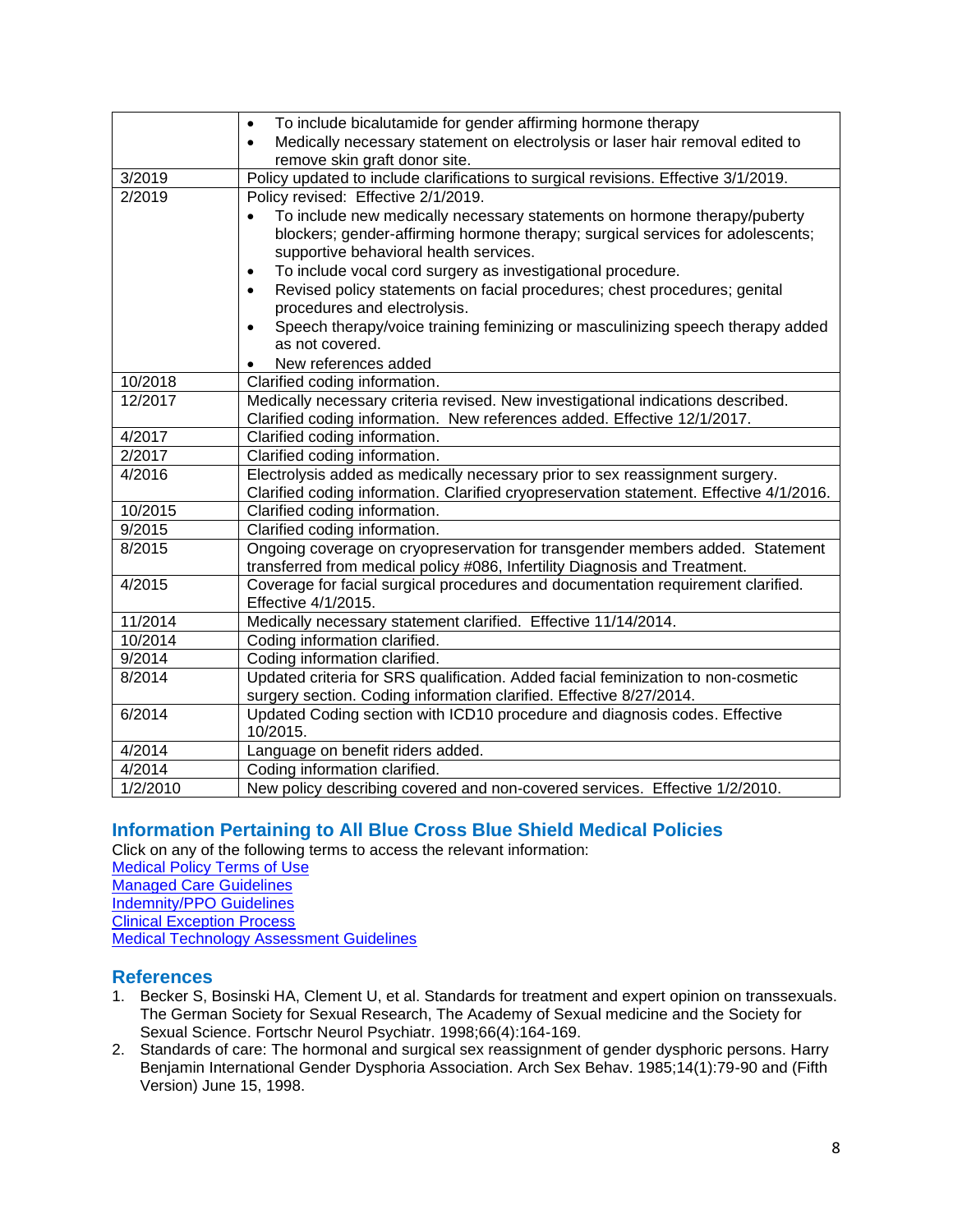|          | To include bicalutamide for gender affirming hormone therapy<br>$\bullet$                                                                                   |
|----------|-------------------------------------------------------------------------------------------------------------------------------------------------------------|
|          | Medically necessary statement on electrolysis or laser hair removal edited to<br>$\bullet$<br>remove skin graft donor site.                                 |
| 3/2019   | Policy updated to include clarifications to surgical revisions. Effective 3/1/2019.                                                                         |
| 2/2019   | Policy revised: Effective 2/1/2019.                                                                                                                         |
|          | To include new medically necessary statements on hormone therapy/puberty                                                                                    |
|          | blockers; gender-affirming hormone therapy; surgical services for adolescents;                                                                              |
|          | supportive behavioral health services.                                                                                                                      |
|          | To include vocal cord surgery as investigational procedure.<br>$\bullet$                                                                                    |
|          | Revised policy statements on facial procedures; chest procedures; genital<br>$\bullet$                                                                      |
|          | procedures and electrolysis.                                                                                                                                |
|          | Speech therapy/voice training feminizing or masculinizing speech therapy added                                                                              |
|          | as not covered.                                                                                                                                             |
|          | New references added                                                                                                                                        |
| 10/2018  | Clarified coding information.                                                                                                                               |
| 12/2017  | Medically necessary criteria revised. New investigational indications described.                                                                            |
|          | Clarified coding information. New references added. Effective 12/1/2017.                                                                                    |
| 4/2017   | Clarified coding information.                                                                                                                               |
| 2/2017   | Clarified coding information.                                                                                                                               |
| 4/2016   | Electrolysis added as medically necessary prior to sex reassignment surgery.                                                                                |
|          | Clarified coding information. Clarified cryopreservation statement. Effective 4/1/2016.                                                                     |
| 10/2015  | Clarified coding information.                                                                                                                               |
| 9/2015   | Clarified coding information.                                                                                                                               |
| 8/2015   | Ongoing coverage on cryopreservation for transgender members added. Statement<br>transferred from medical policy #086, Infertility Diagnosis and Treatment. |
| 4/2015   | Coverage for facial surgical procedures and documentation requirement clarified.<br>Effective 4/1/2015.                                                     |
| 11/2014  | Medically necessary statement clarified. Effective 11/14/2014.                                                                                              |
| 10/2014  | Coding information clarified.                                                                                                                               |
| 9/2014   | Coding information clarified.                                                                                                                               |
| 8/2014   | Updated criteria for SRS qualification. Added facial feminization to non-cosmetic                                                                           |
|          | surgery section. Coding information clarified. Effective 8/27/2014.                                                                                         |
| 6/2014   | Updated Coding section with ICD10 procedure and diagnosis codes. Effective                                                                                  |
|          | 10/2015.                                                                                                                                                    |
| 4/2014   | Language on benefit riders added.                                                                                                                           |
| 4/2014   | Coding information clarified.                                                                                                                               |
| 1/2/2010 | New policy describing covered and non-covered services. Effective 1/2/2010.                                                                                 |

## <span id="page-7-0"></span>**Information Pertaining to All Blue Cross Blue Shield Medical Policies**

Click on any of the following terms to access the relevant information:

- [Medical Policy Terms of Use](http://www.bluecrossma.org/medical-policies/sites/g/files/csphws2091/files/acquiadam-assets/Medical_Policy_Terms_of_Use_prn.pdf) [Managed Care Guidelines](http://www.bluecrossma.org/medical-policies/sites/g/files/csphws2091/files/acquiadam-assets/Managed_Care_Guidelines_prn.pdf)
- [Indemnity/PPO Guidelines](http://www.bluecrossma.org/medical-policies/sites/g/files/csphws2091/files/acquiadam-assets/Indemnity_and_PPO_Guidelines_prn.pdf)

[Clinical Exception Process](http://www.bluecrossma.org/medical-policies/sites/g/files/csphws2091/files/acquiadam-assets/Clinical_Exception_Process_prn.pdf)

[Medical Technology Assessment Guidelines](http://www.bluecrossma.org/medical-policies/sites/g/files/csphws2091/files/acquiadam-assets/Medical_Technology_Assessment_Guidelines_prn.pdf)

### <span id="page-7-1"></span>**References**

- 1. Becker S, Bosinski HA, Clement U, et al. Standards for treatment and expert opinion on transsexuals. The German Society for Sexual Research, The Academy of Sexual medicine and the Society for Sexual Science. Fortschr Neurol Psychiatr. 1998;66(4):164-169.
- 2. Standards of care: The hormonal and surgical sex reassignment of gender dysphoric persons. Harry Benjamin International Gender Dysphoria Association. Arch Sex Behav. 1985;14(1):79-90 and (Fifth Version) June 15, 1998.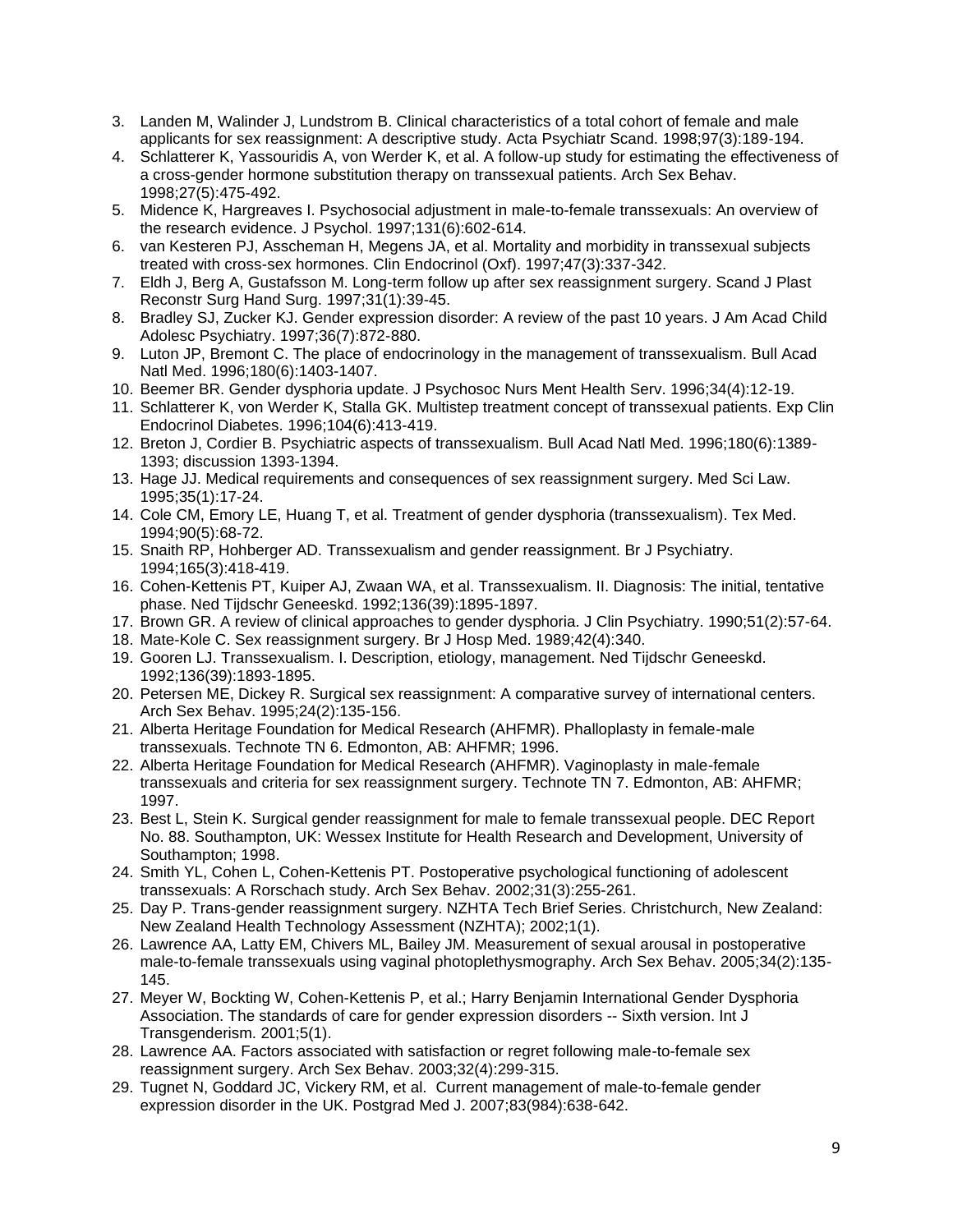- 3. Landen M, Walinder J, Lundstrom B. Clinical characteristics of a total cohort of female and male applicants for sex reassignment: A descriptive study. Acta Psychiatr Scand. 1998;97(3):189-194.
- 4. Schlatterer K, Yassouridis A, von Werder K, et al. A follow-up study for estimating the effectiveness of a cross-gender hormone substitution therapy on transsexual patients. Arch Sex Behav. 1998;27(5):475-492.
- 5. Midence K, Hargreaves I. Psychosocial adjustment in male-to-female transsexuals: An overview of the research evidence. J Psychol. 1997;131(6):602-614.
- 6. van Kesteren PJ, Asscheman H, Megens JA, et al. Mortality and morbidity in transsexual subjects treated with cross-sex hormones. Clin Endocrinol (Oxf). 1997;47(3):337-342.
- 7. Eldh J, Berg A, Gustafsson M. Long-term follow up after sex reassignment surgery. Scand J Plast Reconstr Surg Hand Surg. 1997;31(1):39-45.
- 8. Bradley SJ, Zucker KJ. Gender expression disorder: A review of the past 10 years. J Am Acad Child Adolesc Psychiatry. 1997;36(7):872-880.
- 9. Luton JP, Bremont C. The place of endocrinology in the management of transsexualism. Bull Acad Natl Med. 1996;180(6):1403-1407.
- 10. Beemer BR. Gender dysphoria update. J Psychosoc Nurs Ment Health Serv. 1996;34(4):12-19.
- 11. Schlatterer K, von Werder K, Stalla GK. Multistep treatment concept of transsexual patients. Exp Clin Endocrinol Diabetes. 1996;104(6):413-419.
- 12. Breton J, Cordier B. Psychiatric aspects of transsexualism. Bull Acad Natl Med. 1996;180(6):1389- 1393; discussion 1393-1394.
- 13. Hage JJ. Medical requirements and consequences of sex reassignment surgery. Med Sci Law. 1995;35(1):17-24.
- 14. Cole CM, Emory LE, Huang T, et al. Treatment of gender dysphoria (transsexualism). Tex Med. 1994;90(5):68-72.
- 15. Snaith RP, Hohberger AD. Transsexualism and gender reassignment. Br J Psychiatry. 1994;165(3):418-419.
- 16. Cohen-Kettenis PT, Kuiper AJ, Zwaan WA, et al. Transsexualism. II. Diagnosis: The initial, tentative phase. Ned Tijdschr Geneeskd. 1992;136(39):1895-1897.
- 17. Brown GR. A review of clinical approaches to gender dysphoria. J Clin Psychiatry. 1990;51(2):57-64.
- 18. Mate-Kole C. Sex reassignment surgery. Br J Hosp Med. 1989;42(4):340.
- 19. Gooren LJ. Transsexualism. I. Description, etiology, management. Ned Tijdschr Geneeskd. 1992;136(39):1893-1895.
- 20. Petersen ME, Dickey R. Surgical sex reassignment: A comparative survey of international centers. Arch Sex Behav. 1995;24(2):135-156.
- 21. Alberta Heritage Foundation for Medical Research (AHFMR). Phalloplasty in female-male transsexuals. Technote TN 6. Edmonton, AB: AHFMR; 1996.
- 22. Alberta Heritage Foundation for Medical Research (AHFMR). Vaginoplasty in male-female transsexuals and criteria for sex reassignment surgery. Technote TN 7. Edmonton, AB: AHFMR; 1997.
- 23. Best L, Stein K. Surgical gender reassignment for male to female transsexual people. DEC Report No. 88. Southampton, UK: Wessex Institute for Health Research and Development, University of Southampton; 1998.
- 24. Smith YL, Cohen L, Cohen-Kettenis PT. Postoperative psychological functioning of adolescent transsexuals: A Rorschach study. Arch Sex Behav. 2002;31(3):255-261.
- 25. Day P. Trans-gender reassignment surgery. NZHTA Tech Brief Series. Christchurch, New Zealand: New Zealand Health Technology Assessment (NZHTA); 2002;1(1).
- 26. Lawrence AA, Latty EM, Chivers ML, Bailey JM. Measurement of sexual arousal in postoperative male-to-female transsexuals using vaginal photoplethysmography. Arch Sex Behav. 2005;34(2):135- 145.
- 27. Meyer W, Bockting W, Cohen-Kettenis P, et al.; Harry Benjamin International Gender Dysphoria Association. The standards of care for gender expression disorders -- Sixth version. Int J Transgenderism. 2001;5(1).
- 28. Lawrence AA. Factors associated with satisfaction or regret following male-to-female sex reassignment surgery. Arch Sex Behav. 2003;32(4):299-315.
- 29. Tugnet N, Goddard JC, Vickery RM, et al. Current management of male-to-female gender expression disorder in the UK. Postgrad Med J. 2007;83(984):638-642.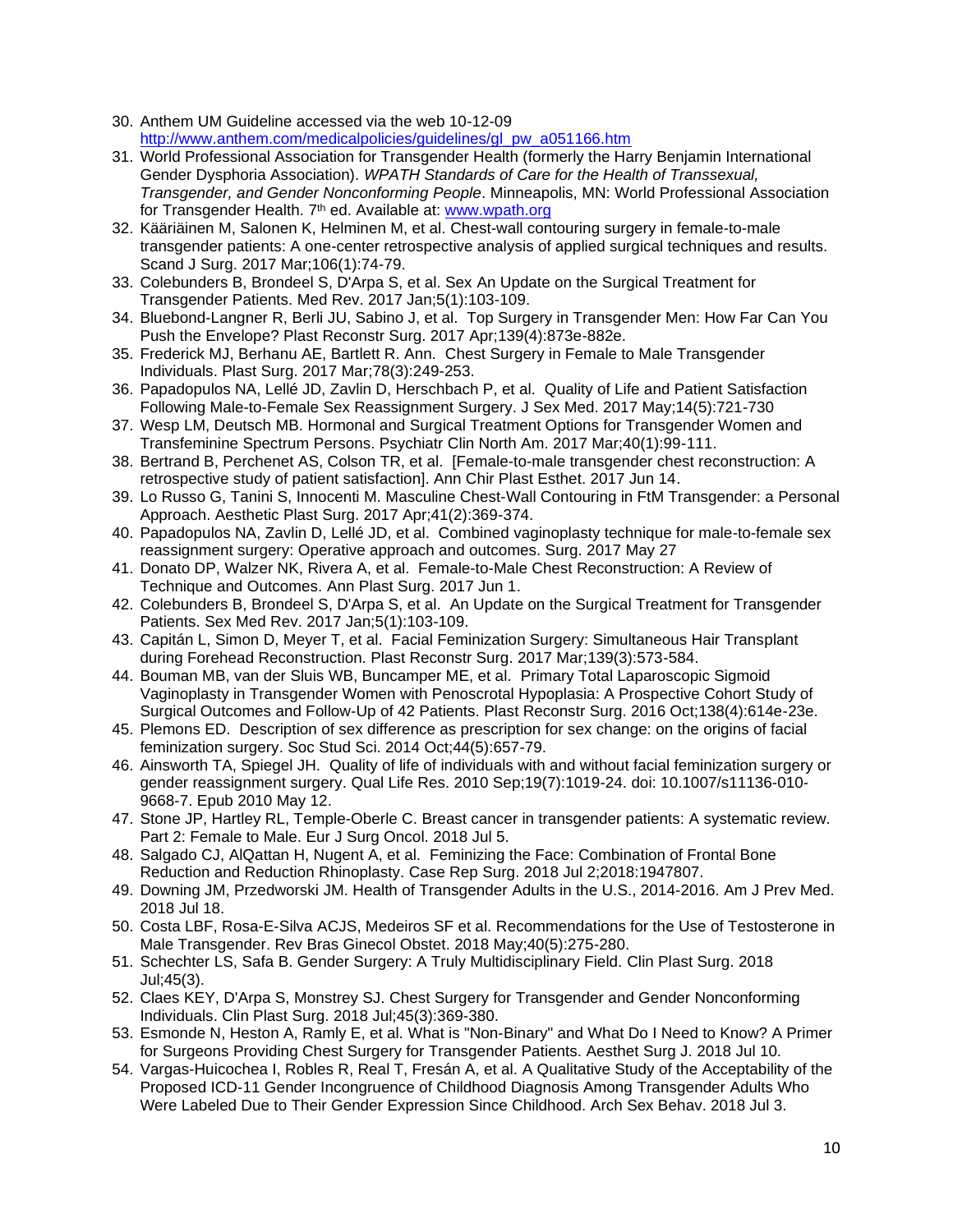- 30. Anthem UM Guideline accessed via the web 10-12-09 [http://www.anthem.com/medicalpolicies/guidelines/gl\\_pw\\_a051166.htm](http://www.anthem.com/medicalpolicies/guidelines/gl_pw_a051166.htm)
- 31. World Professional Association for Transgender Health (formerly the Harry Benjamin International Gender Dysphoria Association). *WPATH Standards of Care for the Health of Transsexual, Transgender, and Gender Nonconforming People*. Minneapolis, MN: World Professional Association for Transgender Health. 7<sup>th</sup> ed. Available at: [www.wpath.org](http://www.wpath.org/)
- 32. Kääriäinen M, Salonen K, Helminen M, et al. Chest-wall contouring surgery in female-to-male transgender patients: A one-center retrospective analysis of applied surgical techniques and results. Scand J Surg. 2017 Mar;106(1):74-79.
- 33. Colebunders B, Brondeel S, D'Arpa S, et al. Sex An Update on the Surgical Treatment for Transgender Patients. Med Rev. 2017 Jan;5(1):103-109.
- 34. Bluebond-Langner R, Berli JU, Sabino J, et al. Top Surgery in Transgender Men: How Far Can You Push the Envelope? Plast Reconstr Surg. 2017 Apr;139(4):873e-882e.
- 35. Frederick MJ, Berhanu AE, Bartlett R. Ann. Chest Surgery in Female to Male Transgender Individuals. Plast Surg. 2017 Mar;78(3):249-253.
- 36. Papadopulos NA, Lellé JD, Zavlin D, Herschbach P, et al. Quality of Life and Patient Satisfaction Following Male-to-Female Sex Reassignment Surgery. J Sex Med. 2017 May;14(5):721-730
- 37. Wesp LM, Deutsch MB. Hormonal and Surgical Treatment Options for Transgender Women and Transfeminine Spectrum Persons. Psychiatr Clin North Am. 2017 Mar;40(1):99-111.
- 38. Bertrand B, Perchenet AS, Colson TR, et al. [Female-to-male transgender chest reconstruction: A retrospective study of patient satisfaction]. Ann Chir Plast Esthet. 2017 Jun 14.
- 39. Lo Russo G, Tanini S, Innocenti M. Masculine Chest-Wall Contouring in FtM Transgender: a Personal Approach. Aesthetic Plast Surg. 2017 Apr;41(2):369-374.
- 40. Papadopulos NA, Zavlin D, Lellé JD, et al. Combined vaginoplasty technique for male-to-female sex reassignment surgery: Operative approach and outcomes. Surg. 2017 May 27
- 41. Donato DP, Walzer NK, Rivera A, et al. Female-to-Male Chest Reconstruction: A Review of Technique and Outcomes. Ann Plast Surg. 2017 Jun 1.
- 42. Colebunders B, Brondeel S, D'Arpa S, et al. An Update on the Surgical Treatment for Transgender Patients. Sex Med Rev. 2017 Jan;5(1):103-109.
- 43. Capitán L, Simon D, Meyer T, et al. Facial Feminization Surgery: Simultaneous Hair Transplant during Forehead Reconstruction. Plast Reconstr Surg. 2017 Mar;139(3):573-584.
- 44. Bouman MB, van der Sluis WB, Buncamper ME, et al. Primary Total Laparoscopic Sigmoid Vaginoplasty in Transgender Women with Penoscrotal Hypoplasia: A Prospective Cohort Study of Surgical Outcomes and Follow-Up of 42 Patients. Plast Reconstr Surg. 2016 Oct;138(4):614e-23e.
- 45. Plemons ED. Description of sex difference as prescription for sex change: on the origins of facial feminization surgery. Soc Stud Sci. 2014 Oct;44(5):657-79.
- 46. Ainsworth TA, Spiegel JH. Quality of life of individuals with and without facial feminization surgery or gender reassignment surgery. Qual Life Res. 2010 Sep;19(7):1019-24. doi: 10.1007/s11136-010- 9668-7. Epub 2010 May 12.
- 47. Stone JP, Hartley RL, Temple-Oberle C. Breast cancer in transgender patients: A systematic review. Part 2: Female to Male. [Eur J Surg Oncol.](https://www.ncbi.nlm.nih.gov/pubmed/30037639) 2018 Jul 5.
- 48. Salgado CJ, AlQattan H, Nugent A, et al. [Feminizing the Face: Combination of Frontal Bone](https://www.ncbi.nlm.nih.gov/pubmed/30057846)  [Reduction and Reduction Rhinoplasty.](https://www.ncbi.nlm.nih.gov/pubmed/30057846) Case Rep Surg. 2018 Jul 2;2018:1947807.
- 49. Downing JM, Przedworski JM. Health of Transgender [Adults in the U.S., 2014-2016.](https://www.ncbi.nlm.nih.gov/pubmed/30031640) Am J Prev Med. 2018 Jul 18.
- 50. Costa LBF, Rosa-E-Silva ACJS, Medeiros SF et al. [Recommendations for the Use of Testosterone in](https://www.ncbi.nlm.nih.gov/pubmed/29913543)  [Male Transgender.](https://www.ncbi.nlm.nih.gov/pubmed/29913543) Rev Bras Ginecol Obstet. 2018 May;40(5):275-280.
- 51. Schechter LS, Safa B. [Gender Surgery: A Truly Multidisciplinary Field.](https://www.ncbi.nlm.nih.gov/pubmed/29908634) Clin Plast Surg. 2018 Jul;45(3).
- 52. Claes KEY, D'Arpa S, Monstrey SJ. [Chest Surgery for Transgender](https://www.ncbi.nlm.nih.gov/pubmed/29908625) and Gender Nonconforming [Individuals.](https://www.ncbi.nlm.nih.gov/pubmed/29908625) Clin Plast Surg. 2018 Jul;45(3):369-380.
- 53. Esmonde N, Heston A, Ramly E, et al. [What is "Non-Binary" and What Do I Need to Know? A Primer](https://www.ncbi.nlm.nih.gov/pubmed/30007346)  [for Surgeons Providing Chest Surgery for Transgender](https://www.ncbi.nlm.nih.gov/pubmed/30007346) Patients. Aesthet Surg J. 2018 Jul 10.
- 54. Vargas-Huicochea I, Robles R, Real T, Fresán A, et al. [A Qualitative Study of the Acceptability of the](https://www.ncbi.nlm.nih.gov/pubmed/29971651)  [Proposed ICD-11 Gender Incongruence of Childhood Diagnosis Among Transgender](https://www.ncbi.nlm.nih.gov/pubmed/29971651) Adults Who [Were Labeled Due to Their Gender Expression](https://www.ncbi.nlm.nih.gov/pubmed/29971651) Since Childhood. Arch Sex Behav. 2018 Jul 3.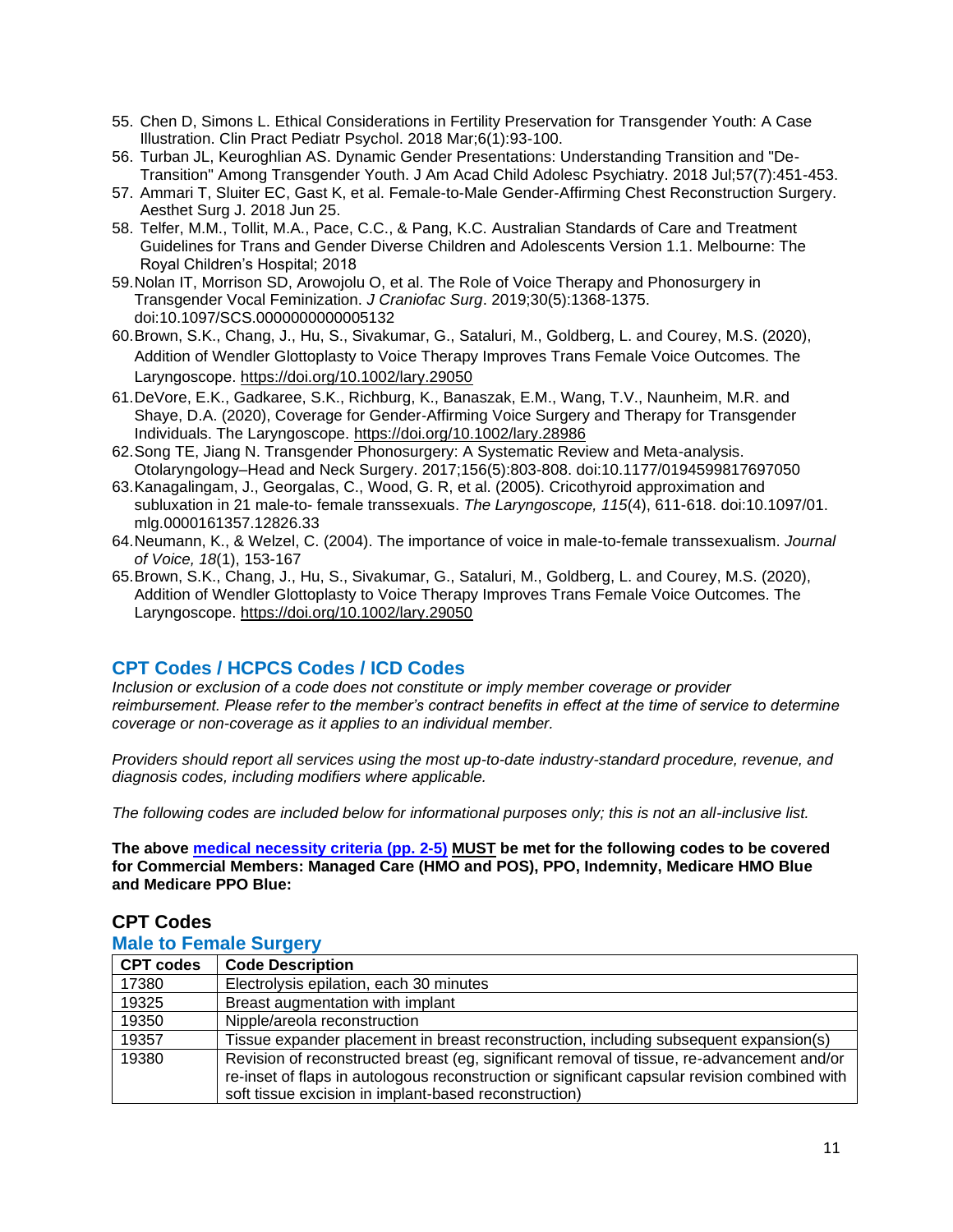- 55. Chen D, Simons L. [Ethical Considerations in Fertility Preservation for Transgender](https://www.ncbi.nlm.nih.gov/pubmed/29963344) Youth: A Case [Illustration.](https://www.ncbi.nlm.nih.gov/pubmed/29963344) Clin Pract Pediatr Psychol. 2018 Mar;6(1):93-100.
- 56. Turban JL, Keuroghlian AS. [Dynamic Gender Presentations: Understanding Transition and "De-](https://www.ncbi.nlm.nih.gov/pubmed/29960687)[Transition" Among Transgender](https://www.ncbi.nlm.nih.gov/pubmed/29960687) Youth. J Am Acad Child Adolesc Psychiatry. 2018 Jul;57(7):451-453.
- 57. Ammari T, Sluiter EC, Gast K, et al. [Female-to-Male Gender-Affirming Chest Reconstruction Surgery.](https://www.ncbi.nlm.nih.gov/pubmed/29945235) Aesthet Surg J. 2018 Jun 25.
- 58. Telfer, M.M., Tollit, M.A., Pace, C.C., & Pang, K.C. Australian Standards of Care and Treatment Guidelines for Trans and Gender Diverse Children and Adolescents Version 1.1. Melbourne: The Royal Children's Hospital; 2018
- 59.Nolan IT, Morrison SD, Arowojolu O, et al. The Role of Voice Therapy and Phonosurgery in Transgender Vocal Feminization. *J Craniofac Surg*. 2019;30(5):1368-1375. doi:10.1097/SCS.0000000000005132
- 60.Brown, S.K., Chang, J., Hu, S., Sivakumar, G., Sataluri, M., Goldberg, L. and Courey, M.S. (2020), Addition of Wendler Glottoplasty to Voice Therapy Improves Trans Female Voice Outcomes. The Laryngoscope. <https://doi.org/10.1002/lary.29050>
- 61.DeVore, E.K., Gadkaree, S.K., Richburg, K., Banaszak, E.M., Wang, T.V., Naunheim, M.R. and Shaye, D.A. (2020), Coverage for Gender‐Affirming Voice Surgery and Therapy for Transgender Individuals. The Laryngoscope. <https://doi.org/10.1002/lary.28986>
- 62.Song TE, Jiang N. Transgender Phonosurgery: A Systematic Review and Meta-analysis. Otolaryngology–Head and Neck Surgery. 2017;156(5):803-808. doi:10.1177/0194599817697050
- 63.Kanagalingam, J., Georgalas, C., Wood, G. R, et al. (2005). Cricothyroid approximation and subluxation in 21 male-to- female transsexuals. *The Laryngoscope, 115*(4), 611-618. doi:10.1097/01. mlg.0000161357.12826.33
- 64.Neumann, K., & Welzel, C. (2004). The importance of voice in male-to-female transsexualism. *Journal of Voice, 18*(1), 153-167
- 65.Brown, S.K., Chang, J., Hu, S., Sivakumar, G., Sataluri, M., Goldberg, L. and Courey, M.S. (2020), Addition of Wendler Glottoplasty to Voice Therapy Improves Trans Female Voice Outcomes. The Laryngoscope. <https://doi.org/10.1002/lary.29050>

## <span id="page-10-0"></span>**CPT Codes / HCPCS Codes / ICD Codes**

*Inclusion or exclusion of a code does not constitute or imply member coverage or provider reimbursement. Please refer to the member's contract benefits in effect at the time of service to determine coverage or non-coverage as it applies to an individual member.* 

*Providers should report all services using the most up-to-date industry-standard procedure, revenue, and diagnosis codes, including modifiers where applicable.*

*The following codes are included below for informational purposes only; this is not an all-inclusive list.*

**The above medical necessity criteria (pp. 2-5) MUST be met for the following codes to be covered for Commercial Members: Managed Care (HMO and POS), PPO, Indemnity, Medicare HMO Blue and Medicare PPO Blue:**

| <b>Male to Female Surgery</b> |                                                                                                                                                                                                                                                      |  |
|-------------------------------|------------------------------------------------------------------------------------------------------------------------------------------------------------------------------------------------------------------------------------------------------|--|
| <b>CPT codes</b>              | <b>Code Description</b>                                                                                                                                                                                                                              |  |
| 17380                         | Electrolysis epilation, each 30 minutes                                                                                                                                                                                                              |  |
| 19325                         | Breast augmentation with implant                                                                                                                                                                                                                     |  |
| 19350                         | Nipple/areola reconstruction                                                                                                                                                                                                                         |  |
| 19357                         | Tissue expander placement in breast reconstruction, including subsequent expansion(s)                                                                                                                                                                |  |
| 19380                         | Revision of reconstructed breast (eg, significant removal of tissue, re-advancement and/or<br>re-inset of flaps in autologous reconstruction or significant capsular revision combined with<br>soft tissue excision in implant-based reconstruction) |  |

## **CPT Codes**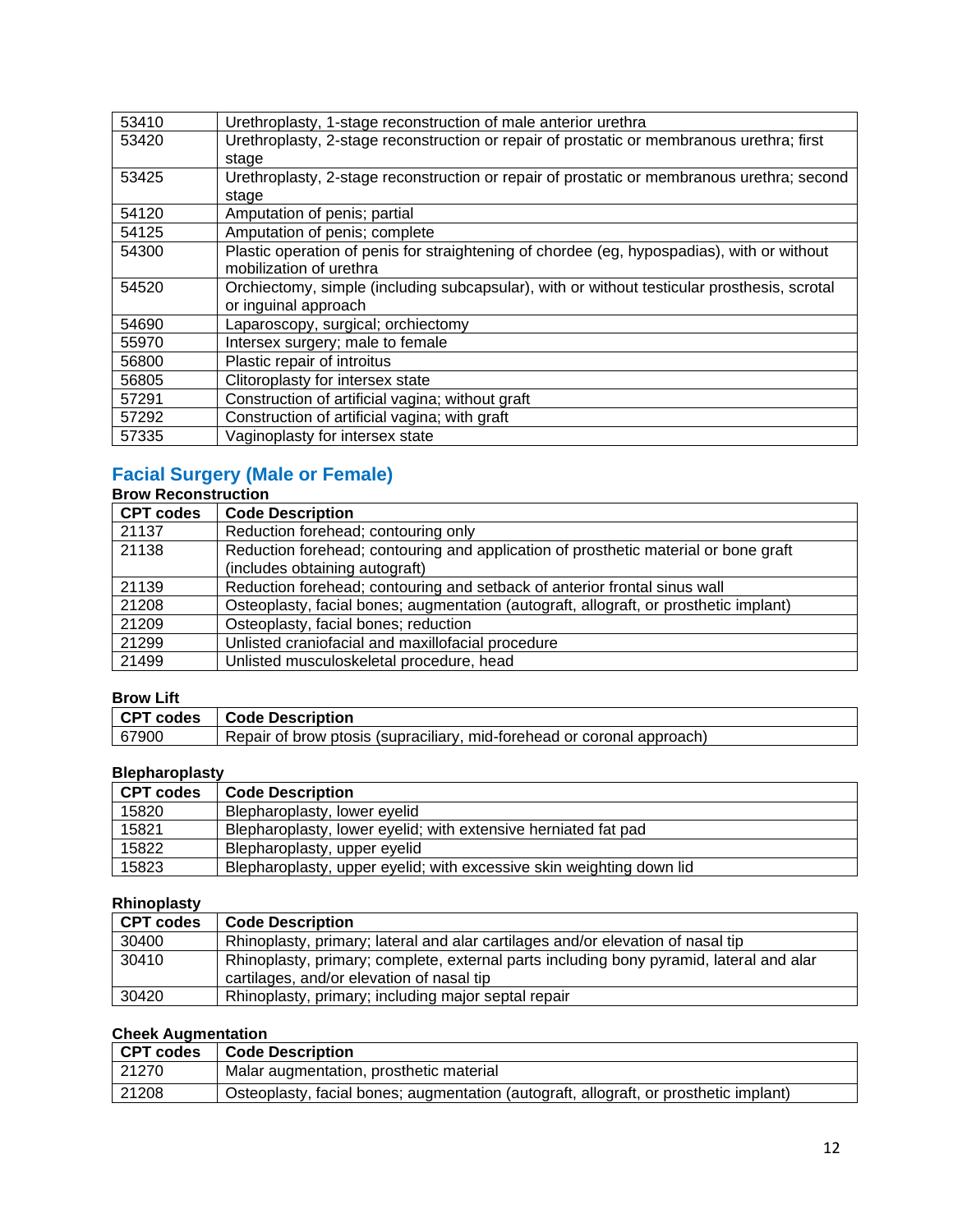| 53410 | Urethroplasty, 1-stage reconstruction of male anterior urethra                              |
|-------|---------------------------------------------------------------------------------------------|
| 53420 | Urethroplasty, 2-stage reconstruction or repair of prostatic or membranous urethra; first   |
|       | stage                                                                                       |
| 53425 | Urethroplasty, 2-stage reconstruction or repair of prostatic or membranous urethra; second  |
|       | stage                                                                                       |
| 54120 | Amputation of penis; partial                                                                |
| 54125 | Amputation of penis; complete                                                               |
| 54300 | Plastic operation of penis for straightening of chordee (eg, hypospadias), with or without  |
|       | mobilization of urethra                                                                     |
| 54520 | Orchiectomy, simple (including subcapsular), with or without testicular prosthesis, scrotal |
|       | or inguinal approach                                                                        |
| 54690 | Laparoscopy, surgical; orchiectomy                                                          |
| 55970 | Intersex surgery; male to female                                                            |
| 56800 | Plastic repair of introitus                                                                 |
| 56805 | Clitoroplasty for intersex state                                                            |
| 57291 | Construction of artificial vagina; without graft                                            |
| 57292 | Construction of artificial vagina; with graft                                               |
| 57335 | Vaginoplasty for intersex state                                                             |

## **Facial Surgery (Male or Female)**

### **Brow Reconstruction**

| <b>CPT codes</b> | <b>Code Description</b>                                                               |
|------------------|---------------------------------------------------------------------------------------|
| 21137            | Reduction forehead; contouring only                                                   |
| 21138            | Reduction forehead; contouring and application of prosthetic material or bone graft   |
|                  | (includes obtaining autograft)                                                        |
| 21139            | Reduction forehead; contouring and setback of anterior frontal sinus wall             |
| 21208            | Osteoplasty, facial bones; augmentation (autograft, allograft, or prosthetic implant) |
| 21209            | Osteoplasty, facial bones; reduction                                                  |
| 21299            | Unlisted craniofacial and maxillofacial procedure                                     |
| 21499            | Unlisted musculoskeletal procedure, head                                              |

### **Brow Lift**

| PIVW LIIL |                                                                        |
|-----------|------------------------------------------------------------------------|
| CPT codes | <b>Code Description</b>                                                |
| 67900     | Repair of brow ptosis (supraciliary, mid-forehead or coronal approach) |

## **Blepharoplasty**

| <b>CPT codes</b> | <b>Code Description</b>                                              |
|------------------|----------------------------------------------------------------------|
| 15820            | Blepharoplasty, lower eyelid                                         |
| 15821            | Blepharoplasty, lower eyelid; with extensive herniated fat pad       |
| 15822            | Blepharoplasty, upper eyelid                                         |
| 15823            | Blepharoplasty, upper eyelid; with excessive skin weighting down lid |

## **Rhinoplasty**

| <b>CPT codes</b> | <b>Code Description</b>                                                                                                              |
|------------------|--------------------------------------------------------------------------------------------------------------------------------------|
| 30400            | Rhinoplasty, primary; lateral and alar cartilages and/or elevation of nasal tip                                                      |
| 30410            | Rhinoplasty, primary; complete, external parts including bony pyramid, lateral and alar<br>cartilages, and/or elevation of nasal tip |
| 30420            | Rhinoplasty, primary; including major septal repair                                                                                  |

## **Cheek Augmentation**

| CPT codes | <b>Code Description</b>                                                               |
|-----------|---------------------------------------------------------------------------------------|
| 21270     | Malar augmentation, prosthetic material                                               |
| 21208     | Osteoplasty, facial bones; augmentation (autograft, allograft, or prosthetic implant) |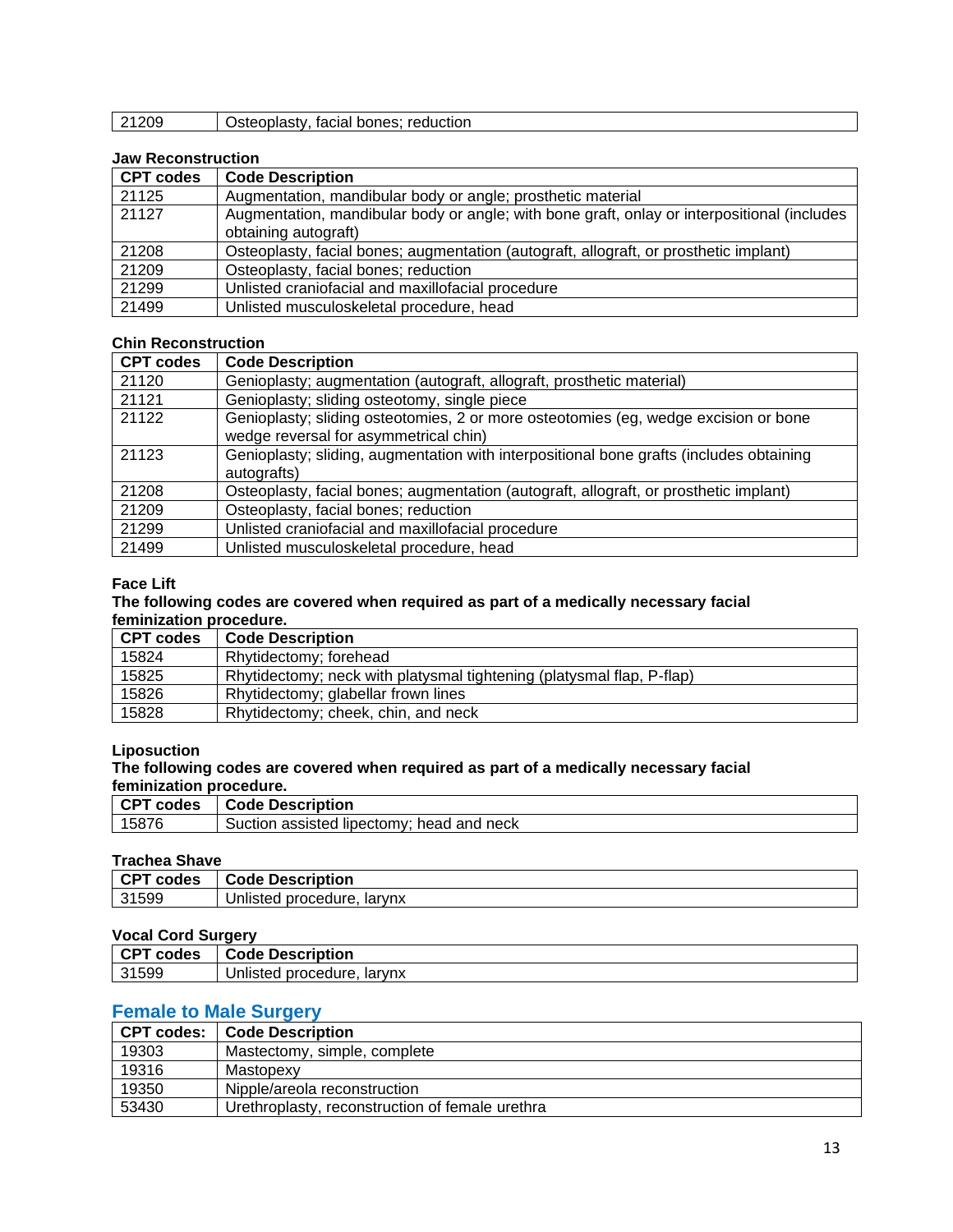| 21209 | Osteoplasty, facial bones; reduction |  |
|-------|--------------------------------------|--|
|-------|--------------------------------------|--|

### **Jaw Reconstruction**

| <b>CPT codes</b> | <b>Code Description</b>                                                                     |
|------------------|---------------------------------------------------------------------------------------------|
| 21125            | Augmentation, mandibular body or angle; prosthetic material                                 |
| 21127            | Augmentation, mandibular body or angle; with bone graft, onlay or interpositional (includes |
|                  | obtaining autograft)                                                                        |
| 21208            | Osteoplasty, facial bones; augmentation (autograft, allograft, or prosthetic implant)       |
| 21209            | Osteoplasty, facial bones; reduction                                                        |
| 21299            | Unlisted craniofacial and maxillofacial procedure                                           |
| 21499            | Unlisted musculoskeletal procedure, head                                                    |

### **Chin Reconstruction**

| <b>CPT codes</b> | <b>Code Description</b>                                                                                                      |
|------------------|------------------------------------------------------------------------------------------------------------------------------|
| 21120            | Genioplasty; augmentation (autograft, allograft, prosthetic material)                                                        |
| 21121            | Genioplasty; sliding osteotomy, single piece                                                                                 |
| 21122            | Genioplasty; sliding osteotomies, 2 or more osteotomies (eg, wedge excision or bone<br>wedge reversal for asymmetrical chin) |
| 21123            | Genioplasty; sliding, augmentation with interpositional bone grafts (includes obtaining<br>autografts)                       |
| 21208            | Osteoplasty, facial bones; augmentation (autograft, allograft, or prosthetic implant)                                        |
| 21209            | Osteoplasty, facial bones; reduction                                                                                         |
| 21299            | Unlisted craniofacial and maxillofacial procedure                                                                            |
| 21499            | Unlisted musculoskeletal procedure, head                                                                                     |

### **Face Lift**

#### **The following codes are covered when required as part of a medically necessary facial feminization procedure.**

| <b>CPT codes</b> | <b>Code Description</b>                                               |
|------------------|-----------------------------------------------------------------------|
| 15824            | Rhytidectomy; forehead                                                |
| 15825            | Rhytidectomy; neck with platysmal tightening (platysmal flap, P-flap) |
| 15826            | Rhytidectomy; glabellar frown lines                                   |
| 15828            | Rhytidectomy; cheek, chin, and neck                                   |

#### **Liposuction**

### **The following codes are covered when required as part of a medically necessary facial feminization procedure.**

| <b>CDT</b><br>codes | Code Description                                      |
|---------------------|-------------------------------------------------------|
| 15876               | and neck<br>assisted<br>head<br>Indectomy:<br>Suction |
|                     |                                                       |

### **Trachea Shave**

| . CDT | <b>Description</b>                      |
|-------|-----------------------------------------|
| codes | Code                                    |
| 31599 | larvnx<br>. н<br>procedure.<br>Inlisted |

### **Vocal Cord Surgery**

| 1800           |                                   |
|----------------|-----------------------------------|
| . CDT<br>codes | <b>Code Description</b>           |
| 31599          | procedure.<br>larvnx<br>Unlisted: |

## **Female to Male Surgery**

|       | CPT codes:   Code Description                   |
|-------|-------------------------------------------------|
| 19303 | Mastectomy, simple, complete                    |
| 19316 | Mastopexy                                       |
| 19350 | Nipple/areola reconstruction                    |
| 53430 | Urethroplasty, reconstruction of female urethra |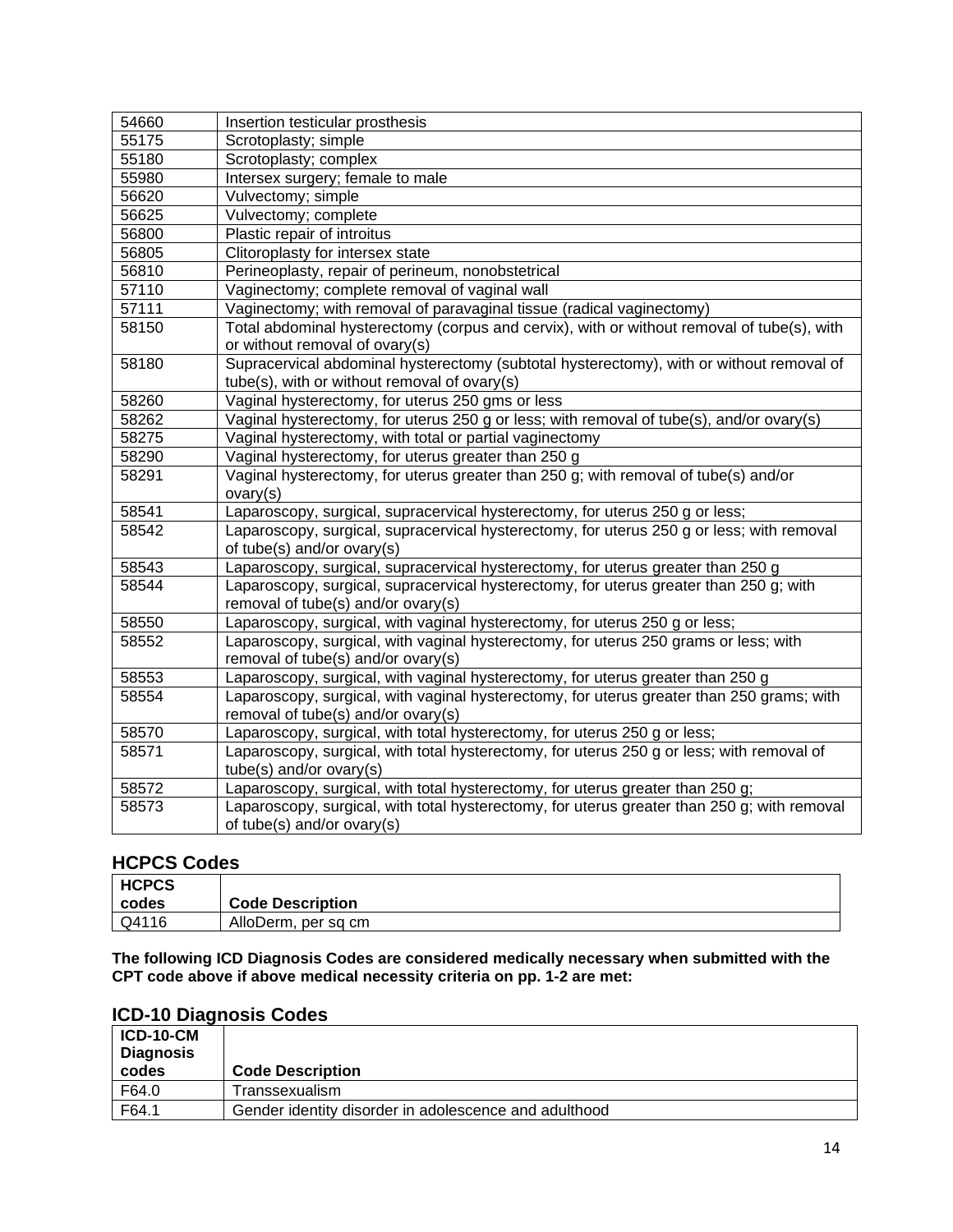| 54660 | Insertion testicular prosthesis                                                             |
|-------|---------------------------------------------------------------------------------------------|
| 55175 | Scrotoplasty; simple                                                                        |
| 55180 | Scrotoplasty; complex                                                                       |
| 55980 | Intersex surgery; female to male                                                            |
| 56620 | Vulvectomy; simple                                                                          |
| 56625 | Vulvectomy; complete                                                                        |
| 56800 | Plastic repair of introitus                                                                 |
| 56805 | Clitoroplasty for intersex state                                                            |
| 56810 | Perineoplasty, repair of perineum, nonobstetrical                                           |
| 57110 | Vaginectomy; complete removal of vaginal wall                                               |
| 57111 | Vaginectomy; with removal of paravaginal tissue (radical vaginectomy)                       |
| 58150 | Total abdominal hysterectomy (corpus and cervix), with or without removal of tube(s), with  |
|       | or without removal of ovary(s)                                                              |
| 58180 | Supracervical abdominal hysterectomy (subtotal hysterectomy), with or without removal of    |
|       | tube(s), with or without removal of ovary(s)                                                |
| 58260 | Vaginal hysterectomy, for uterus 250 gms or less                                            |
| 58262 | Vaginal hysterectomy, for uterus 250 g or less; with removal of tube(s), and/or ovary(s)    |
| 58275 | Vaginal hysterectomy, with total or partial vaginectomy                                     |
| 58290 | Vaginal hysterectomy, for uterus greater than 250 g                                         |
| 58291 | Vaginal hysterectomy, for uterus greater than 250 g; with removal of tube(s) and/or         |
|       | ovary(s)                                                                                    |
| 58541 | Laparoscopy, surgical, supracervical hysterectomy, for uterus 250 g or less;                |
| 58542 | Laparoscopy, surgical, supracervical hysterectomy, for uterus 250 g or less; with removal   |
|       | of tube(s) and/or ovary(s)                                                                  |
| 58543 | Laparoscopy, surgical, supracervical hysterectomy, for uterus greater than 250 g            |
| 58544 | Laparoscopy, surgical, supracervical hysterectomy, for uterus greater than 250 g; with      |
|       | removal of tube(s) and/or ovary(s)                                                          |
| 58550 | Laparoscopy, surgical, with vaginal hysterectomy, for uterus 250 g or less;                 |
| 58552 | Laparoscopy, surgical, with vaginal hysterectomy, for uterus 250 grams or less; with        |
|       | removal of tube(s) and/or ovary(s)                                                          |
| 58553 | Laparoscopy, surgical, with vaginal hysterectomy, for uterus greater than 250 g             |
| 58554 | Laparoscopy, surgical, with vaginal hysterectomy, for uterus greater than 250 grams; with   |
|       | removal of tube(s) and/or ovary(s)                                                          |
| 58570 | Laparoscopy, surgical, with total hysterectomy, for uterus 250 g or less;                   |
| 58571 | Laparoscopy, surgical, with total hysterectomy, for uterus 250 g or less; with removal of   |
|       | tube(s) and/or ovary(s)                                                                     |
| 58572 | Laparoscopy, surgical, with total hysterectomy, for uterus greater than 250 g;              |
| 58573 | Laparoscopy, surgical, with total hysterectomy, for uterus greater than 250 g; with removal |
|       | of tube(s) and/or ovary(s)                                                                  |

## **HCPCS Codes**

| <b>HCPCS</b> |                         |
|--------------|-------------------------|
| codes        | <b>Code Description</b> |
| Q4116        | AlloDerm, per sq cm     |

**The following ICD Diagnosis Codes are considered medically necessary when submitted with the CPT code above if above medical necessity criteria on pp. 1-2 are met:**

## **ICD-10 Diagnosis Codes**

| <b>ICD-10-CM</b><br><b>Diagnosis</b><br>codes | <b>Code Description</b>                               |
|-----------------------------------------------|-------------------------------------------------------|
| F64.0                                         | Transsexualism                                        |
| F64.1                                         | Gender identity disorder in adolescence and adulthood |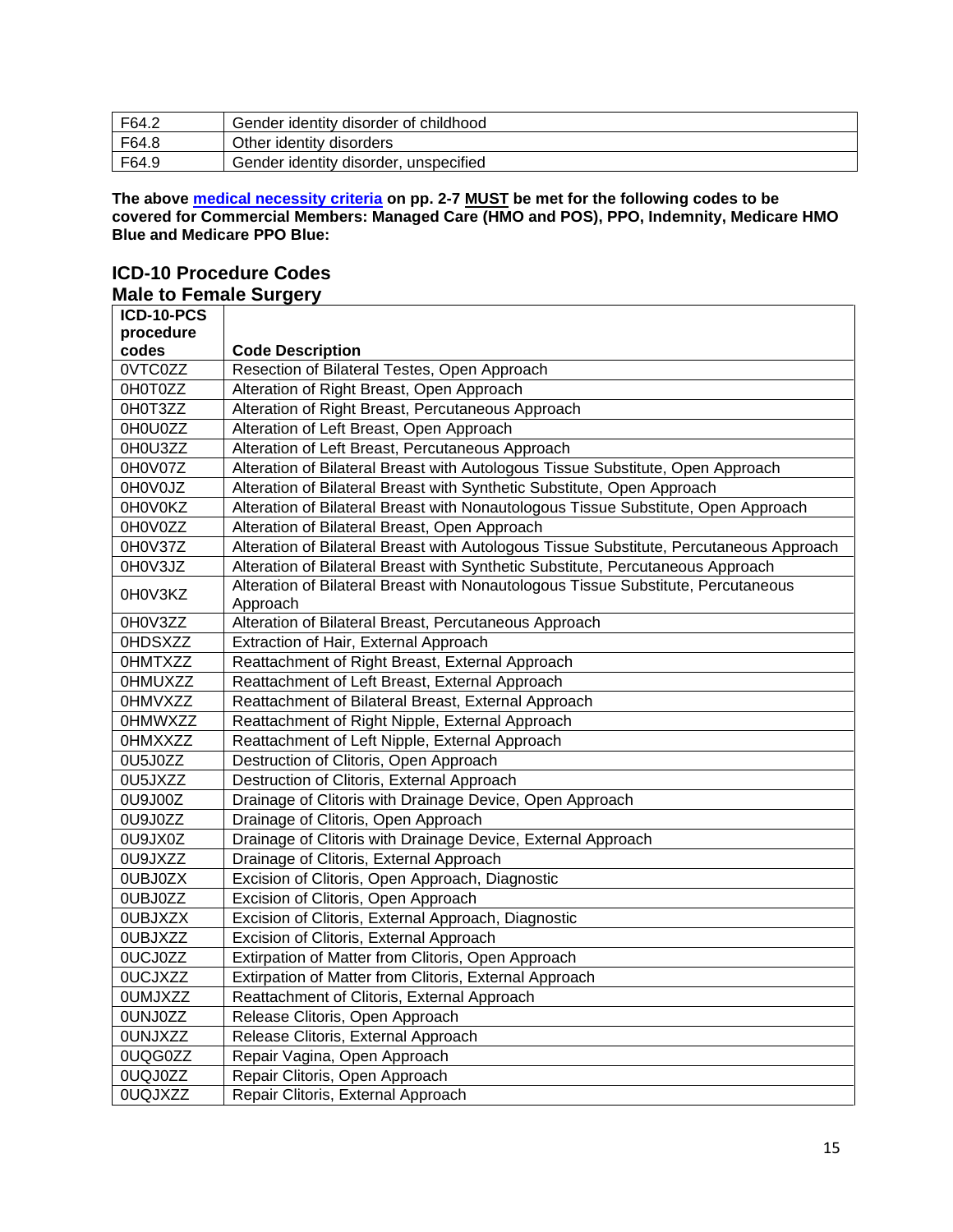| F64.2 | Gender identity disorder of childhood |
|-------|---------------------------------------|
| F64.8 | Other identity disorders              |
| F64.9 | Gender identity disorder, unspecified |

**The above medical necessity criteria on pp. 2-7 MUST be met for the following codes to be covered for Commercial Members: Managed Care (HMO and POS), PPO, Indemnity, Medicare HMO Blue and Medicare PPO Blue:**

### **ICD-10 Procedure Codes Male to Female Surgery**

| ICD-10-PCS     |                                                                                         |
|----------------|-----------------------------------------------------------------------------------------|
| procedure      |                                                                                         |
| codes          | <b>Code Description</b>                                                                 |
| 0VTC0ZZ        | Resection of Bilateral Testes, Open Approach                                            |
| OH0T0ZZ        | Alteration of Right Breast, Open Approach                                               |
| 0H0T3ZZ        | Alteration of Right Breast, Percutaneous Approach                                       |
| 0H0U0ZZ        | Alteration of Left Breast, Open Approach                                                |
| 0H0U3ZZ        | Alteration of Left Breast, Percutaneous Approach                                        |
| 0H0V07Z        | Alteration of Bilateral Breast with Autologous Tissue Substitute, Open Approach         |
| 0H0V0JZ        | Alteration of Bilateral Breast with Synthetic Substitute, Open Approach                 |
| 0H0V0KZ        | Alteration of Bilateral Breast with Nonautologous Tissue Substitute, Open Approach      |
| 0H0V0ZZ        | Alteration of Bilateral Breast, Open Approach                                           |
| 0H0V37Z        | Alteration of Bilateral Breast with Autologous Tissue Substitute, Percutaneous Approach |
| 0H0V3JZ        | Alteration of Bilateral Breast with Synthetic Substitute, Percutaneous Approach         |
| 0H0V3KZ        | Alteration of Bilateral Breast with Nonautologous Tissue Substitute, Percutaneous       |
| 0H0V3ZZ        | Approach<br>Alteration of Bilateral Breast, Percutaneous Approach                       |
| 0HDSXZZ        | Extraction of Hair, External Approach                                                   |
| <b>OHMTXZZ</b> | Reattachment of Right Breast, External Approach                                         |
| <b>OHMUXZZ</b> | Reattachment of Left Breast, External Approach                                          |
| <b>OHMVXZZ</b> | Reattachment of Bilateral Breast, External Approach                                     |
| <b>OHMWXZZ</b> | Reattachment of Right Nipple, External Approach                                         |
| <b>OHMXXZZ</b> | Reattachment of Left Nipple, External Approach                                          |
| 0U5J0ZZ        | Destruction of Clitoris, Open Approach                                                  |
| 0U5JXZZ        | Destruction of Clitoris, External Approach                                              |
| 0U9J00Z        | Drainage of Clitoris with Drainage Device, Open Approach                                |
| 0U9J0ZZ        | Drainage of Clitoris, Open Approach                                                     |
| 0U9JX0Z        | Drainage of Clitoris with Drainage Device, External Approach                            |
| 0U9JXZZ        | Drainage of Clitoris, External Approach                                                 |
| 0UBJ0ZX        | Excision of Clitoris, Open Approach, Diagnostic                                         |
| 0UBJ0ZZ        | Excision of Clitoris, Open Approach                                                     |
| 0UBJXZX        | Excision of Clitoris, External Approach, Diagnostic                                     |
| 0UBJXZZ        | Excision of Clitoris, External Approach                                                 |
| 0UCJ0ZZ        | Extirpation of Matter from Clitoris, Open Approach                                      |
| 0UCJXZZ        | Extirpation of Matter from Clitoris, External Approach                                  |
| <b>OUMJXZZ</b> | Reattachment of Clitoris, External Approach                                             |
| 0UNJ0ZZ        | Release Clitoris, Open Approach                                                         |
| <b>OUNJXZZ</b> | Release Clitoris, External Approach                                                     |
| 0UQG0ZZ        | Repair Vagina, Open Approach                                                            |
| 0UQJ0ZZ        | Repair Clitoris, Open Approach                                                          |
| 0UQJXZZ        | Repair Clitoris, External Approach                                                      |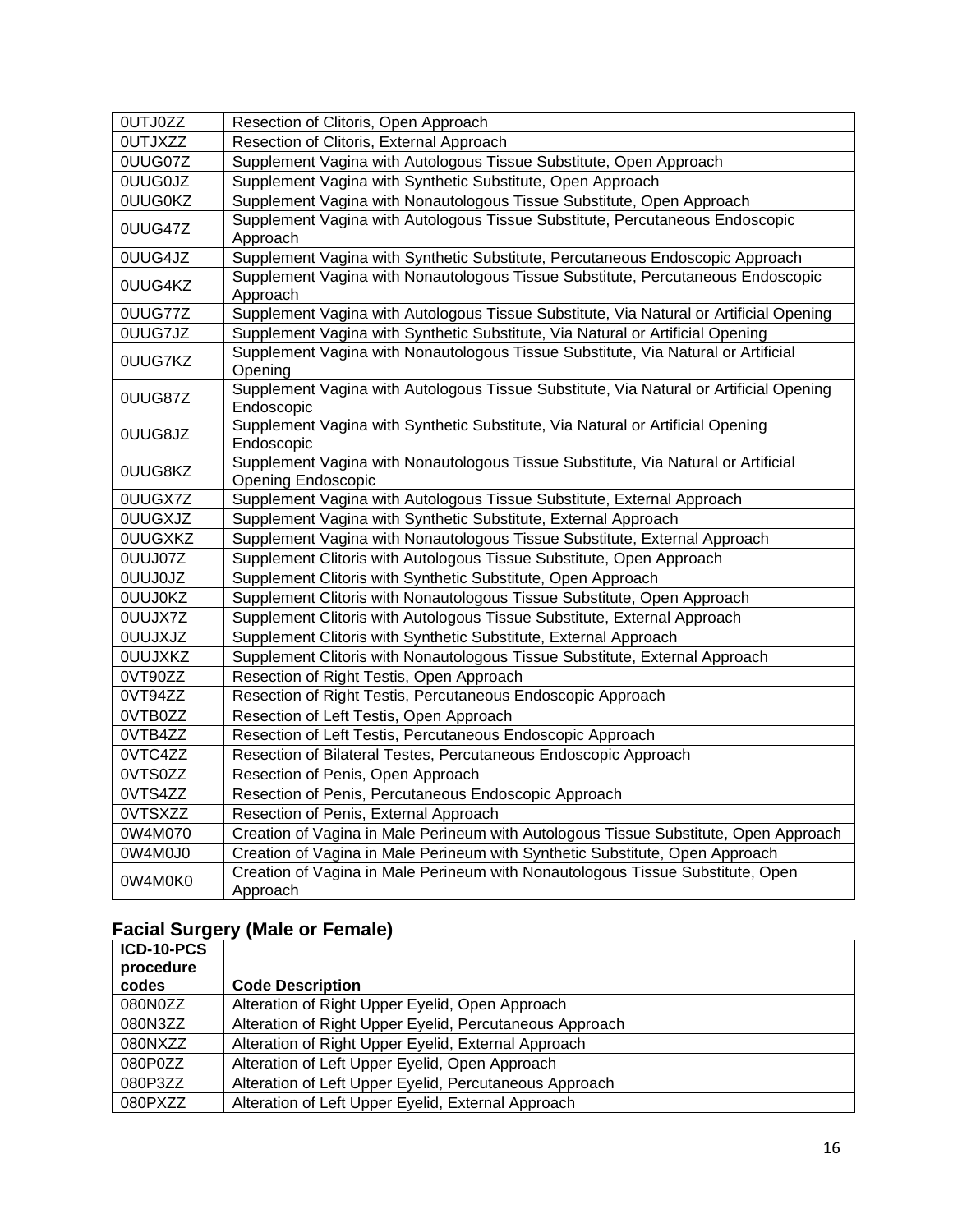| <b>OUTJ0ZZ</b> | Resection of Clitoris, Open Approach                                                                           |
|----------------|----------------------------------------------------------------------------------------------------------------|
| <b>OUTJXZZ</b> | Resection of Clitoris, External Approach                                                                       |
| 0UUG07Z        | Supplement Vagina with Autologous Tissue Substitute, Open Approach                                             |
| <b>OUUGOJZ</b> | Supplement Vagina with Synthetic Substitute, Open Approach                                                     |
| <b>OUUGOKZ</b> | Supplement Vagina with Nonautologous Tissue Substitute, Open Approach                                          |
| 0UUG47Z        | Supplement Vagina with Autologous Tissue Substitute, Percutaneous Endoscopic<br>Approach                       |
| 0UUG4JZ        | Supplement Vagina with Synthetic Substitute, Percutaneous Endoscopic Approach                                  |
| 0UUG4KZ        | Supplement Vagina with Nonautologous Tissue Substitute, Percutaneous Endoscopic<br>Approach                    |
| 0UUG77Z        | Supplement Vagina with Autologous Tissue Substitute, Via Natural or Artificial Opening                         |
| 0UUG7JZ        | Supplement Vagina with Synthetic Substitute, Via Natural or Artificial Opening                                 |
| 0UUG7KZ        | Supplement Vagina with Nonautologous Tissue Substitute, Via Natural or Artificial<br>Opening                   |
| 0UUG87Z        | Supplement Vagina with Autologous Tissue Substitute, Via Natural or Artificial Opening<br>Endoscopic           |
| 0UUG8JZ        | Supplement Vagina with Synthetic Substitute, Via Natural or Artificial Opening<br>Endoscopic                   |
| 0UUG8KZ        | Supplement Vagina with Nonautologous Tissue Substitute, Via Natural or Artificial<br><b>Opening Endoscopic</b> |
| 0UUGX7Z        | Supplement Vagina with Autologous Tissue Substitute, External Approach                                         |
| <b>OUUGXJZ</b> | Supplement Vagina with Synthetic Substitute, External Approach                                                 |
| <b>OUUGXKZ</b> | Supplement Vagina with Nonautologous Tissue Substitute, External Approach                                      |
| 0UUJ07Z        | Supplement Clitoris with Autologous Tissue Substitute, Open Approach                                           |
| <b>OUUJOJZ</b> | Supplement Clitoris with Synthetic Substitute, Open Approach                                                   |
| <b>OUUJOKZ</b> | Supplement Clitoris with Nonautologous Tissue Substitute, Open Approach                                        |
| 0UUJX7Z        | Supplement Clitoris with Autologous Tissue Substitute, External Approach                                       |
| <b>OUUJXJZ</b> | Supplement Clitoris with Synthetic Substitute, External Approach                                               |
| <b>OUUJXKZ</b> | Supplement Clitoris with Nonautologous Tissue Substitute, External Approach                                    |
| 0VT90ZZ        | Resection of Right Testis, Open Approach                                                                       |
| 0VT94ZZ        | Resection of Right Testis, Percutaneous Endoscopic Approach                                                    |
| 0VTB0ZZ        | Resection of Left Testis, Open Approach                                                                        |
| 0VTB4ZZ        | Resection of Left Testis, Percutaneous Endoscopic Approach                                                     |
| 0VTC4ZZ        | Resection of Bilateral Testes, Percutaneous Endoscopic Approach                                                |
| 0VTS0ZZ        | Resection of Penis, Open Approach                                                                              |
| 0VTS4ZZ        | Resection of Penis, Percutaneous Endoscopic Approach                                                           |
| 0VTSXZZ        | Resection of Penis, External Approach                                                                          |
| 0W4M070        | Creation of Vagina in Male Perineum with Autologous Tissue Substitute, Open Approach                           |
| 0W4M0J0        | Creation of Vagina in Male Perineum with Synthetic Substitute, Open Approach                                   |
| 0W4M0K0        | Creation of Vagina in Male Perineum with Nonautologous Tissue Substitute, Open<br>Approach                     |

# **Facial Surgery (Male or Female)**

| ICD-10-PCS<br>procedure |                                                         |
|-------------------------|---------------------------------------------------------|
| codes                   | <b>Code Description</b>                                 |
| 080N0ZZ                 | Alteration of Right Upper Eyelid, Open Approach         |
| 080N3ZZ                 | Alteration of Right Upper Eyelid, Percutaneous Approach |
| 080NXZZ                 | Alteration of Right Upper Eyelid, External Approach     |
| 080P0ZZ                 | Alteration of Left Upper Eyelid, Open Approach          |
| 080P3ZZ                 | Alteration of Left Upper Eyelid, Percutaneous Approach  |
| 080PXZZ                 | Alteration of Left Upper Eyelid, External Approach      |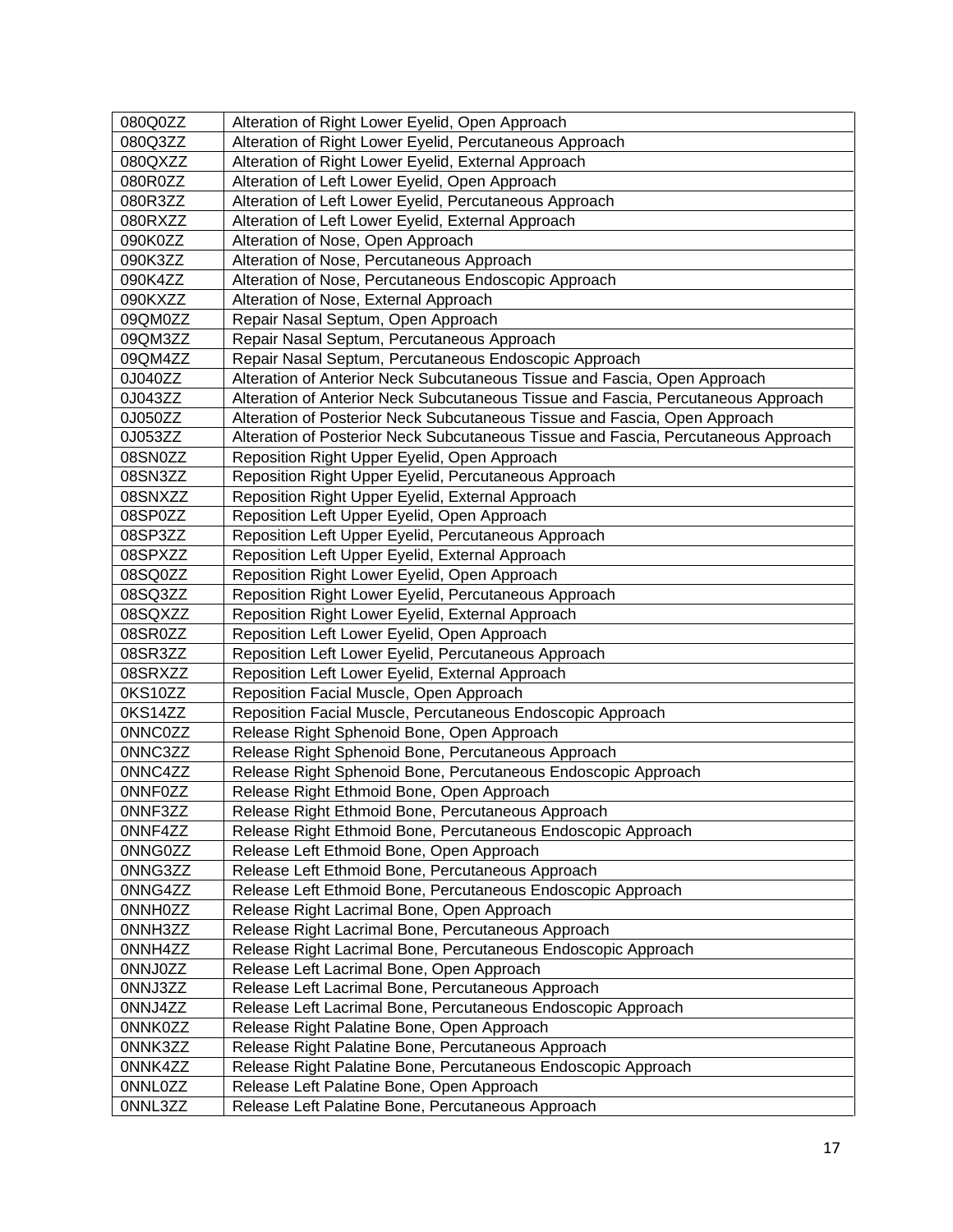| 080Q0ZZ        | Alteration of Right Lower Eyelid, Open Approach                                    |
|----------------|------------------------------------------------------------------------------------|
| 080Q3ZZ        | Alteration of Right Lower Eyelid, Percutaneous Approach                            |
| 080QXZZ        | Alteration of Right Lower Eyelid, External Approach                                |
| 080R0ZZ        | Alteration of Left Lower Eyelid, Open Approach                                     |
| 080R3ZZ        | Alteration of Left Lower Eyelid, Percutaneous Approach                             |
| 080RXZZ        | Alteration of Left Lower Eyelid, External Approach                                 |
| 090K0ZZ        | Alteration of Nose, Open Approach                                                  |
| 090K3ZZ        | Alteration of Nose, Percutaneous Approach                                          |
| 090K4ZZ        | Alteration of Nose, Percutaneous Endoscopic Approach                               |
| 090KXZZ        | Alteration of Nose, External Approach                                              |
| 09QM0ZZ        | Repair Nasal Septum, Open Approach                                                 |
| 09QM3ZZ        | Repair Nasal Septum, Percutaneous Approach                                         |
| 09QM4ZZ        | Repair Nasal Septum, Percutaneous Endoscopic Approach                              |
| 0J040ZZ        | Alteration of Anterior Neck Subcutaneous Tissue and Fascia, Open Approach          |
| 0J043ZZ        | Alteration of Anterior Neck Subcutaneous Tissue and Fascia, Percutaneous Approach  |
| 0J050ZZ        | Alteration of Posterior Neck Subcutaneous Tissue and Fascia, Open Approach         |
| 0J053ZZ        | Alteration of Posterior Neck Subcutaneous Tissue and Fascia, Percutaneous Approach |
| 08SN0ZZ        | Reposition Right Upper Eyelid, Open Approach                                       |
| 08SN3ZZ        | Reposition Right Upper Eyelid, Percutaneous Approach                               |
| 08SNXZZ        | Reposition Right Upper Eyelid, External Approach                                   |
| 08SP0ZZ        | Reposition Left Upper Eyelid, Open Approach                                        |
| 08SP3ZZ        | Reposition Left Upper Eyelid, Percutaneous Approach                                |
| 08SPXZZ        | Reposition Left Upper Eyelid, External Approach                                    |
| 08SQ0ZZ        | Reposition Right Lower Eyelid, Open Approach                                       |
| 08SQ3ZZ        | Reposition Right Lower Eyelid, Percutaneous Approach                               |
| 08SQXZZ        | Reposition Right Lower Eyelid, External Approach                                   |
| 08SR0ZZ        | Reposition Left Lower Eyelid, Open Approach                                        |
| 08SR3ZZ        | Reposition Left Lower Eyelid, Percutaneous Approach                                |
| 08SRXZZ        | Reposition Left Lower Eyelid, External Approach                                    |
| 0KS10ZZ        | Reposition Facial Muscle, Open Approach                                            |
| 0KS14ZZ        | Reposition Facial Muscle, Percutaneous Endoscopic Approach                         |
| 0NNC0ZZ        | Release Right Sphenoid Bone, Open Approach                                         |
| 0NNC3ZZ        | Release Right Sphenoid Bone, Percutaneous Approach                                 |
| 0NNC4ZZ        | Release Right Sphenoid Bone, Percutaneous Endoscopic Approach                      |
| <b>ONNFOZZ</b> | Release Right Ethmoid Bone, Open Approach                                          |
| 0NNF3ZZ        | Release Right Ethmoid Bone, Percutaneous Approach                                  |
| 0NNF4ZZ        | Release Right Ethmoid Bone, Percutaneous Endoscopic Approach                       |
| 0NNG0ZZ        | Release Left Ethmoid Bone, Open Approach                                           |
| 0NNG3ZZ        | Release Left Ethmoid Bone, Percutaneous Approach                                   |
| 0NNG4ZZ        | Release Left Ethmoid Bone, Percutaneous Endoscopic Approach                        |
| 0NNH0ZZ        | Release Right Lacrimal Bone, Open Approach                                         |
| 0NNH3ZZ        | Release Right Lacrimal Bone, Percutaneous Approach                                 |
| 0NNH4ZZ        | Release Right Lacrimal Bone, Percutaneous Endoscopic Approach                      |
| 0NNJ0ZZ        | Release Left Lacrimal Bone, Open Approach                                          |
| 0NNJ3ZZ        | Release Left Lacrimal Bone, Percutaneous Approach                                  |
| 0NNJ4ZZ        | Release Left Lacrimal Bone, Percutaneous Endoscopic Approach                       |
| 0NNK0ZZ        | Release Right Palatine Bone, Open Approach                                         |
| 0NNK3ZZ        | Release Right Palatine Bone, Percutaneous Approach                                 |
| 0NNK4ZZ        | Release Right Palatine Bone, Percutaneous Endoscopic Approach                      |
| 0NNL0ZZ        | Release Left Palatine Bone, Open Approach                                          |
| 0NNL3ZZ        | Release Left Palatine Bone, Percutaneous Approach                                  |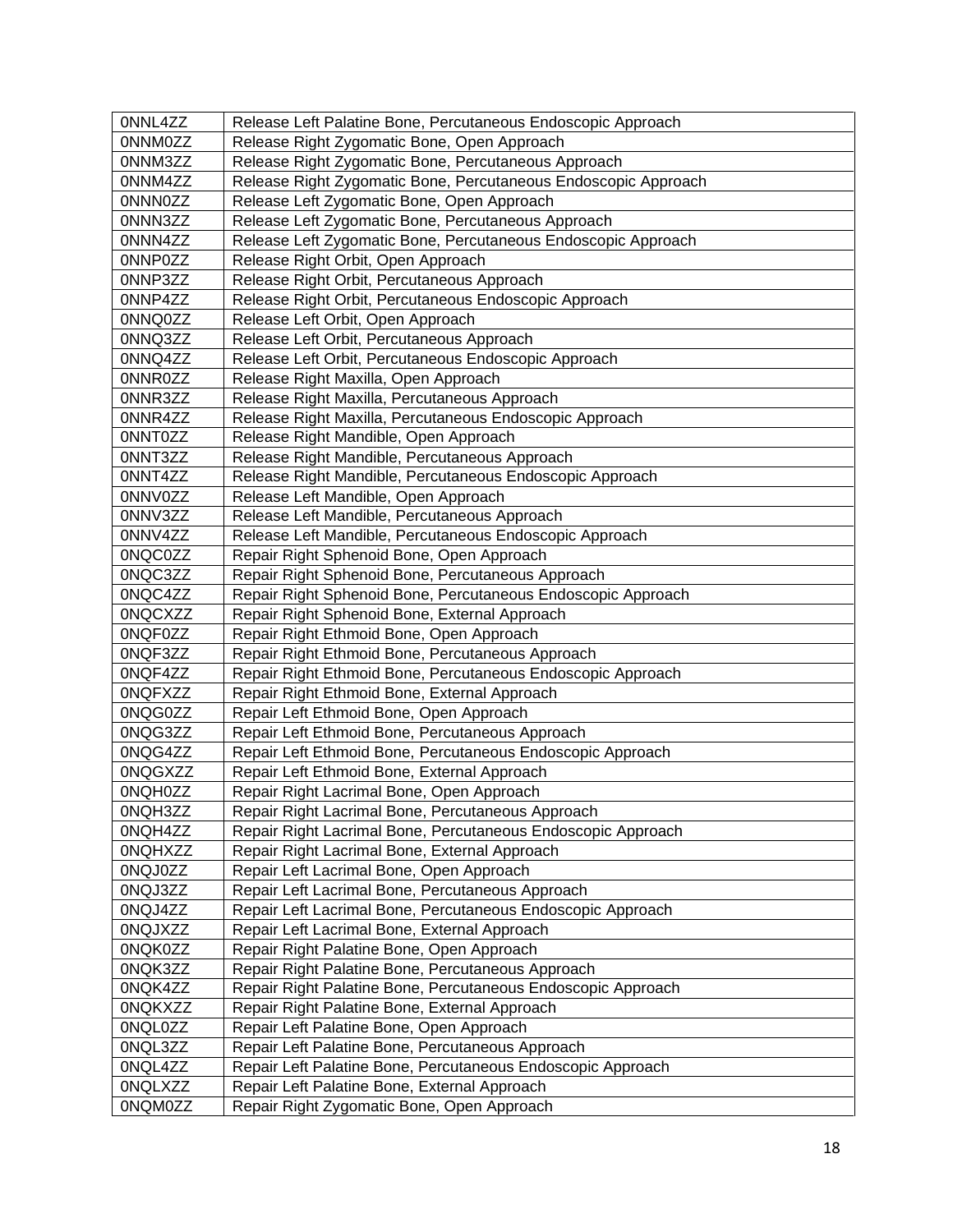| 0NNL4ZZ        | Release Left Palatine Bone, Percutaneous Endoscopic Approach   |
|----------------|----------------------------------------------------------------|
| 0NNM0ZZ        | Release Right Zygomatic Bone, Open Approach                    |
| 0NNM3ZZ        | Release Right Zygomatic Bone, Percutaneous Approach            |
| 0NNM4ZZ        | Release Right Zygomatic Bone, Percutaneous Endoscopic Approach |
| 0NNN0ZZ        | Release Left Zygomatic Bone, Open Approach                     |
| 0NNN3ZZ        | Release Left Zygomatic Bone, Percutaneous Approach             |
| 0NNN4ZZ        | Release Left Zygomatic Bone, Percutaneous Endoscopic Approach  |
| 0NNP0ZZ        | Release Right Orbit, Open Approach                             |
| 0NNP3ZZ        | Release Right Orbit, Percutaneous Approach                     |
| 0NNP4ZZ        | Release Right Orbit, Percutaneous Endoscopic Approach          |
| 0NNQ0ZZ        | Release Left Orbit, Open Approach                              |
| 0NNQ3ZZ        | Release Left Orbit, Percutaneous Approach                      |
| 0NNQ4ZZ        | Release Left Orbit, Percutaneous Endoscopic Approach           |
| 0NNR0ZZ        | Release Right Maxilla, Open Approach                           |
| 0NNR3ZZ        | Release Right Maxilla, Percutaneous Approach                   |
| 0NNR4ZZ        | Release Right Maxilla, Percutaneous Endoscopic Approach        |
| 0NNT0ZZ        | Release Right Mandible, Open Approach                          |
| 0NNT3ZZ        | Release Right Mandible, Percutaneous Approach                  |
| 0NNT4ZZ        | Release Right Mandible, Percutaneous Endoscopic Approach       |
| 0NNV0ZZ        | Release Left Mandible, Open Approach                           |
| 0NNV3ZZ        | Release Left Mandible, Percutaneous Approach                   |
| 0NNV4ZZ        | Release Left Mandible, Percutaneous Endoscopic Approach        |
| 0NQC0ZZ        | Repair Right Sphenoid Bone, Open Approach                      |
| 0NQC3ZZ        | Repair Right Sphenoid Bone, Percutaneous Approach              |
| 0NQC4ZZ        | Repair Right Sphenoid Bone, Percutaneous Endoscopic Approach   |
| <b>ONQCXZZ</b> | Repair Right Sphenoid Bone, External Approach                  |
| 0NQF0ZZ        | Repair Right Ethmoid Bone, Open Approach                       |
| 0NQF3ZZ        | Repair Right Ethmoid Bone, Percutaneous Approach               |
| 0NQF4ZZ        | Repair Right Ethmoid Bone, Percutaneous Endoscopic Approach    |
| <b>ONQFXZZ</b> | Repair Right Ethmoid Bone, External Approach                   |
| 0NQG0ZZ        | Repair Left Ethmoid Bone, Open Approach                        |
| 0NQG3ZZ        | Repair Left Ethmoid Bone, Percutaneous Approach                |
| 0NQG4ZZ        | Repair Left Ethmoid Bone, Percutaneous Endoscopic Approach     |
| <b>ONQGXZZ</b> | Repair Left Ethmoid Bone, External Approach                    |
| 0NQH0ZZ        | Repair Right Lacrimal Bone, Open Approach                      |
| 0NQH3ZZ        | Repair Right Lacrimal Bone, Percutaneous Approach              |
| 0NQH4ZZ        | Repair Right Lacrimal Bone, Percutaneous Endoscopic Approach   |
| <b>ONQHXZZ</b> | Repair Right Lacrimal Bone, External Approach                  |
| 0NQJ0ZZ        | Repair Left Lacrimal Bone, Open Approach                       |
| 0NQJ3ZZ        | Repair Left Lacrimal Bone, Percutaneous Approach               |
| 0NQJ4ZZ        | Repair Left Lacrimal Bone, Percutaneous Endoscopic Approach    |
| 0NQJXZZ        | Repair Left Lacrimal Bone, External Approach                   |
| 0NQK0ZZ        | Repair Right Palatine Bone, Open Approach                      |
| 0NQK3ZZ        | Repair Right Palatine Bone, Percutaneous Approach              |
| 0NQK4ZZ        | Repair Right Palatine Bone, Percutaneous Endoscopic Approach   |
| <b>ONQKXZZ</b> | Repair Right Palatine Bone, External Approach                  |
| 0NQL0ZZ        | Repair Left Palatine Bone, Open Approach                       |
| 0NQL3ZZ        | Repair Left Palatine Bone, Percutaneous Approach               |
| 0NQL4ZZ        | Repair Left Palatine Bone, Percutaneous Endoscopic Approach    |
| <b>ONQLXZZ</b> | Repair Left Palatine Bone, External Approach                   |
| 0NQM0ZZ        | Repair Right Zygomatic Bone, Open Approach                     |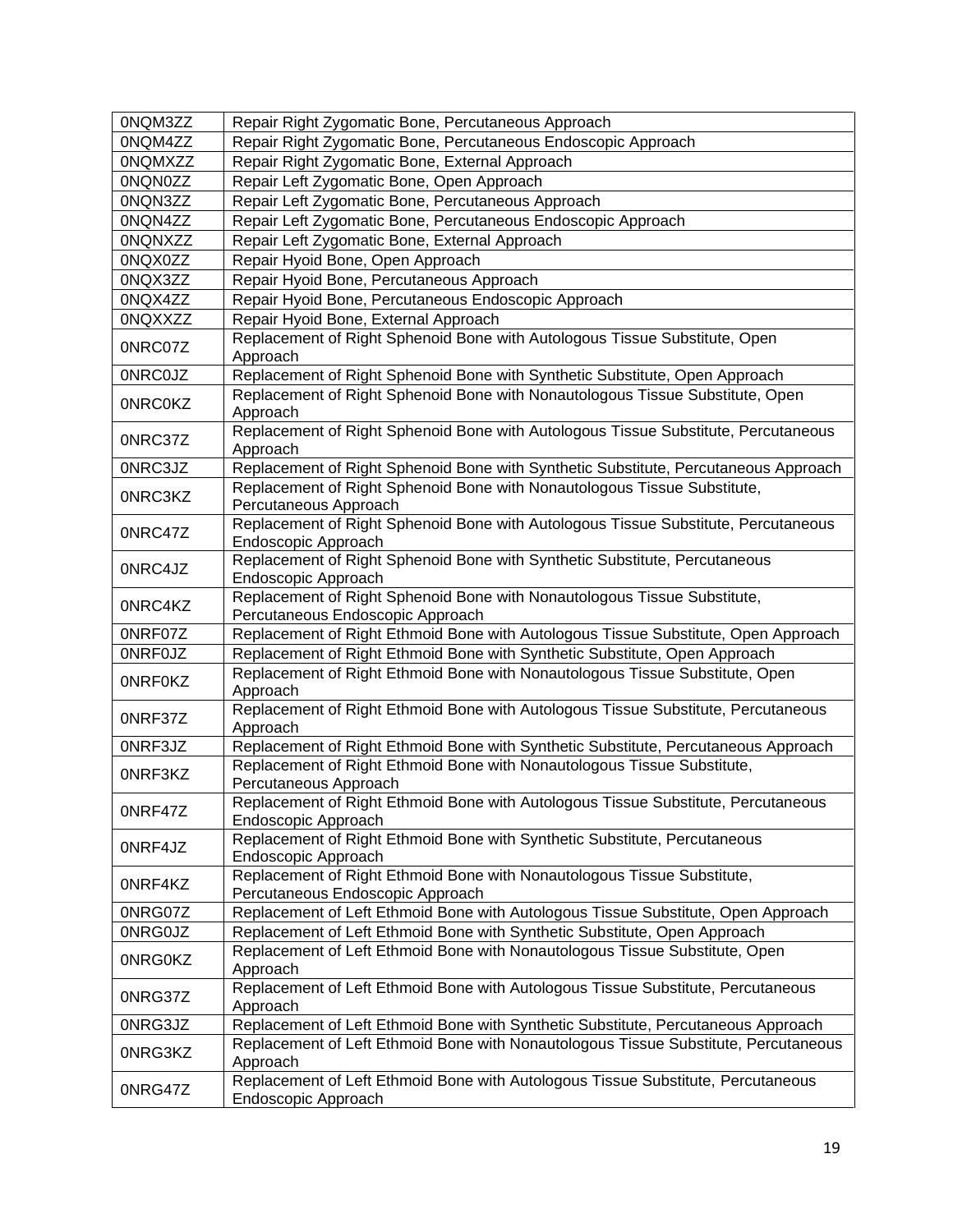| 0NQM3ZZ        | Repair Right Zygomatic Bone, Percutaneous Approach                                                                                                             |
|----------------|----------------------------------------------------------------------------------------------------------------------------------------------------------------|
| 0NQM4ZZ        | Repair Right Zygomatic Bone, Percutaneous Endoscopic Approach                                                                                                  |
| <b>ONQMXZZ</b> | Repair Right Zygomatic Bone, External Approach                                                                                                                 |
| 0NQN0ZZ        | Repair Left Zygomatic Bone, Open Approach                                                                                                                      |
| 0NQN3ZZ        | Repair Left Zygomatic Bone, Percutaneous Approach                                                                                                              |
| 0NQN4ZZ        | Repair Left Zygomatic Bone, Percutaneous Endoscopic Approach                                                                                                   |
| <b>ONQNXZZ</b> | Repair Left Zygomatic Bone, External Approach                                                                                                                  |
| 0NQX0ZZ        | Repair Hyoid Bone, Open Approach                                                                                                                               |
| 0NQX3ZZ        | Repair Hyoid Bone, Percutaneous Approach                                                                                                                       |
| 0NQX4ZZ        | Repair Hyoid Bone, Percutaneous Endoscopic Approach                                                                                                            |
| <b>ONQXXZZ</b> | Repair Hyoid Bone, External Approach                                                                                                                           |
|                | Replacement of Right Sphenoid Bone with Autologous Tissue Substitute, Open                                                                                     |
| 0NRC07Z        | Approach                                                                                                                                                       |
| <b>ONRCOJZ</b> | Replacement of Right Sphenoid Bone with Synthetic Substitute, Open Approach                                                                                    |
| <b>ONRCOKZ</b> | Replacement of Right Sphenoid Bone with Nonautologous Tissue Substitute, Open                                                                                  |
|                | Approach                                                                                                                                                       |
| 0NRC37Z        | Replacement of Right Sphenoid Bone with Autologous Tissue Substitute, Percutaneous                                                                             |
|                | Approach                                                                                                                                                       |
| 0NRC3JZ        | Replacement of Right Sphenoid Bone with Synthetic Substitute, Percutaneous Approach                                                                            |
| 0NRC3KZ        | Replacement of Right Sphenoid Bone with Nonautologous Tissue Substitute,                                                                                       |
|                | Percutaneous Approach                                                                                                                                          |
| 0NRC47Z        | Replacement of Right Sphenoid Bone with Autologous Tissue Substitute, Percutaneous                                                                             |
|                | Endoscopic Approach                                                                                                                                            |
| 0NRC4JZ        | Replacement of Right Sphenoid Bone with Synthetic Substitute, Percutaneous                                                                                     |
|                | Endoscopic Approach<br>Replacement of Right Sphenoid Bone with Nonautologous Tissue Substitute,                                                                |
| 0NRC4KZ        | Percutaneous Endoscopic Approach                                                                                                                               |
| 0NRF07Z        | Replacement of Right Ethmoid Bone with Autologous Tissue Substitute, Open Approach                                                                             |
| <b>ONRFOJZ</b> | Replacement of Right Ethmoid Bone with Synthetic Substitute, Open Approach                                                                                     |
|                | Replacement of Right Ethmoid Bone with Nonautologous Tissue Substitute, Open                                                                                   |
| <b>ONRFOKZ</b> | Approach                                                                                                                                                       |
|                | Replacement of Right Ethmoid Bone with Autologous Tissue Substitute, Percutaneous                                                                              |
| 0NRF37Z        | Approach                                                                                                                                                       |
| 0NRF3JZ        | Replacement of Right Ethmoid Bone with Synthetic Substitute, Percutaneous Approach                                                                             |
| 0NRF3KZ        | Replacement of Right Ethmoid Bone with Nonautologous Tissue Substitute,                                                                                        |
|                | Percutaneous Approach                                                                                                                                          |
| 0NRF47Z        | Replacement of Right Ethmoid Bone with Autologous Tissue Substitute, Percutaneous                                                                              |
|                | Endoscopic Approach                                                                                                                                            |
| 0NRF4JZ        | Replacement of Right Ethmoid Bone with Synthetic Substitute, Percutaneous                                                                                      |
|                | Endoscopic Approach                                                                                                                                            |
| 0NRF4KZ        | Replacement of Right Ethmoid Bone with Nonautologous Tissue Substitute,                                                                                        |
| 0NRG07Z        | Percutaneous Endoscopic Approach                                                                                                                               |
| 0NRG0JZ        | Replacement of Left Ethmoid Bone with Autologous Tissue Substitute, Open Approach<br>Replacement of Left Ethmoid Bone with Synthetic Substitute, Open Approach |
|                | Replacement of Left Ethmoid Bone with Nonautologous Tissue Substitute, Open                                                                                    |
| 0NRG0KZ        | Approach                                                                                                                                                       |
|                | Replacement of Left Ethmoid Bone with Autologous Tissue Substitute, Percutaneous                                                                               |
| 0NRG37Z        | Approach                                                                                                                                                       |
| 0NRG3JZ        | Replacement of Left Ethmoid Bone with Synthetic Substitute, Percutaneous Approach                                                                              |
|                | Replacement of Left Ethmoid Bone with Nonautologous Tissue Substitute, Percutaneous                                                                            |
| 0NRG3KZ        | Approach                                                                                                                                                       |
|                | Replacement of Left Ethmoid Bone with Autologous Tissue Substitute, Percutaneous                                                                               |
| 0NRG47Z        | Endoscopic Approach                                                                                                                                            |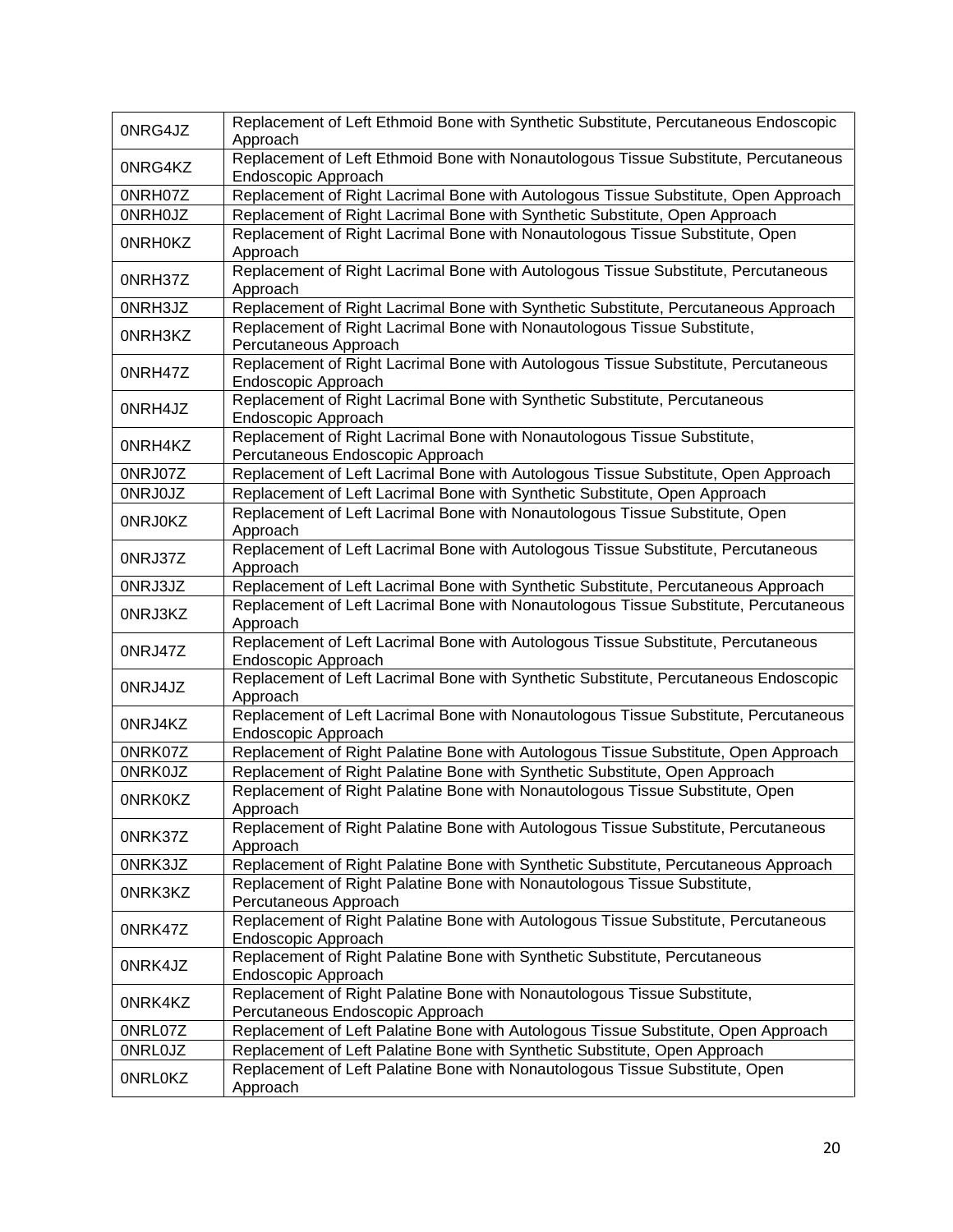| 0NRG4JZ        | Replacement of Left Ethmoid Bone with Synthetic Substitute, Percutaneous Endoscopic<br>Approach              |
|----------------|--------------------------------------------------------------------------------------------------------------|
| 0NRG4KZ        | Replacement of Left Ethmoid Bone with Nonautologous Tissue Substitute, Percutaneous<br>Endoscopic Approach   |
| 0NRH07Z        | Replacement of Right Lacrimal Bone with Autologous Tissue Substitute, Open Approach                          |
| <b>ONRHOJZ</b> | Replacement of Right Lacrimal Bone with Synthetic Substitute, Open Approach                                  |
| <b>ONRHOKZ</b> | Replacement of Right Lacrimal Bone with Nonautologous Tissue Substitute, Open<br>Approach                    |
| 0NRH37Z        | Replacement of Right Lacrimal Bone with Autologous Tissue Substitute, Percutaneous<br>Approach               |
| 0NRH3JZ        | Replacement of Right Lacrimal Bone with Synthetic Substitute, Percutaneous Approach                          |
| 0NRH3KZ        | Replacement of Right Lacrimal Bone with Nonautologous Tissue Substitute,<br>Percutaneous Approach            |
| 0NRH47Z        | Replacement of Right Lacrimal Bone with Autologous Tissue Substitute, Percutaneous<br>Endoscopic Approach    |
| 0NRH4JZ        | Replacement of Right Lacrimal Bone with Synthetic Substitute, Percutaneous<br>Endoscopic Approach            |
| 0NRH4KZ        | Replacement of Right Lacrimal Bone with Nonautologous Tissue Substitute,<br>Percutaneous Endoscopic Approach |
| 0NRJ07Z        | Replacement of Left Lacrimal Bone with Autologous Tissue Substitute, Open Approach                           |
| 0NRJ0JZ        | Replacement of Left Lacrimal Bone with Synthetic Substitute, Open Approach                                   |
| 0NRJ0KZ        | Replacement of Left Lacrimal Bone with Nonautologous Tissue Substitute, Open<br>Approach                     |
| 0NRJ37Z        | Replacement of Left Lacrimal Bone with Autologous Tissue Substitute, Percutaneous<br>Approach                |
| 0NRJ3JZ        | Replacement of Left Lacrimal Bone with Synthetic Substitute, Percutaneous Approach                           |
| 0NRJ3KZ        | Replacement of Left Lacrimal Bone with Nonautologous Tissue Substitute, Percutaneous<br>Approach             |
| 0NRJ47Z        | Replacement of Left Lacrimal Bone with Autologous Tissue Substitute, Percutaneous<br>Endoscopic Approach     |
| 0NRJ4JZ        | Replacement of Left Lacrimal Bone with Synthetic Substitute, Percutaneous Endoscopic<br>Approach             |
| 0NRJ4KZ        | Replacement of Left Lacrimal Bone with Nonautologous Tissue Substitute, Percutaneous<br>Endoscopic Approach  |
| 0NRK07Z        | Replacement of Right Palatine Bone with Autologous Tissue Substitute, Open Approach                          |
| <b>ONRKOJZ</b> | Replacement of Right Palatine Bone with Synthetic Substitute, Open Approach                                  |
| <b>ONRKOKZ</b> | Replacement of Right Palatine Bone with Nonautologous Tissue Substitute, Open<br>Approach                    |
| 0NRK37Z        | Replacement of Right Palatine Bone with Autologous Tissue Substitute, Percutaneous<br>Approach               |
| 0NRK3JZ        | Replacement of Right Palatine Bone with Synthetic Substitute, Percutaneous Approach                          |
| 0NRK3KZ        | Replacement of Right Palatine Bone with Nonautologous Tissue Substitute,<br>Percutaneous Approach            |
| 0NRK47Z        | Replacement of Right Palatine Bone with Autologous Tissue Substitute, Percutaneous<br>Endoscopic Approach    |
| 0NRK4JZ        | Replacement of Right Palatine Bone with Synthetic Substitute, Percutaneous<br>Endoscopic Approach            |
| 0NRK4KZ        | Replacement of Right Palatine Bone with Nonautologous Tissue Substitute,<br>Percutaneous Endoscopic Approach |
| 0NRL07Z        | Replacement of Left Palatine Bone with Autologous Tissue Substitute, Open Approach                           |
| <b>ONRLOJZ</b> | Replacement of Left Palatine Bone with Synthetic Substitute, Open Approach                                   |
| <b>ONRLOKZ</b> | Replacement of Left Palatine Bone with Nonautologous Tissue Substitute, Open<br>Approach                     |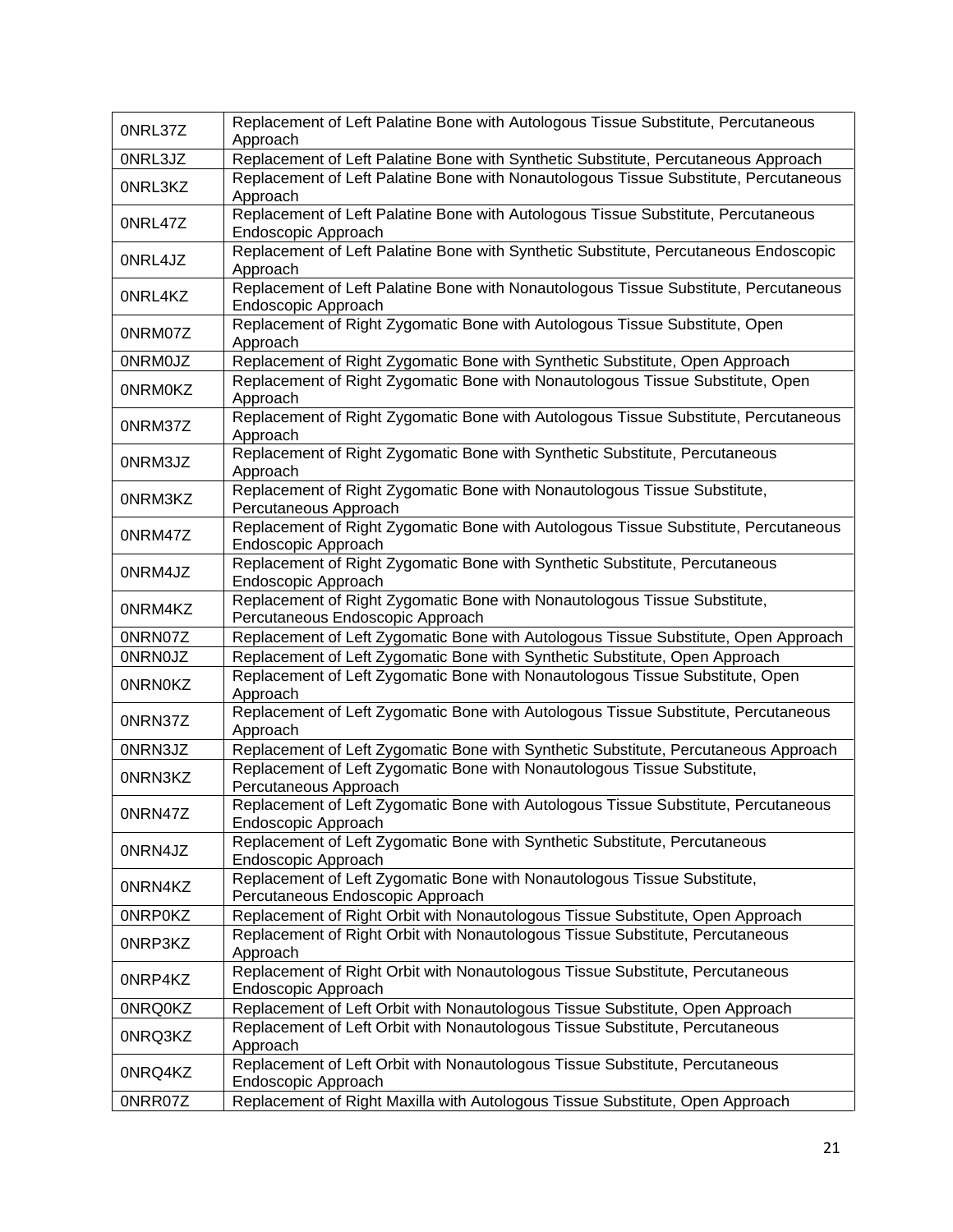| 0NRL37Z        | Replacement of Left Palatine Bone with Autologous Tissue Substitute, Percutaneous<br>Approach                 |
|----------------|---------------------------------------------------------------------------------------------------------------|
| 0NRL3JZ        | Replacement of Left Palatine Bone with Synthetic Substitute, Percutaneous Approach                            |
| 0NRL3KZ        | Replacement of Left Palatine Bone with Nonautologous Tissue Substitute, Percutaneous<br>Approach              |
| 0NRL47Z        | Replacement of Left Palatine Bone with Autologous Tissue Substitute, Percutaneous<br>Endoscopic Approach      |
| 0NRL4JZ        | Replacement of Left Palatine Bone with Synthetic Substitute, Percutaneous Endoscopic<br>Approach              |
| 0NRL4KZ        | Replacement of Left Palatine Bone with Nonautologous Tissue Substitute, Percutaneous<br>Endoscopic Approach   |
| 0NRM07Z        | Replacement of Right Zygomatic Bone with Autologous Tissue Substitute, Open<br>Approach                       |
| <b>ONRMOJZ</b> | Replacement of Right Zygomatic Bone with Synthetic Substitute, Open Approach                                  |
| <b>ONRMOKZ</b> | Replacement of Right Zygomatic Bone with Nonautologous Tissue Substitute, Open<br>Approach                    |
| 0NRM37Z        | Replacement of Right Zygomatic Bone with Autologous Tissue Substitute, Percutaneous<br>Approach               |
| 0NRM3JZ        | Replacement of Right Zygomatic Bone with Synthetic Substitute, Percutaneous<br>Approach                       |
| 0NRM3KZ        | Replacement of Right Zygomatic Bone with Nonautologous Tissue Substitute,<br>Percutaneous Approach            |
| 0NRM47Z        | Replacement of Right Zygomatic Bone with Autologous Tissue Substitute, Percutaneous<br>Endoscopic Approach    |
| 0NRM4JZ        | Replacement of Right Zygomatic Bone with Synthetic Substitute, Percutaneous<br>Endoscopic Approach            |
| 0NRM4KZ        | Replacement of Right Zygomatic Bone with Nonautologous Tissue Substitute,<br>Percutaneous Endoscopic Approach |
| 0NRN07Z        | Replacement of Left Zygomatic Bone with Autologous Tissue Substitute, Open Approach                           |
| <b>ONRNOJZ</b> | Replacement of Left Zygomatic Bone with Synthetic Substitute, Open Approach                                   |
| <b>ONRNOKZ</b> | Replacement of Left Zygomatic Bone with Nonautologous Tissue Substitute, Open<br>Approach                     |
| 0NRN37Z        | Replacement of Left Zygomatic Bone with Autologous Tissue Substitute, Percutaneous<br>Approach                |
| 0NRN3JZ        | Replacement of Left Zygomatic Bone with Synthetic Substitute, Percutaneous Approach                           |
| 0NRN3KZ        | Replacement of Left Zygomatic Bone with Nonautologous Tissue Substitute,<br>Percutaneous Approach             |
| 0NRN47Z        | Replacement of Left Zygomatic Bone with Autologous Tissue Substitute, Percutaneous<br>Endoscopic Approach     |
| 0NRN4JZ        | Replacement of Left Zygomatic Bone with Synthetic Substitute, Percutaneous<br>Endoscopic Approach             |
| 0NRN4KZ        | Replacement of Left Zygomatic Bone with Nonautologous Tissue Substitute,<br>Percutaneous Endoscopic Approach  |
| <b>ONRPOKZ</b> | Replacement of Right Orbit with Nonautologous Tissue Substitute, Open Approach                                |
| 0NRP3KZ        | Replacement of Right Orbit with Nonautologous Tissue Substitute, Percutaneous<br>Approach                     |
| 0NRP4KZ        | Replacement of Right Orbit with Nonautologous Tissue Substitute, Percutaneous<br>Endoscopic Approach          |
| 0NRQ0KZ        | Replacement of Left Orbit with Nonautologous Tissue Substitute, Open Approach                                 |
| 0NRQ3KZ        | Replacement of Left Orbit with Nonautologous Tissue Substitute, Percutaneous<br>Approach                      |
| 0NRQ4KZ        | Replacement of Left Orbit with Nonautologous Tissue Substitute, Percutaneous<br>Endoscopic Approach           |
| 0NRR07Z        | Replacement of Right Maxilla with Autologous Tissue Substitute, Open Approach                                 |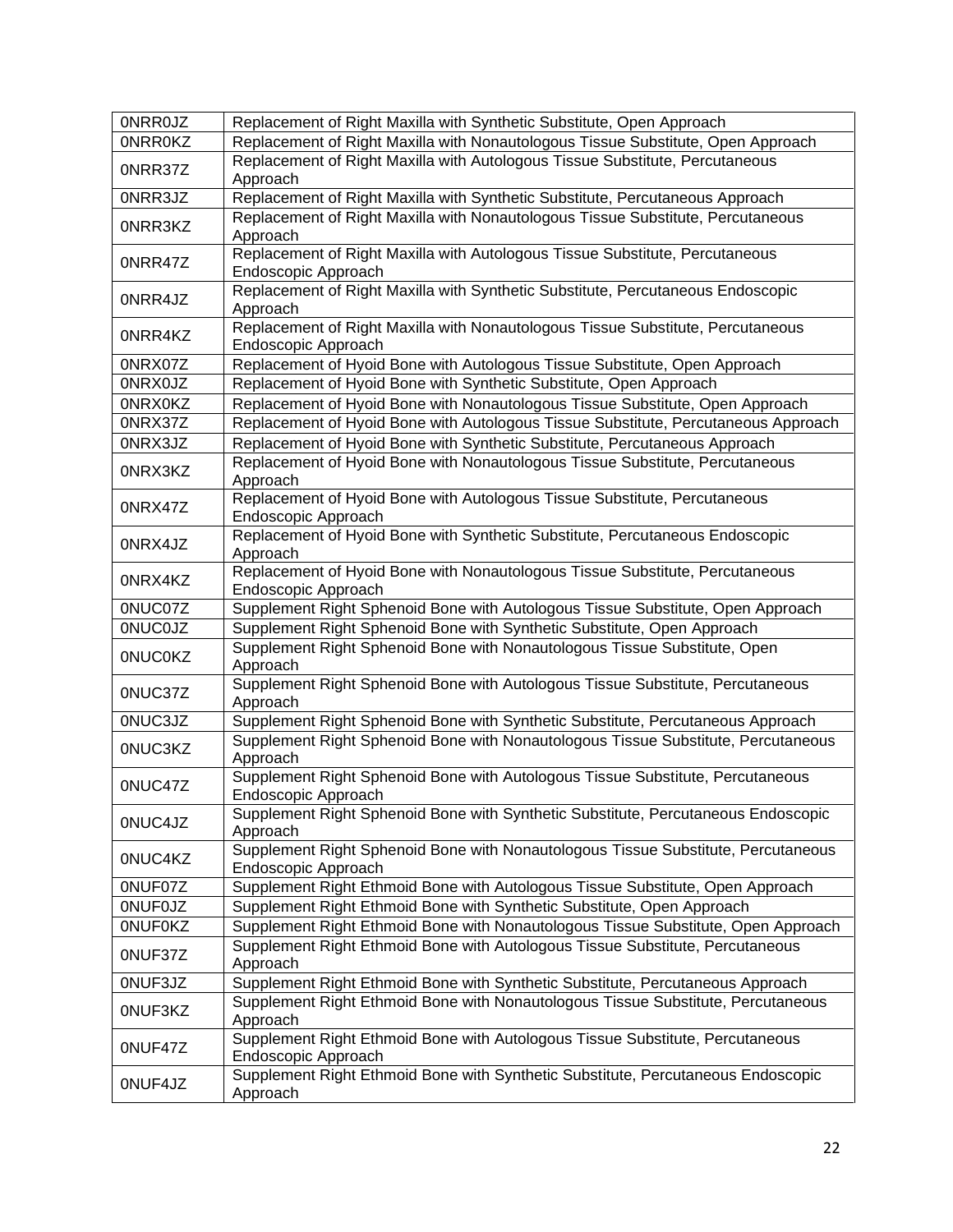| <b>ONRROJZ</b> | Replacement of Right Maxilla with Synthetic Substitute, Open Approach                                    |
|----------------|----------------------------------------------------------------------------------------------------------|
| <b>ONRROKZ</b> | Replacement of Right Maxilla with Nonautologous Tissue Substitute, Open Approach                         |
| 0NRR37Z        | Replacement of Right Maxilla with Autologous Tissue Substitute, Percutaneous<br>Approach                 |
| 0NRR3JZ        | Replacement of Right Maxilla with Synthetic Substitute, Percutaneous Approach                            |
| 0NRR3KZ        | Replacement of Right Maxilla with Nonautologous Tissue Substitute, Percutaneous<br>Approach              |
| 0NRR47Z        | Replacement of Right Maxilla with Autologous Tissue Substitute, Percutaneous<br>Endoscopic Approach      |
| 0NRR4JZ        | Replacement of Right Maxilla with Synthetic Substitute, Percutaneous Endoscopic<br>Approach              |
| 0NRR4KZ        | Replacement of Right Maxilla with Nonautologous Tissue Substitute, Percutaneous<br>Endoscopic Approach   |
| 0NRX07Z        | Replacement of Hyoid Bone with Autologous Tissue Substitute, Open Approach                               |
| 0NRX0JZ        | Replacement of Hyoid Bone with Synthetic Substitute, Open Approach                                       |
| 0NRX0KZ        | Replacement of Hyoid Bone with Nonautologous Tissue Substitute, Open Approach                            |
| 0NRX37Z        | Replacement of Hyoid Bone with Autologous Tissue Substitute, Percutaneous Approach                       |
| 0NRX3JZ        | Replacement of Hyoid Bone with Synthetic Substitute, Percutaneous Approach                               |
| 0NRX3KZ        | Replacement of Hyoid Bone with Nonautologous Tissue Substitute, Percutaneous<br>Approach                 |
| 0NRX47Z        | Replacement of Hyoid Bone with Autologous Tissue Substitute, Percutaneous<br>Endoscopic Approach         |
| 0NRX4JZ        | Replacement of Hyoid Bone with Synthetic Substitute, Percutaneous Endoscopic<br>Approach                 |
| 0NRX4KZ        | Replacement of Hyoid Bone with Nonautologous Tissue Substitute, Percutaneous<br>Endoscopic Approach      |
| 0NUC07Z        | Supplement Right Sphenoid Bone with Autologous Tissue Substitute, Open Approach                          |
| <b>ONUCOJZ</b> | Supplement Right Sphenoid Bone with Synthetic Substitute, Open Approach                                  |
| <b>ONUCOKZ</b> | Supplement Right Sphenoid Bone with Nonautologous Tissue Substitute, Open<br>Approach                    |
| 0NUC37Z        | Supplement Right Sphenoid Bone with Autologous Tissue Substitute, Percutaneous<br>Approach               |
| 0NUC3JZ        | Supplement Right Sphenoid Bone with Synthetic Substitute, Percutaneous Approach                          |
| 0NUC3KZ        | Supplement Right Sphenoid Bone with Nonautologous Tissue Substitute, Percutaneous<br>Approach            |
| 0NUC47Z        | Supplement Right Sphenoid Bone with Autologous Tissue Substitute, Percutaneous<br>Endoscopic Approach    |
| 0NUC4JZ        | Supplement Right Sphenoid Bone with Synthetic Substitute, Percutaneous Endoscopic<br>Approach            |
| 0NUC4KZ        | Supplement Right Sphenoid Bone with Nonautologous Tissue Substitute, Percutaneous<br>Endoscopic Approach |
| 0NUF07Z        | Supplement Right Ethmoid Bone with Autologous Tissue Substitute, Open Approach                           |
| <b>ONUFOJZ</b> | Supplement Right Ethmoid Bone with Synthetic Substitute, Open Approach                                   |
| <b>ONUFOKZ</b> | Supplement Right Ethmoid Bone with Nonautologous Tissue Substitute, Open Approach                        |
| 0NUF37Z        | Supplement Right Ethmoid Bone with Autologous Tissue Substitute, Percutaneous<br>Approach                |
| 0NUF3JZ        | Supplement Right Ethmoid Bone with Synthetic Substitute, Percutaneous Approach                           |
| 0NUF3KZ        | Supplement Right Ethmoid Bone with Nonautologous Tissue Substitute, Percutaneous<br>Approach             |
| 0NUF47Z        | Supplement Right Ethmoid Bone with Autologous Tissue Substitute, Percutaneous<br>Endoscopic Approach     |
| 0NUF4JZ        | Supplement Right Ethmoid Bone with Synthetic Substitute, Percutaneous Endoscopic<br>Approach             |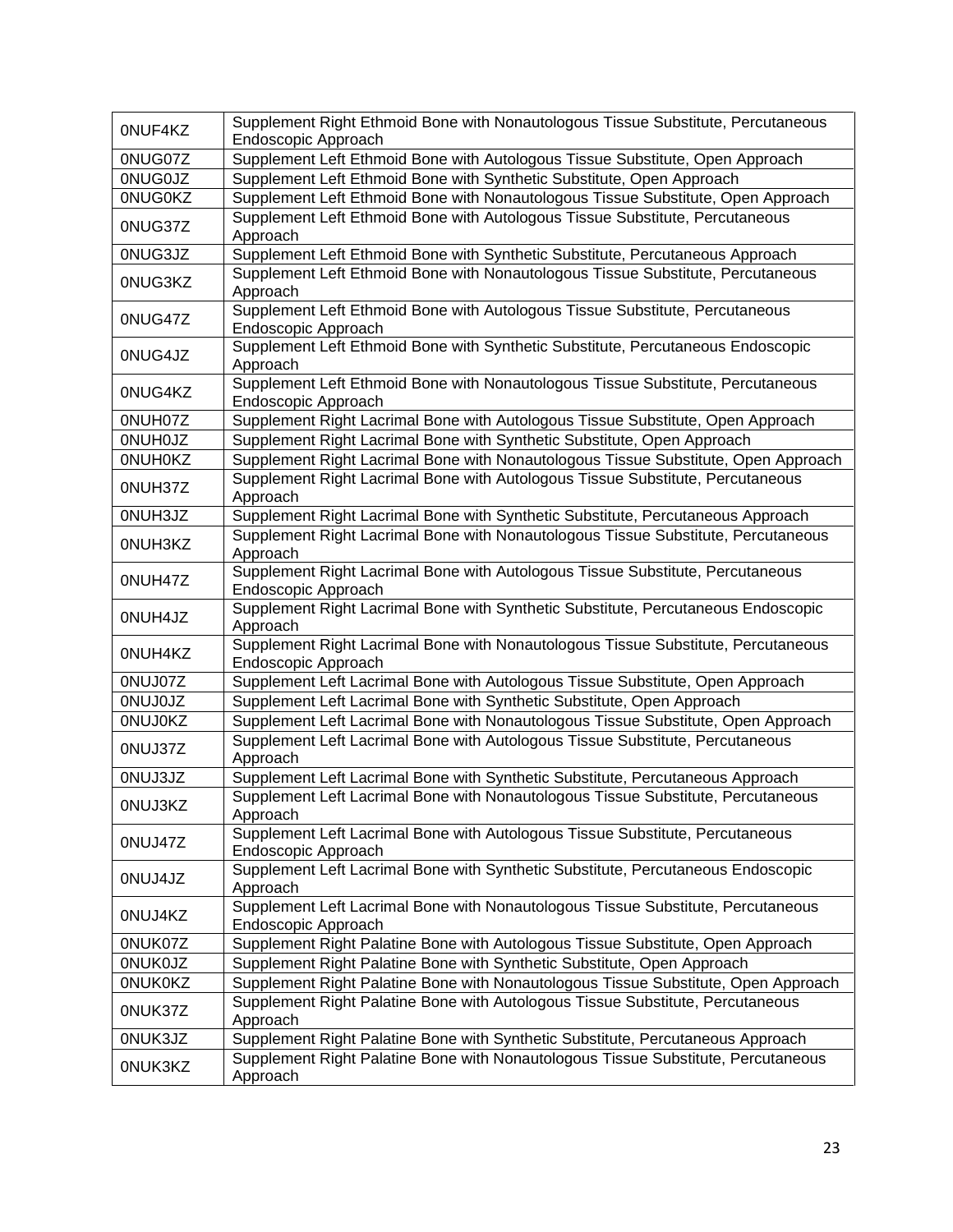| 0NUF4KZ        | Supplement Right Ethmoid Bone with Nonautologous Tissue Substitute, Percutaneous<br>Endoscopic Approach  |
|----------------|----------------------------------------------------------------------------------------------------------|
| 0NUG07Z        | Supplement Left Ethmoid Bone with Autologous Tissue Substitute, Open Approach                            |
| 0NUG0JZ        | Supplement Left Ethmoid Bone with Synthetic Substitute, Open Approach                                    |
| <b>ONUGOKZ</b> | Supplement Left Ethmoid Bone with Nonautologous Tissue Substitute, Open Approach                         |
| 0NUG37Z        | Supplement Left Ethmoid Bone with Autologous Tissue Substitute, Percutaneous<br>Approach                 |
| 0NUG3JZ        | Supplement Left Ethmoid Bone with Synthetic Substitute, Percutaneous Approach                            |
| 0NUG3KZ        | Supplement Left Ethmoid Bone with Nonautologous Tissue Substitute, Percutaneous<br>Approach              |
| 0NUG47Z        | Supplement Left Ethmoid Bone with Autologous Tissue Substitute, Percutaneous<br>Endoscopic Approach      |
| 0NUG4JZ        | Supplement Left Ethmoid Bone with Synthetic Substitute, Percutaneous Endoscopic<br>Approach              |
| 0NUG4KZ        | Supplement Left Ethmoid Bone with Nonautologous Tissue Substitute, Percutaneous<br>Endoscopic Approach   |
| 0NUH07Z        | Supplement Right Lacrimal Bone with Autologous Tissue Substitute, Open Approach                          |
| <b>ONUHOJZ</b> | Supplement Right Lacrimal Bone with Synthetic Substitute, Open Approach                                  |
| <b>ONUHOKZ</b> | Supplement Right Lacrimal Bone with Nonautologous Tissue Substitute, Open Approach                       |
| 0NUH37Z        | Supplement Right Lacrimal Bone with Autologous Tissue Substitute, Percutaneous<br>Approach               |
| 0NUH3JZ        | Supplement Right Lacrimal Bone with Synthetic Substitute, Percutaneous Approach                          |
| 0NUH3KZ        | Supplement Right Lacrimal Bone with Nonautologous Tissue Substitute, Percutaneous<br>Approach            |
| 0NUH47Z        | Supplement Right Lacrimal Bone with Autologous Tissue Substitute, Percutaneous<br>Endoscopic Approach    |
| 0NUH4JZ        | Supplement Right Lacrimal Bone with Synthetic Substitute, Percutaneous Endoscopic<br>Approach            |
| 0NUH4KZ        | Supplement Right Lacrimal Bone with Nonautologous Tissue Substitute, Percutaneous<br>Endoscopic Approach |
| 0NUJ07Z        | Supplement Left Lacrimal Bone with Autologous Tissue Substitute, Open Approach                           |
| <b>ONUJOJZ</b> | Supplement Left Lacrimal Bone with Synthetic Substitute, Open Approach                                   |
| <b>ONUJOKZ</b> | Supplement Left Lacrimal Bone with Nonautologous Tissue Substitute, Open Approach                        |
| 0NUJ37Z        | Supplement Left Lacrimal Bone with Autologous Tissue Substitute, Percutaneous<br>Approach                |
| 0NUJ3JZ        | Supplement Left Lacrimal Bone with Synthetic Substitute, Percutaneous Approach                           |
| 0NUJ3KZ        | Supplement Left Lacrimal Bone with Nonautologous Tissue Substitute, Percutaneous<br>Approach             |
| 0NUJ47Z        | Supplement Left Lacrimal Bone with Autologous Tissue Substitute, Percutaneous<br>Endoscopic Approach     |
| 0NUJ4JZ        | Supplement Left Lacrimal Bone with Synthetic Substitute, Percutaneous Endoscopic<br>Approach             |
| 0NUJ4KZ        | Supplement Left Lacrimal Bone with Nonautologous Tissue Substitute, Percutaneous<br>Endoscopic Approach  |
| 0NUK07Z        | Supplement Right Palatine Bone with Autologous Tissue Substitute, Open Approach                          |
| <b>ONUKOJZ</b> | Supplement Right Palatine Bone with Synthetic Substitute, Open Approach                                  |
| <b>ONUKOKZ</b> | Supplement Right Palatine Bone with Nonautologous Tissue Substitute, Open Approach                       |
| 0NUK37Z        | Supplement Right Palatine Bone with Autologous Tissue Substitute, Percutaneous<br>Approach               |
| 0NUK3JZ        | Supplement Right Palatine Bone with Synthetic Substitute, Percutaneous Approach                          |
| 0NUK3KZ        | Supplement Right Palatine Bone with Nonautologous Tissue Substitute, Percutaneous<br>Approach            |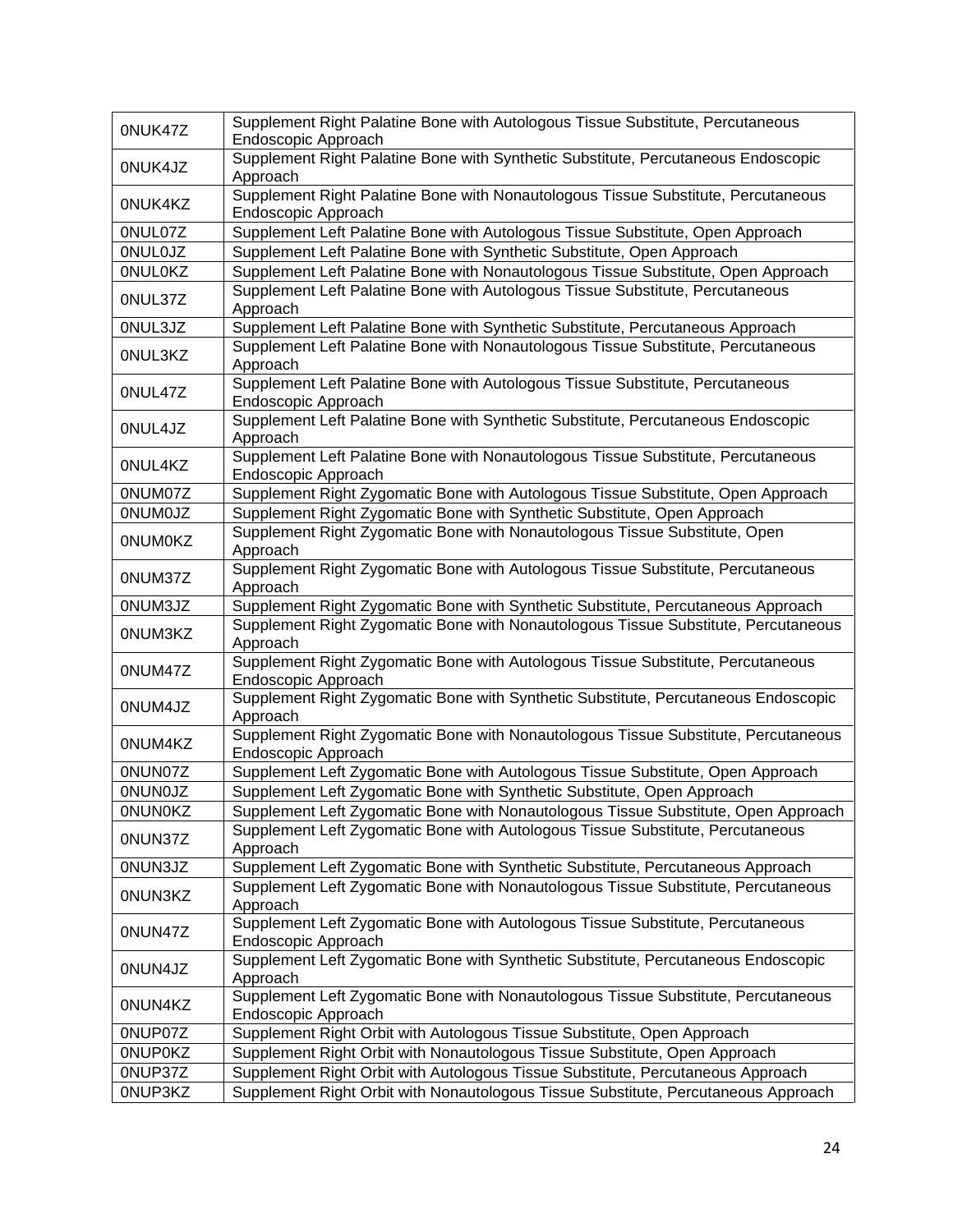| 0NUK47Z        | Supplement Right Palatine Bone with Autologous Tissue Substitute, Percutaneous<br>Endoscopic Approach     |
|----------------|-----------------------------------------------------------------------------------------------------------|
| 0NUK4JZ        | Supplement Right Palatine Bone with Synthetic Substitute, Percutaneous Endoscopic<br>Approach             |
| 0NUK4KZ        | Supplement Right Palatine Bone with Nonautologous Tissue Substitute, Percutaneous<br>Endoscopic Approach  |
| 0NUL07Z        | Supplement Left Palatine Bone with Autologous Tissue Substitute, Open Approach                            |
| <b>ONULOJZ</b> | Supplement Left Palatine Bone with Synthetic Substitute, Open Approach                                    |
| <b>ONULOKZ</b> | Supplement Left Palatine Bone with Nonautologous Tissue Substitute, Open Approach                         |
| 0NUL37Z        | Supplement Left Palatine Bone with Autologous Tissue Substitute, Percutaneous<br>Approach                 |
| 0NUL3JZ        | Supplement Left Palatine Bone with Synthetic Substitute, Percutaneous Approach                            |
| 0NUL3KZ        | Supplement Left Palatine Bone with Nonautologous Tissue Substitute, Percutaneous<br>Approach              |
| 0NUL47Z        | Supplement Left Palatine Bone with Autologous Tissue Substitute, Percutaneous<br>Endoscopic Approach      |
| 0NUL4JZ        | Supplement Left Palatine Bone with Synthetic Substitute, Percutaneous Endoscopic<br>Approach              |
| 0NUL4KZ        | Supplement Left Palatine Bone with Nonautologous Tissue Substitute, Percutaneous<br>Endoscopic Approach   |
| 0NUM07Z        | Supplement Right Zygomatic Bone with Autologous Tissue Substitute, Open Approach                          |
| <b>ONUMOJZ</b> | Supplement Right Zygomatic Bone with Synthetic Substitute, Open Approach                                  |
| <b>ONUMOKZ</b> | Supplement Right Zygomatic Bone with Nonautologous Tissue Substitute, Open<br>Approach                    |
| 0NUM37Z        | Supplement Right Zygomatic Bone with Autologous Tissue Substitute, Percutaneous<br>Approach               |
| 0NUM3JZ        | Supplement Right Zygomatic Bone with Synthetic Substitute, Percutaneous Approach                          |
| 0NUM3KZ        | Supplement Right Zygomatic Bone with Nonautologous Tissue Substitute, Percutaneous<br>Approach            |
| 0NUM47Z        | Supplement Right Zygomatic Bone with Autologous Tissue Substitute, Percutaneous<br>Endoscopic Approach    |
| 0NUM4JZ        | Supplement Right Zygomatic Bone with Synthetic Substitute, Percutaneous Endoscopic<br>Approach            |
| 0NUM4KZ        | Supplement Right Zygomatic Bone with Nonautologous Tissue Substitute, Percutaneous<br>Endoscopic Approach |
| 0NUN07Z        | Supplement Left Zygomatic Bone with Autologous Tissue Substitute, Open Approach                           |
| <b>ONUNOJZ</b> | Supplement Left Zygomatic Bone with Synthetic Substitute, Open Approach                                   |
| <b>ONUNOKZ</b> | Supplement Left Zygomatic Bone with Nonautologous Tissue Substitute, Open Approach                        |
| 0NUN37Z        | Supplement Left Zygomatic Bone with Autologous Tissue Substitute, Percutaneous<br>Approach                |
| 0NUN3JZ        | Supplement Left Zygomatic Bone with Synthetic Substitute, Percutaneous Approach                           |
| 0NUN3KZ        | Supplement Left Zygomatic Bone with Nonautologous Tissue Substitute, Percutaneous<br>Approach             |
| 0NUN47Z        | Supplement Left Zygomatic Bone with Autologous Tissue Substitute, Percutaneous<br>Endoscopic Approach     |
| 0NUN4JZ        | Supplement Left Zygomatic Bone with Synthetic Substitute, Percutaneous Endoscopic<br>Approach             |
| 0NUN4KZ        | Supplement Left Zygomatic Bone with Nonautologous Tissue Substitute, Percutaneous<br>Endoscopic Approach  |
| 0NUP07Z        | Supplement Right Orbit with Autologous Tissue Substitute, Open Approach                                   |
| <b>ONUPOKZ</b> | Supplement Right Orbit with Nonautologous Tissue Substitute, Open Approach                                |
| 0NUP37Z        | Supplement Right Orbit with Autologous Tissue Substitute, Percutaneous Approach                           |
| 0NUP3KZ        | Supplement Right Orbit with Nonautologous Tissue Substitute, Percutaneous Approach                        |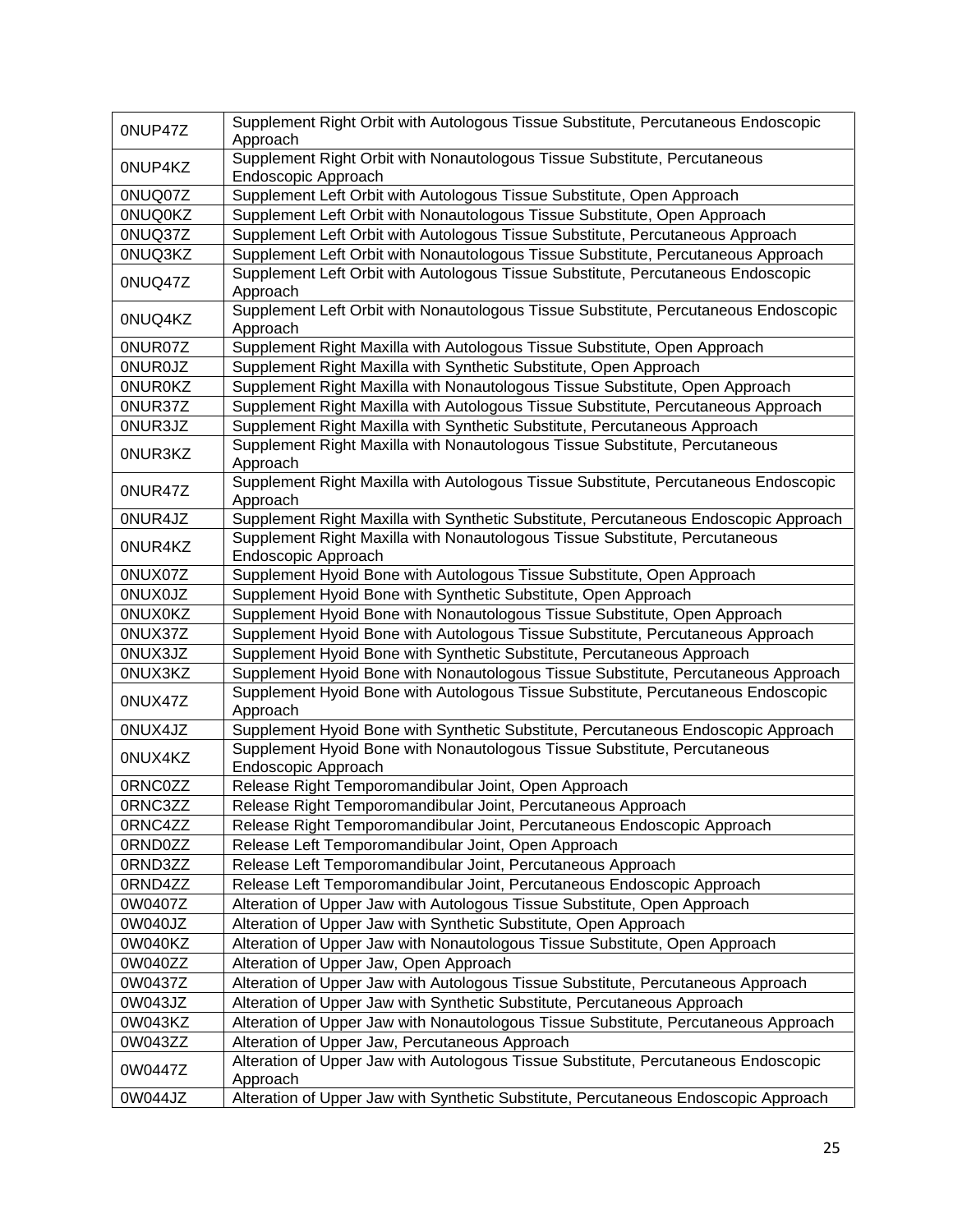| 0NUP47Z        | Supplement Right Orbit with Autologous Tissue Substitute, Percutaneous Endoscopic                  |
|----------------|----------------------------------------------------------------------------------------------------|
|                | Approach<br>Supplement Right Orbit with Nonautologous Tissue Substitute, Percutaneous              |
| 0NUP4KZ        | Endoscopic Approach                                                                                |
| 0NUQ07Z        | Supplement Left Orbit with Autologous Tissue Substitute, Open Approach                             |
| <b>ONUQOKZ</b> | Supplement Left Orbit with Nonautologous Tissue Substitute, Open Approach                          |
| 0NUQ37Z        | Supplement Left Orbit with Autologous Tissue Substitute, Percutaneous Approach                     |
| 0NUQ3KZ        | Supplement Left Orbit with Nonautologous Tissue Substitute, Percutaneous Approach                  |
| 0NUQ47Z        | Supplement Left Orbit with Autologous Tissue Substitute, Percutaneous Endoscopic<br>Approach       |
|                | Supplement Left Orbit with Nonautologous Tissue Substitute, Percutaneous Endoscopic                |
| 0NUQ4KZ        | Approach                                                                                           |
| 0NUR07Z        | Supplement Right Maxilla with Autologous Tissue Substitute, Open Approach                          |
| <b>ONUROJZ</b> | Supplement Right Maxilla with Synthetic Substitute, Open Approach                                  |
| <b>ONUROKZ</b> | Supplement Right Maxilla with Nonautologous Tissue Substitute, Open Approach                       |
| 0NUR37Z        | Supplement Right Maxilla with Autologous Tissue Substitute, Percutaneous Approach                  |
| 0NUR3JZ        | Supplement Right Maxilla with Synthetic Substitute, Percutaneous Approach                          |
|                | Supplement Right Maxilla with Nonautologous Tissue Substitute, Percutaneous                        |
| 0NUR3KZ        | Approach                                                                                           |
| 0NUR47Z        | Supplement Right Maxilla with Autologous Tissue Substitute, Percutaneous Endoscopic                |
|                | Approach                                                                                           |
| 0NUR4JZ        | Supplement Right Maxilla with Synthetic Substitute, Percutaneous Endoscopic Approach               |
| 0NUR4KZ        | Supplement Right Maxilla with Nonautologous Tissue Substitute, Percutaneous<br>Endoscopic Approach |
| 0NUX07Z        | Supplement Hyoid Bone with Autologous Tissue Substitute, Open Approach                             |
| <b>ONUXOJZ</b> | Supplement Hyoid Bone with Synthetic Substitute, Open Approach                                     |
| <b>ONUXOKZ</b> | Supplement Hyoid Bone with Nonautologous Tissue Substitute, Open Approach                          |
| 0NUX37Z        | Supplement Hyoid Bone with Autologous Tissue Substitute, Percutaneous Approach                     |
| 0NUX3JZ        | Supplement Hyoid Bone with Synthetic Substitute, Percutaneous Approach                             |
| 0NUX3KZ        | Supplement Hyoid Bone with Nonautologous Tissue Substitute, Percutaneous Approach                  |
|                | Supplement Hyoid Bone with Autologous Tissue Substitute, Percutaneous Endoscopic                   |
| 0NUX47Z        | Approach                                                                                           |
| 0NUX4JZ        | Supplement Hyoid Bone with Synthetic Substitute, Percutaneous Endoscopic Approach                  |
| 0NUX4KZ        | Supplement Hyoid Bone with Nonautologous Tissue Substitute, Percutaneous<br>Endoscopic Approach    |
| 0RNC0ZZ        | Release Right Temporomandibular Joint, Open Approach                                               |
| 0RNC3ZZ        | Release Right Temporomandibular Joint, Percutaneous Approach                                       |
| 0RNC4ZZ        | Release Right Temporomandibular Joint, Percutaneous Endoscopic Approach                            |
| 0RND0ZZ        | Release Left Temporomandibular Joint, Open Approach                                                |
| 0RND3ZZ        | Release Left Temporomandibular Joint, Percutaneous Approach                                        |
| 0RND4ZZ        | Release Left Temporomandibular Joint, Percutaneous Endoscopic Approach                             |
| 0W0407Z        | Alteration of Upper Jaw with Autologous Tissue Substitute, Open Approach                           |
| 0W040JZ        | Alteration of Upper Jaw with Synthetic Substitute, Open Approach                                   |
| 0W040KZ        | Alteration of Upper Jaw with Nonautologous Tissue Substitute, Open Approach                        |
| 0W040ZZ        | Alteration of Upper Jaw, Open Approach                                                             |
| 0W0437Z        | Alteration of Upper Jaw with Autologous Tissue Substitute, Percutaneous Approach                   |
| 0W043JZ        | Alteration of Upper Jaw with Synthetic Substitute, Percutaneous Approach                           |
| 0W043KZ        |                                                                                                    |
|                | Alteration of Upper Jaw with Nonautologous Tissue Substitute, Percutaneous Approach                |
| 0W043ZZ        | Alteration of Upper Jaw, Percutaneous Approach                                                     |
| 0W0447Z        | Alteration of Upper Jaw with Autologous Tissue Substitute, Percutaneous Endoscopic<br>Approach     |
| 0W044JZ        | Alteration of Upper Jaw with Synthetic Substitute, Percutaneous Endoscopic Approach                |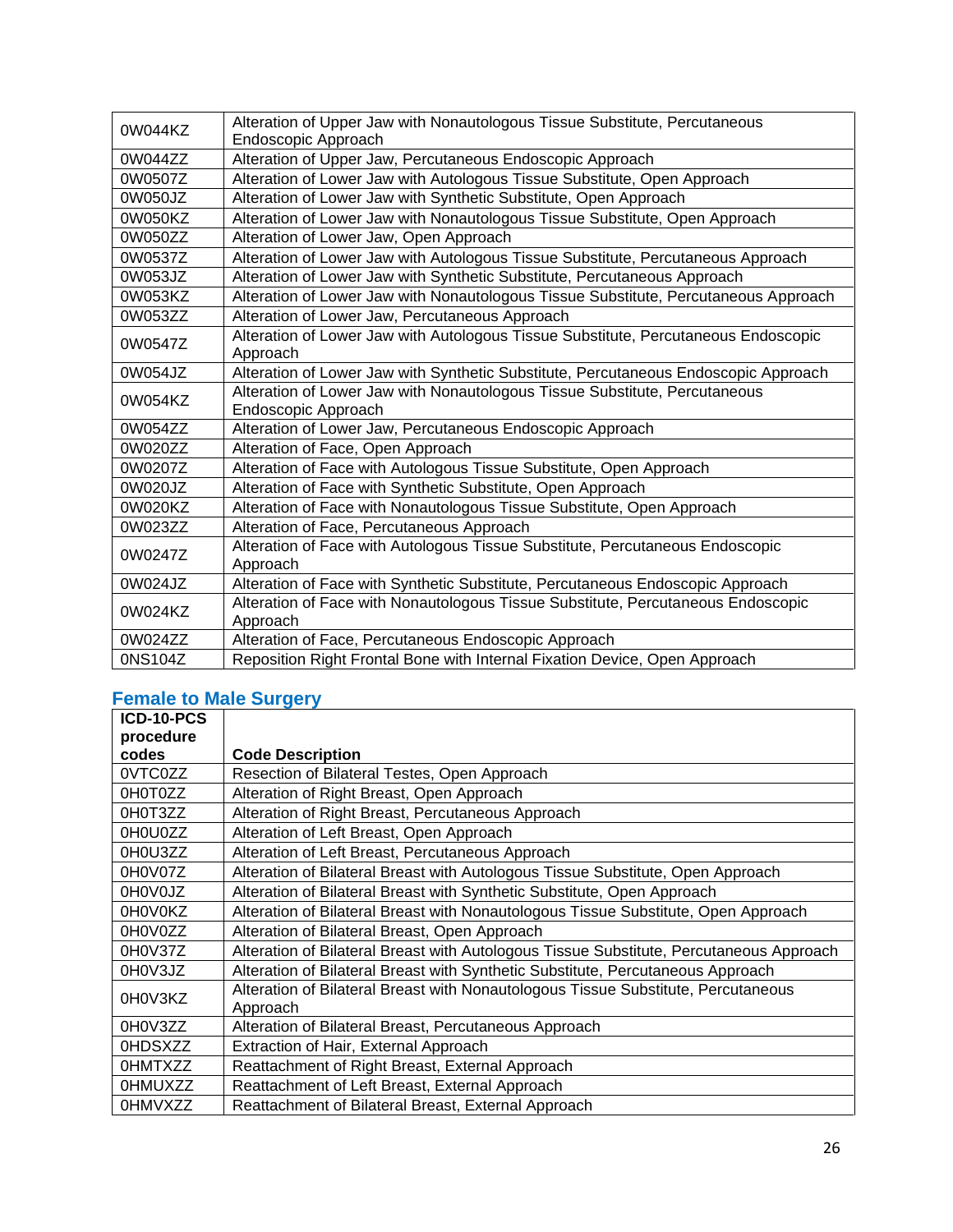| 0W044KZ | Alteration of Upper Jaw with Nonautologous Tissue Substitute, Percutaneous          |
|---------|-------------------------------------------------------------------------------------|
|         | Endoscopic Approach                                                                 |
| 0W044ZZ | Alteration of Upper Jaw, Percutaneous Endoscopic Approach                           |
| 0W0507Z | Alteration of Lower Jaw with Autologous Tissue Substitute, Open Approach            |
| 0W050JZ | Alteration of Lower Jaw with Synthetic Substitute, Open Approach                    |
| 0W050KZ | Alteration of Lower Jaw with Nonautologous Tissue Substitute, Open Approach         |
| 0W050ZZ | Alteration of Lower Jaw, Open Approach                                              |
| 0W0537Z | Alteration of Lower Jaw with Autologous Tissue Substitute, Percutaneous Approach    |
| 0W053JZ | Alteration of Lower Jaw with Synthetic Substitute, Percutaneous Approach            |
| 0W053KZ | Alteration of Lower Jaw with Nonautologous Tissue Substitute, Percutaneous Approach |
| 0W053ZZ | Alteration of Lower Jaw, Percutaneous Approach                                      |
| 0W0547Z | Alteration of Lower Jaw with Autologous Tissue Substitute, Percutaneous Endoscopic  |
|         | Approach                                                                            |
| 0W054JZ | Alteration of Lower Jaw with Synthetic Substitute, Percutaneous Endoscopic Approach |
| 0W054KZ | Alteration of Lower Jaw with Nonautologous Tissue Substitute, Percutaneous          |
|         | Endoscopic Approach                                                                 |
| 0W054ZZ | Alteration of Lower Jaw, Percutaneous Endoscopic Approach                           |
| 0W020ZZ | Alteration of Face, Open Approach                                                   |
| 0W0207Z | Alteration of Face with Autologous Tissue Substitute, Open Approach                 |
| 0W020JZ | Alteration of Face with Synthetic Substitute, Open Approach                         |
| 0W020KZ | Alteration of Face with Nonautologous Tissue Substitute, Open Approach              |
| 0W023ZZ | Alteration of Face, Percutaneous Approach                                           |
| 0W0247Z | Alteration of Face with Autologous Tissue Substitute, Percutaneous Endoscopic       |
|         | Approach                                                                            |
| 0W024JZ | Alteration of Face with Synthetic Substitute, Percutaneous Endoscopic Approach      |
| 0W024KZ | Alteration of Face with Nonautologous Tissue Substitute, Percutaneous Endoscopic    |
|         | Approach                                                                            |
| 0W024ZZ | Alteration of Face, Percutaneous Endoscopic Approach                                |
| 0NS104Z | Reposition Right Frontal Bone with Internal Fixation Device, Open Approach          |

# **Female to Male Surgery**

| ICD-10-PCS     |                                                                                         |
|----------------|-----------------------------------------------------------------------------------------|
| procedure      |                                                                                         |
| codes          | <b>Code Description</b>                                                                 |
| 0VTC0ZZ        | Resection of Bilateral Testes, Open Approach                                            |
| 0H0T0ZZ        | Alteration of Right Breast, Open Approach                                               |
| 0H0T3ZZ        | Alteration of Right Breast, Percutaneous Approach                                       |
| 0H0U0ZZ        | Alteration of Left Breast, Open Approach                                                |
| 0H0U3ZZ        | Alteration of Left Breast, Percutaneous Approach                                        |
| 0H0V07Z        | Alteration of Bilateral Breast with Autologous Tissue Substitute, Open Approach         |
| 0H0V0JZ        | Alteration of Bilateral Breast with Synthetic Substitute, Open Approach                 |
| 0H0V0KZ        | Alteration of Bilateral Breast with Nonautologous Tissue Substitute, Open Approach      |
| 0H0V0ZZ        | Alteration of Bilateral Breast, Open Approach                                           |
| 0H0V37Z        | Alteration of Bilateral Breast with Autologous Tissue Substitute, Percutaneous Approach |
| 0H0V3JZ        | Alteration of Bilateral Breast with Synthetic Substitute, Percutaneous Approach         |
| 0H0V3KZ        | Alteration of Bilateral Breast with Nonautologous Tissue Substitute, Percutaneous       |
|                | Approach                                                                                |
| 0H0V3ZZ        | Alteration of Bilateral Breast, Percutaneous Approach                                   |
| 0HDSXZZ        | Extraction of Hair, External Approach                                                   |
| 0HMTXZZ        | Reattachment of Right Breast, External Approach                                         |
| 0HMUXZZ        | Reattachment of Left Breast, External Approach                                          |
| <b>OHMVXZZ</b> | Reattachment of Bilateral Breast, External Approach                                     |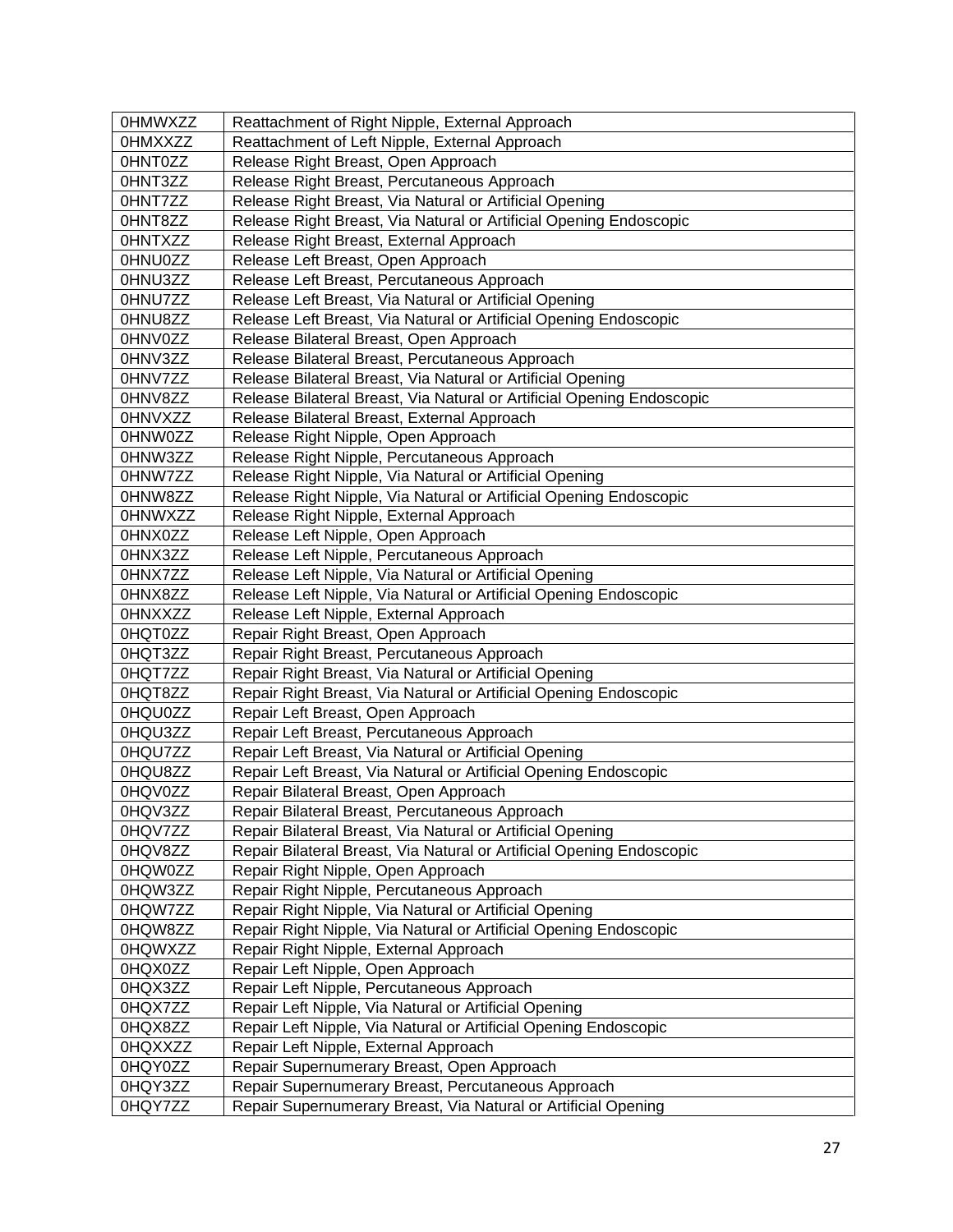| <b>OHMWXZZ</b> | Reattachment of Right Nipple, External Approach                        |
|----------------|------------------------------------------------------------------------|
| <b>OHMXXZZ</b> | Reattachment of Left Nipple, External Approach                         |
| 0HNT0ZZ        | Release Right Breast, Open Approach                                    |
| 0HNT3ZZ        | Release Right Breast, Percutaneous Approach                            |
| 0HNT7ZZ        | Release Right Breast, Via Natural or Artificial Opening                |
| 0HNT8ZZ        | Release Right Breast, Via Natural or Artificial Opening Endoscopic     |
| 0HNTXZZ        | Release Right Breast, External Approach                                |
| 0HNU0ZZ        | Release Left Breast, Open Approach                                     |
| 0HNU3ZZ        | Release Left Breast, Percutaneous Approach                             |
| 0HNU7ZZ        | Release Left Breast, Via Natural or Artificial Opening                 |
| 0HNU8ZZ        | Release Left Breast, Via Natural or Artificial Opening Endoscopic      |
| 0HNV0ZZ        | Release Bilateral Breast, Open Approach                                |
| 0HNV3ZZ        | Release Bilateral Breast, Percutaneous Approach                        |
| 0HNV7ZZ        | Release Bilateral Breast, Via Natural or Artificial Opening            |
| 0HNV8ZZ        | Release Bilateral Breast, Via Natural or Artificial Opening Endoscopic |
| <b>OHNVXZZ</b> | Release Bilateral Breast, External Approach                            |
| 0HNW0ZZ        | Release Right Nipple, Open Approach                                    |
| 0HNW3ZZ        | Release Right Nipple, Percutaneous Approach                            |
| 0HNW7ZZ        | Release Right Nipple, Via Natural or Artificial Opening                |
| 0HNW8ZZ        | Release Right Nipple, Via Natural or Artificial Opening Endoscopic     |
| 0HNWXZZ        | Release Right Nipple, External Approach                                |
| 0HNX0ZZ        | Release Left Nipple, Open Approach                                     |
| 0HNX3ZZ        | Release Left Nipple, Percutaneous Approach                             |
| 0HNX7ZZ        | Release Left Nipple, Via Natural or Artificial Opening                 |
| 0HNX8ZZ        | Release Left Nipple, Via Natural or Artificial Opening Endoscopic      |
| <b>OHNXXZZ</b> | Release Left Nipple, External Approach                                 |
| 0HQT0ZZ        | Repair Right Breast, Open Approach                                     |
| 0HQT3ZZ        | Repair Right Breast, Percutaneous Approach                             |
| 0HQT7ZZ        | Repair Right Breast, Via Natural or Artificial Opening                 |
| 0HQT8ZZ        | Repair Right Breast, Via Natural or Artificial Opening Endoscopic      |
| 0HQU0ZZ        | Repair Left Breast, Open Approach                                      |
| 0HQU3ZZ        | Repair Left Breast, Percutaneous Approach                              |
| 0HQU7ZZ        | Repair Left Breast, Via Natural or Artificial Opening                  |
| 0HQU8ZZ        | Repair Left Breast, Via Natural or Artificial Opening Endoscopic       |
| 0HQV0ZZ        | Repair Bilateral Breast, Open Approach                                 |
| 0HQV3ZZ        | Repair Bilateral Breast, Percutaneous Approach                         |
| 0HQV7ZZ        | Repair Bilateral Breast, Via Natural or Artificial Opening             |
| 0HQV8ZZ        | Repair Bilateral Breast, Via Natural or Artificial Opening Endoscopic  |
| 0HQW0ZZ        | Repair Right Nipple, Open Approach                                     |
| 0HQW3ZZ        | Repair Right Nipple, Percutaneous Approach                             |
| 0HQW7ZZ        | Repair Right Nipple, Via Natural or Artificial Opening                 |
| 0HQW8ZZ        | Repair Right Nipple, Via Natural or Artificial Opening Endoscopic      |
| 0HQWXZZ        | Repair Right Nipple, External Approach                                 |
| 0HQX0ZZ        | Repair Left Nipple, Open Approach                                      |
| 0HQX3ZZ        | Repair Left Nipple, Percutaneous Approach                              |
| 0HQX7ZZ        | Repair Left Nipple, Via Natural or Artificial Opening                  |
| 0HQX8ZZ        | Repair Left Nipple, Via Natural or Artificial Opening Endoscopic       |
| 0HQXXZZ        | Repair Left Nipple, External Approach                                  |
| 0HQY0ZZ        | Repair Supernumerary Breast, Open Approach                             |
| 0HQY3ZZ        | Repair Supernumerary Breast, Percutaneous Approach                     |
| 0HQY7ZZ        | Repair Supernumerary Breast, Via Natural or Artificial Opening         |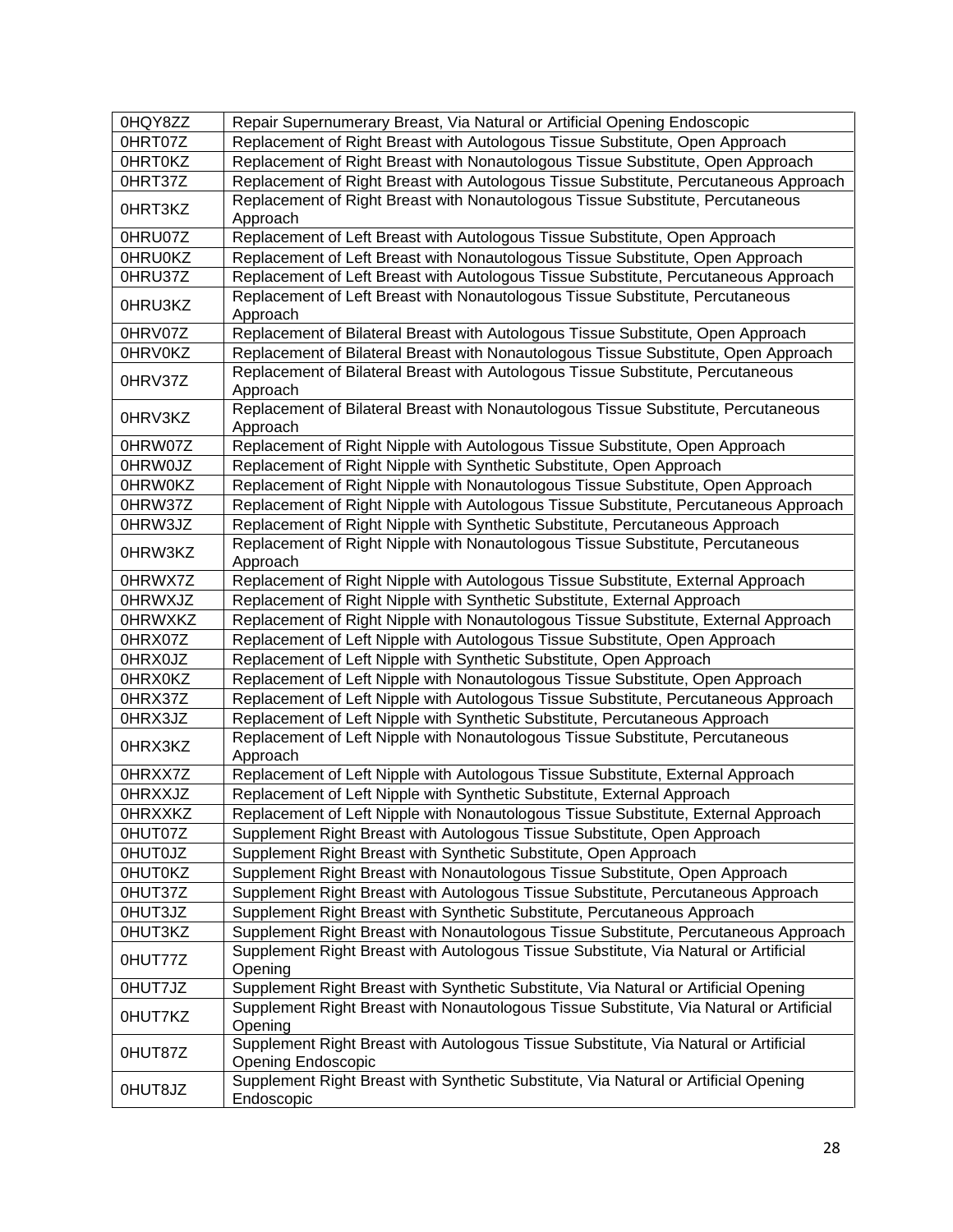| 0HQY8ZZ        | Repair Supernumerary Breast, Via Natural or Artificial Opening Endoscopic                                         |
|----------------|-------------------------------------------------------------------------------------------------------------------|
| 0HRT07Z        | Replacement of Right Breast with Autologous Tissue Substitute, Open Approach                                      |
| 0HRT0KZ        | Replacement of Right Breast with Nonautologous Tissue Substitute, Open Approach                                   |
| 0HRT37Z        | Replacement of Right Breast with Autologous Tissue Substitute, Percutaneous Approach                              |
| 0HRT3KZ        | Replacement of Right Breast with Nonautologous Tissue Substitute, Percutaneous<br>Approach                        |
| 0HRU07Z        | Replacement of Left Breast with Autologous Tissue Substitute, Open Approach                                       |
| 0HRU0KZ        | Replacement of Left Breast with Nonautologous Tissue Substitute, Open Approach                                    |
| 0HRU37Z        | Replacement of Left Breast with Autologous Tissue Substitute, Percutaneous Approach                               |
| 0HRU3KZ        | Replacement of Left Breast with Nonautologous Tissue Substitute, Percutaneous<br>Approach                         |
| 0HRV07Z        | Replacement of Bilateral Breast with Autologous Tissue Substitute, Open Approach                                  |
| 0HRV0KZ        | Replacement of Bilateral Breast with Nonautologous Tissue Substitute, Open Approach                               |
| 0HRV37Z        | Replacement of Bilateral Breast with Autologous Tissue Substitute, Percutaneous<br>Approach                       |
| 0HRV3KZ        | Replacement of Bilateral Breast with Nonautologous Tissue Substitute, Percutaneous<br>Approach                    |
| 0HRW07Z        | Replacement of Right Nipple with Autologous Tissue Substitute, Open Approach                                      |
| 0HRW0JZ        | Replacement of Right Nipple with Synthetic Substitute, Open Approach                                              |
| 0HRW0KZ        | Replacement of Right Nipple with Nonautologous Tissue Substitute, Open Approach                                   |
| 0HRW37Z        | Replacement of Right Nipple with Autologous Tissue Substitute, Percutaneous Approach                              |
| 0HRW3JZ        | Replacement of Right Nipple with Synthetic Substitute, Percutaneous Approach                                      |
| 0HRW3KZ        | Replacement of Right Nipple with Nonautologous Tissue Substitute, Percutaneous<br>Approach                        |
| 0HRWX7Z        | Replacement of Right Nipple with Autologous Tissue Substitute, External Approach                                  |
| <b>OHRWXJZ</b> | Replacement of Right Nipple with Synthetic Substitute, External Approach                                          |
| <b>OHRWXKZ</b> | Replacement of Right Nipple with Nonautologous Tissue Substitute, External Approach                               |
| 0HRX07Z        | Replacement of Left Nipple with Autologous Tissue Substitute, Open Approach                                       |
| 0HRX0JZ        | Replacement of Left Nipple with Synthetic Substitute, Open Approach                                               |
| 0HRX0KZ        | Replacement of Left Nipple with Nonautologous Tissue Substitute, Open Approach                                    |
| 0HRX37Z        | Replacement of Left Nipple with Autologous Tissue Substitute, Percutaneous Approach                               |
| 0HRX3JZ        | Replacement of Left Nipple with Synthetic Substitute, Percutaneous Approach                                       |
| 0HRX3KZ        | Replacement of Left Nipple with Nonautologous Tissue Substitute, Percutaneous<br>Approach                         |
| 0HRXX7Z        | Replacement of Left Nipple with Autologous Tissue Substitute, External Approach                                   |
| 0HRXXJZ        | Replacement of Left Nipple with Synthetic Substitute, External Approach                                           |
| 0HRXXKZ        | Replacement of Left Nipple with Nonautologous Tissue Substitute, External Approach                                |
| 0HUT07Z        | Supplement Right Breast with Autologous Tissue Substitute, Open Approach                                          |
| <b>OHUTOJZ</b> | Supplement Right Breast with Synthetic Substitute, Open Approach                                                  |
| 0HUT0KZ        | Supplement Right Breast with Nonautologous Tissue Substitute, Open Approach                                       |
| 0HUT37Z        | Supplement Right Breast with Autologous Tissue Substitute, Percutaneous Approach                                  |
| 0HUT3JZ        | Supplement Right Breast with Synthetic Substitute, Percutaneous Approach                                          |
| 0HUT3KZ        | Supplement Right Breast with Nonautologous Tissue Substitute, Percutaneous Approach                               |
| 0HUT77Z        | Supplement Right Breast with Autologous Tissue Substitute, Via Natural or Artificial<br>Opening                   |
| 0HUT7JZ        | Supplement Right Breast with Synthetic Substitute, Via Natural or Artificial Opening                              |
| 0HUT7KZ        | Supplement Right Breast with Nonautologous Tissue Substitute, Via Natural or Artificial<br>Opening                |
| 0HUT87Z        | Supplement Right Breast with Autologous Tissue Substitute, Via Natural or Artificial<br><b>Opening Endoscopic</b> |
| OHUT8JZ        | Supplement Right Breast with Synthetic Substitute, Via Natural or Artificial Opening<br>Endoscopic                |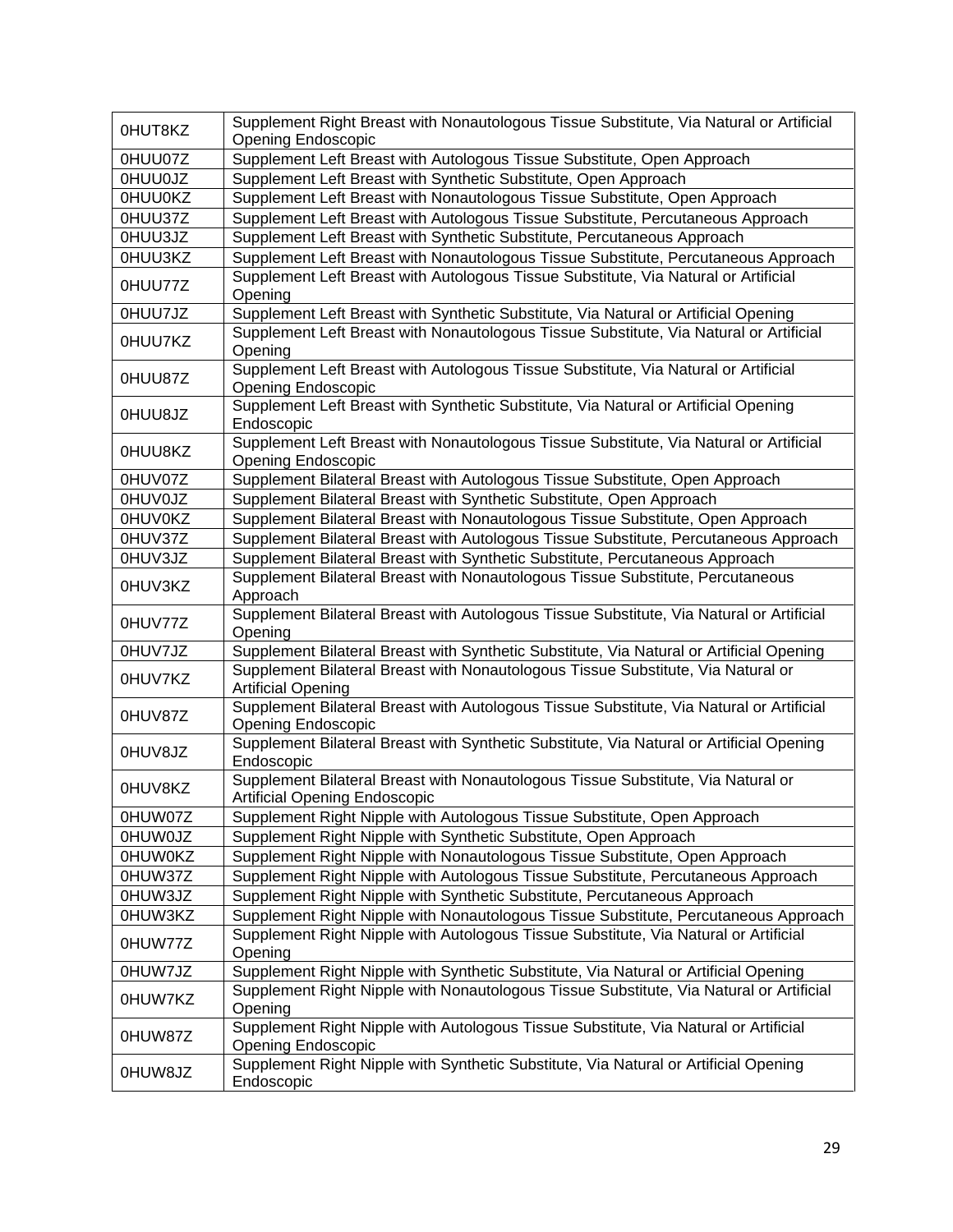| 0HUT8KZ        | Supplement Right Breast with Nonautologous Tissue Substitute, Via Natural or Artificial<br><b>Opening Endoscopic</b>     |
|----------------|--------------------------------------------------------------------------------------------------------------------------|
| 0HUU07Z        | Supplement Left Breast with Autologous Tissue Substitute, Open Approach                                                  |
| <b>OHUUOJZ</b> | Supplement Left Breast with Synthetic Substitute, Open Approach                                                          |
| 0HUU0KZ        | Supplement Left Breast with Nonautologous Tissue Substitute, Open Approach                                               |
| 0HUU37Z        | Supplement Left Breast with Autologous Tissue Substitute, Percutaneous Approach                                          |
| 0HUU3JZ        | Supplement Left Breast with Synthetic Substitute, Percutaneous Approach                                                  |
| 0HUU3KZ        | Supplement Left Breast with Nonautologous Tissue Substitute, Percutaneous Approach                                       |
|                | Supplement Left Breast with Autologous Tissue Substitute, Via Natural or Artificial                                      |
| 0HUU77Z        | Opening                                                                                                                  |
| 0HUU7JZ        | Supplement Left Breast with Synthetic Substitute, Via Natural or Artificial Opening                                      |
| 0HUU7KZ        | Supplement Left Breast with Nonautologous Tissue Substitute, Via Natural or Artificial<br>Opening                        |
| 0HUU87Z        | Supplement Left Breast with Autologous Tissue Substitute, Via Natural or Artificial<br><b>Opening Endoscopic</b>         |
| OHUU8JZ        | Supplement Left Breast with Synthetic Substitute, Via Natural or Artificial Opening<br>Endoscopic                        |
| 0HUU8KZ        | Supplement Left Breast with Nonautologous Tissue Substitute, Via Natural or Artificial<br><b>Opening Endoscopic</b>      |
| 0HUV07Z        | Supplement Bilateral Breast with Autologous Tissue Substitute, Open Approach                                             |
| <b>OHUVOJZ</b> | Supplement Bilateral Breast with Synthetic Substitute, Open Approach                                                     |
| 0HUV0KZ        | Supplement Bilateral Breast with Nonautologous Tissue Substitute, Open Approach                                          |
| 0HUV37Z        | Supplement Bilateral Breast with Autologous Tissue Substitute, Percutaneous Approach                                     |
| 0HUV3JZ        | Supplement Bilateral Breast with Synthetic Substitute, Percutaneous Approach                                             |
| 0HUV3KZ        | Supplement Bilateral Breast with Nonautologous Tissue Substitute, Percutaneous<br>Approach                               |
| 0HUV77Z        | Supplement Bilateral Breast with Autologous Tissue Substitute, Via Natural or Artificial<br>Opening                      |
| 0HUV7JZ        | Supplement Bilateral Breast with Synthetic Substitute, Via Natural or Artificial Opening                                 |
| 0HUV7KZ        | Supplement Bilateral Breast with Nonautologous Tissue Substitute, Via Natural or<br><b>Artificial Opening</b>            |
| 0HUV87Z        | Supplement Bilateral Breast with Autologous Tissue Substitute, Via Natural or Artificial<br><b>Opening Endoscopic</b>    |
| 0HUV8JZ        | Supplement Bilateral Breast with Synthetic Substitute, Via Natural or Artificial Opening<br>Endoscopic                   |
| 0HUV8KZ        | Supplement Bilateral Breast with Nonautologous Tissue Substitute, Via Natural or<br><b>Artificial Opening Endoscopic</b> |
| 0HUW07Z        | Supplement Right Nipple with Autologous Tissue Substitute, Open Approach                                                 |
| <b>OHUWOJZ</b> | Supplement Right Nipple with Synthetic Substitute, Open Approach                                                         |
| 0HUW0KZ        | Supplement Right Nipple with Nonautologous Tissue Substitute, Open Approach                                              |
| 0HUW37Z        | Supplement Right Nipple with Autologous Tissue Substitute, Percutaneous Approach                                         |
| 0HUW3JZ        | Supplement Right Nipple with Synthetic Substitute, Percutaneous Approach                                                 |
| 0HUW3KZ        | Supplement Right Nipple with Nonautologous Tissue Substitute, Percutaneous Approach                                      |
| 0HUW77Z        | Supplement Right Nipple with Autologous Tissue Substitute, Via Natural or Artificial<br>Opening                          |
| 0HUW7JZ        | Supplement Right Nipple with Synthetic Substitute, Via Natural or Artificial Opening                                     |
| 0HUW7KZ        | Supplement Right Nipple with Nonautologous Tissue Substitute, Via Natural or Artificial<br>Opening                       |
| 0HUW87Z        | Supplement Right Nipple with Autologous Tissue Substitute, Via Natural or Artificial<br><b>Opening Endoscopic</b>        |
| 0HUW8JZ        | Supplement Right Nipple with Synthetic Substitute, Via Natural or Artificial Opening<br>Endoscopic                       |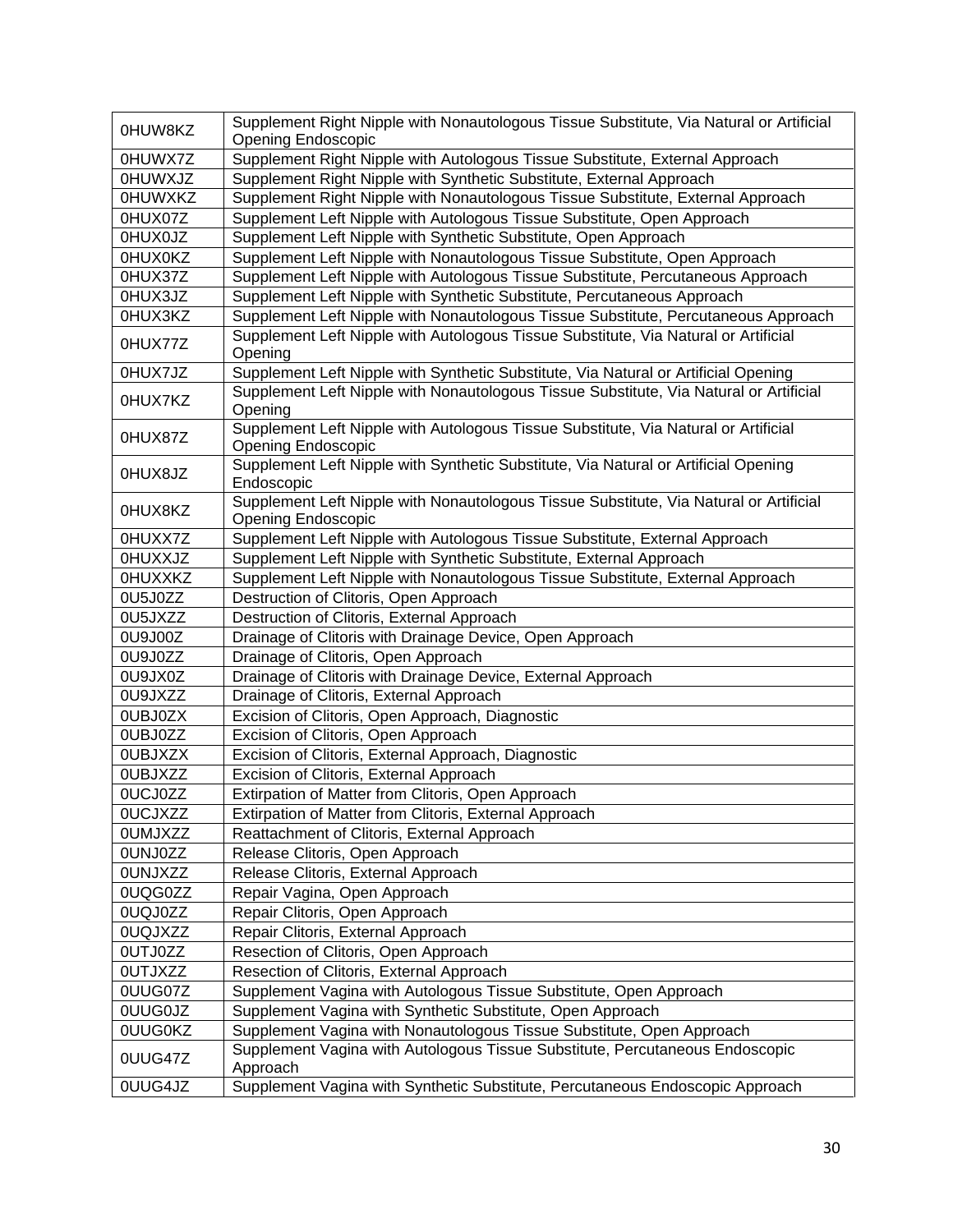| 0HUW8KZ        | Supplement Right Nipple with Nonautologous Tissue Substitute, Via Natural or Artificial<br><b>Opening Endoscopic</b> |
|----------------|----------------------------------------------------------------------------------------------------------------------|
| 0HUWX7Z        | Supplement Right Nipple with Autologous Tissue Substitute, External Approach                                         |
| <b>OHUWXJZ</b> | Supplement Right Nipple with Synthetic Substitute, External Approach                                                 |
| 0HUWXKZ        | Supplement Right Nipple with Nonautologous Tissue Substitute, External Approach                                      |
| 0HUX07Z        | Supplement Left Nipple with Autologous Tissue Substitute, Open Approach                                              |
| <b>OHUXOJZ</b> | Supplement Left Nipple with Synthetic Substitute, Open Approach                                                      |
| 0HUX0KZ        | Supplement Left Nipple with Nonautologous Tissue Substitute, Open Approach                                           |
| 0HUX37Z        | Supplement Left Nipple with Autologous Tissue Substitute, Percutaneous Approach                                      |
| 0HUX3JZ        | Supplement Left Nipple with Synthetic Substitute, Percutaneous Approach                                              |
| 0HUX3KZ        | Supplement Left Nipple with Nonautologous Tissue Substitute, Percutaneous Approach                                   |
|                | Supplement Left Nipple with Autologous Tissue Substitute, Via Natural or Artificial                                  |
| 0HUX77Z        | Opening                                                                                                              |
| 0HUX7JZ        | Supplement Left Nipple with Synthetic Substitute, Via Natural or Artificial Opening                                  |
| 0HUX7KZ        | Supplement Left Nipple with Nonautologous Tissue Substitute, Via Natural or Artificial<br>Opening                    |
| 0HUX87Z        | Supplement Left Nipple with Autologous Tissue Substitute, Via Natural or Artificial<br>Opening Endoscopic            |
| 0HUX8JZ        | Supplement Left Nipple with Synthetic Substitute, Via Natural or Artificial Opening<br>Endoscopic                    |
| 0HUX8KZ        | Supplement Left Nipple with Nonautologous Tissue Substitute, Via Natural or Artificial<br><b>Opening Endoscopic</b>  |
| 0HUXX7Z        | Supplement Left Nipple with Autologous Tissue Substitute, External Approach                                          |
| <b>OHUXXJZ</b> | Supplement Left Nipple with Synthetic Substitute, External Approach                                                  |
| <b>OHUXXKZ</b> | Supplement Left Nipple with Nonautologous Tissue Substitute, External Approach                                       |
| 0U5J0ZZ        | Destruction of Clitoris, Open Approach                                                                               |
| 0U5JXZZ        | Destruction of Clitoris, External Approach                                                                           |
| 0U9J00Z        | Drainage of Clitoris with Drainage Device, Open Approach                                                             |
| 0U9J0ZZ        | Drainage of Clitoris, Open Approach                                                                                  |
| <b>OU9JX0Z</b> | Drainage of Clitoris with Drainage Device, External Approach                                                         |
| 0U9JXZZ        | Drainage of Clitoris, External Approach                                                                              |
| 0UBJ0ZX        | Excision of Clitoris, Open Approach, Diagnostic                                                                      |
| 0UBJ0ZZ        | Excision of Clitoris, Open Approach                                                                                  |
| <b>OUBJXZX</b> | Excision of Clitoris, External Approach, Diagnostic                                                                  |
| <b>OUBJXZZ</b> | Excision of Clitoris, External Approach                                                                              |
| 0UCJ0ZZ        | Extirpation of Matter from Clitoris, Open Approach                                                                   |
| 0UCJXZZ        | Extirpation of Matter from Clitoris, External Approach                                                               |
| <b>OUMJXZZ</b> | Reattachment of Clitoris, External Approach                                                                          |
| 0UNJ0ZZ        | Release Clitoris, Open Approach                                                                                      |
| <b>OUNJXZZ</b> | Release Clitoris, External Approach                                                                                  |
| 0UQG0ZZ        | Repair Vagina, Open Approach                                                                                         |
| 0UQJ0ZZ        | Repair Clitoris, Open Approach                                                                                       |
| 0UQJXZZ        | Repair Clitoris, External Approach                                                                                   |
| <b>OUTJ0ZZ</b> | Resection of Clitoris, Open Approach                                                                                 |
| <b>OUTJXZZ</b> | Resection of Clitoris, External Approach                                                                             |
| 0UUG07Z        | Supplement Vagina with Autologous Tissue Substitute, Open Approach                                                   |
| <b>OUUGOJZ</b> | Supplement Vagina with Synthetic Substitute, Open Approach                                                           |
| <b>OUUGOKZ</b> | Supplement Vagina with Nonautologous Tissue Substitute, Open Approach                                                |
| 0UUG47Z        | Supplement Vagina with Autologous Tissue Substitute, Percutaneous Endoscopic<br>Approach                             |
| 0UUG4JZ        | Supplement Vagina with Synthetic Substitute, Percutaneous Endoscopic Approach                                        |